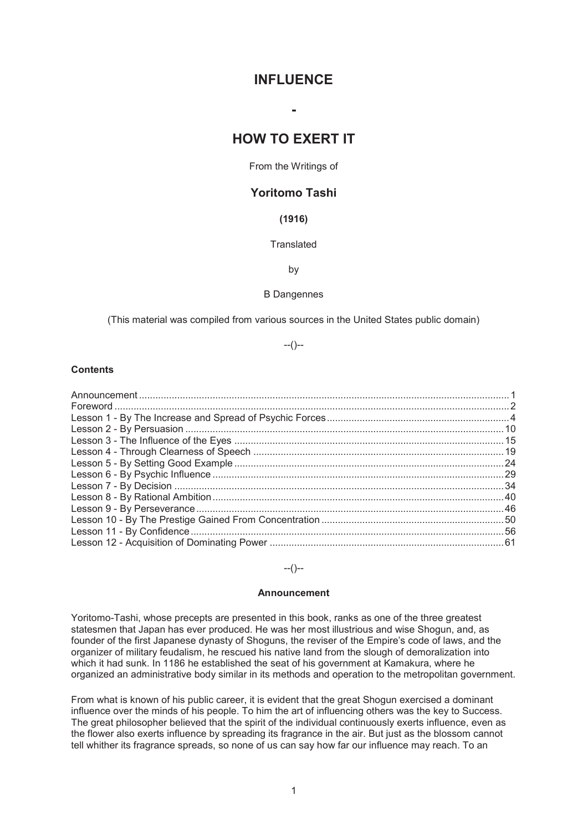## **INFLUENCE**

**-** 

# **HOW TO EXERT IT**

From the Writings of

## **Yoritomo Tashi**

## **(1916)**

## **Translated**

by

#### B Dangennes

(This material was compiled from various sources in the United States public domain)

--()--

## **Contents**

#### $-(-)$

#### **Announcement**

Yoritomo-Tashi, whose precepts are presented in this book, ranks as one of the three greatest statesmen that Japan has ever produced. He was her most illustrious and wise Shogun, and, as founder of the first Japanese dynasty of Shoguns, the reviser of the Empire's code of laws, and the organizer of military feudalism, he rescued his native land from the slough of demoralization into which it had sunk. In 1186 he established the seat of his government at Kamakura, where he organized an administrative body similar in its methods and operation to the metropolitan government.

From what is known of his public career, it is evident that the great Shogun exercised a dominant influence over the minds of his people. To him the art of influencing others was the key to Success. The great philosopher believed that the spirit of the individual continuously exerts influence, even as the flower also exerts influence by spreading its fragrance in the air. But just as the blossom cannot tell whither its fragrance spreads, so none of us can say how far our influence may reach. To an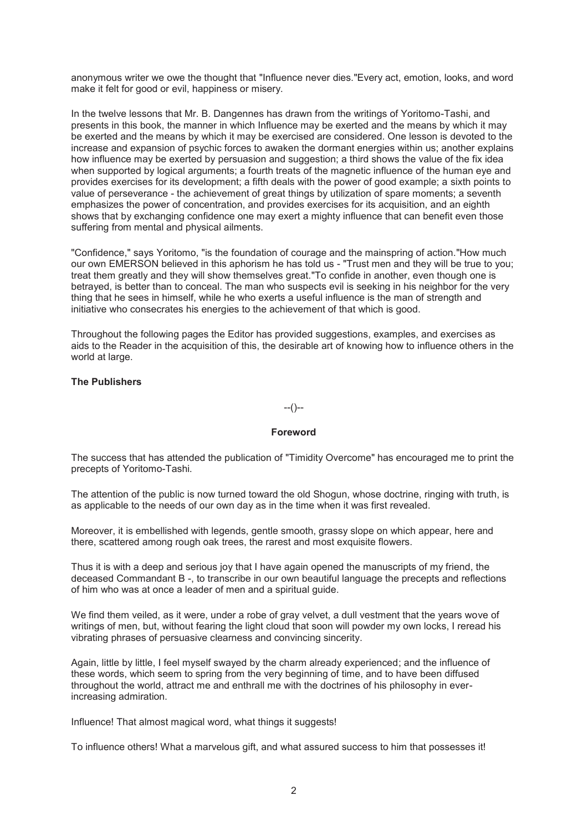anonymous writer we owe the thought that "Influence never dies."Every act, emotion, looks, and word make it felt for good or evil, happiness or misery.

In the twelve lessons that Mr. B. Dangennes has drawn from the writings of Yoritomo-Tashi, and presents in this book, the manner in which Influence may be exerted and the means by which it may be exerted and the means by which it may be exercised are considered. One lesson is devoted to the increase and expansion of psychic forces to awaken the dormant energies within us; another explains how influence may be exerted by persuasion and suggestion; a third shows the value of the fix idea when supported by logical arguments; a fourth treats of the magnetic influence of the human eye and provides exercises for its development; a fifth deals with the power of good example; a sixth points to value of perseverance - the achievement of great things by utilization of spare moments; a seventh emphasizes the power of concentration, and provides exercises for its acquisition, and an eighth shows that by exchanging confidence one may exert a mighty influence that can benefit even those suffering from mental and physical ailments.

"Confidence," says Yoritomo, "is the foundation of courage and the mainspring of action."How much our own EMERSON believed in this aphorism he has told us - "Trust men and they will be true to you; treat them greatly and they will show themselves great."To confide in another, even though one is betrayed, is better than to conceal. The man who suspects evil is seeking in his neighbor for the very thing that he sees in himself, while he who exerts a useful influence is the man of strength and initiative who consecrates his energies to the achievement of that which is good.

Throughout the following pages the Editor has provided suggestions, examples, and exercises as aids to the Reader in the acquisition of this, the desirable art of knowing how to influence others in the world at large.

#### **The Publishers**

--()--

#### **Foreword**

The success that has attended the publication of "Timidity Overcome" has encouraged me to print the precepts of Yoritomo-Tashi.

The attention of the public is now turned toward the old Shogun, whose doctrine, ringing with truth, is as applicable to the needs of our own day as in the time when it was first revealed.

Moreover, it is embellished with legends, gentle smooth, grassy slope on which appear, here and there, scattered among rough oak trees, the rarest and most exquisite flowers.

Thus it is with a deep and serious joy that I have again opened the manuscripts of my friend, the deceased Commandant B -, to transcribe in our own beautiful language the precepts and reflections of him who was at once a leader of men and a spiritual guide.

We find them veiled, as it were, under a robe of gray velvet, a dull vestment that the years wove of writings of men, but, without fearing the light cloud that soon will powder my own locks, I reread his vibrating phrases of persuasive clearness and convincing sincerity.

Again, little by little, I feel myself swayed by the charm already experienced; and the influence of these words, which seem to spring from the very beginning of time, and to have been diffused throughout the world, attract me and enthrall me with the doctrines of his philosophy in everincreasing admiration.

Influence! That almost magical word, what things it suggests!

To influence others! What a marvelous gift, and what assured success to him that possesses it!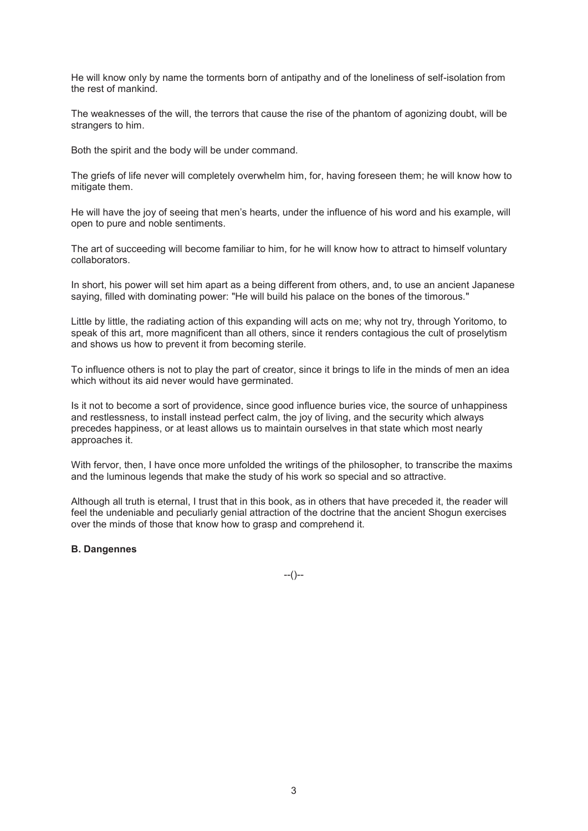He will know only by name the torments born of antipathy and of the loneliness of self-isolation from the rest of mankind.

The weaknesses of the will, the terrors that cause the rise of the phantom of agonizing doubt, will be strangers to him.

Both the spirit and the body will be under command.

The griefs of life never will completely overwhelm him, for, having foreseen them; he will know how to mitigate them.

He will have the joy of seeing that men's hearts, under the influence of his word and his example, will open to pure and noble sentiments.

The art of succeeding will become familiar to him, for he will know how to attract to himself voluntary collaborators.

In short, his power will set him apart as a being different from others, and, to use an ancient Japanese saying, filled with dominating power: "He will build his palace on the bones of the timorous."

Little by little, the radiating action of this expanding will acts on me; why not try, through Yoritomo, to speak of this art, more magnificent than all others, since it renders contagious the cult of proselytism and shows us how to prevent it from becoming sterile.

To influence others is not to play the part of creator, since it brings to life in the minds of men an idea which without its aid never would have germinated.

Is it not to become a sort of providence, since good influence buries vice, the source of unhappiness and restlessness, to install instead perfect calm, the joy of living, and the security which always precedes happiness, or at least allows us to maintain ourselves in that state which most nearly approaches it.

With fervor, then, I have once more unfolded the writings of the philosopher, to transcribe the maxims and the luminous legends that make the study of his work so special and so attractive.

Although all truth is eternal, I trust that in this book, as in others that have preceded it, the reader will feel the undeniable and peculiarly genial attraction of the doctrine that the ancient Shogun exercises over the minds of those that know how to grasp and comprehend it.

**B. Dangennes**

--()--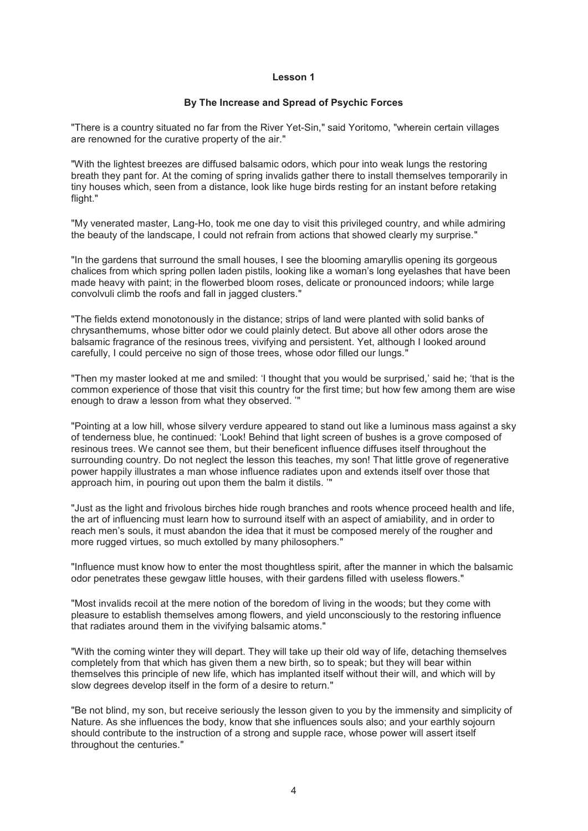## **Lesson 1**

## **By The Increase and Spread of Psychic Forces**

"There is a country situated no far from the River Yet-Sin," said Yoritomo, "wherein certain villages are renowned for the curative property of the air."

"With the lightest breezes are diffused balsamic odors, which pour into weak lungs the restoring breath they pant for. At the coming of spring invalids gather there to install themselves temporarily in tiny houses which, seen from a distance, look like huge birds resting for an instant before retaking flight."

"My venerated master, Lang-Ho, took me one day to visit this privileged country, and while admiring the beauty of the landscape, I could not refrain from actions that showed clearly my surprise."

"In the gardens that surround the small houses, I see the blooming amaryllis opening its gorgeous chalices from which spring pollen laden pistils, looking like a woman's long eyelashes that have been made heavy with paint; in the flowerbed bloom roses, delicate or pronounced indoors; while large convolvuli climb the roofs and fall in jagged clusters."

"The fields extend monotonously in the distance; strips of land were planted with solid banks of chrysanthemums, whose bitter odor we could plainly detect. But above all other odors arose the balsamic fragrance of the resinous trees, vivifying and persistent. Yet, although I looked around carefully, I could perceive no sign of those trees, whose odor filled our lungs."

"Then my master looked at me and smiled: 'I thought that you would be surprised,' said he; 'that is the common experience of those that visit this country for the first time; but how few among them are wise enough to draw a lesson from what they observed. '"

"Pointing at a low hill, whose silvery verdure appeared to stand out like a luminous mass against a sky of tenderness blue, he continued: 'Look! Behind that light screen of bushes is a grove composed of resinous trees. We cannot see them, but their beneficent influence diffuses itself throughout the surrounding country. Do not neglect the lesson this teaches, my son! That little grove of regenerative power happily illustrates a man whose influence radiates upon and extends itself over those that approach him, in pouring out upon them the balm it distils. '"

"Just as the light and frivolous birches hide rough branches and roots whence proceed health and life, the art of influencing must learn how to surround itself with an aspect of amiability, and in order to reach men's souls, it must abandon the idea that it must be composed merely of the rougher and more rugged virtues, so much extolled by many philosophers."

"Influence must know how to enter the most thoughtless spirit, after the manner in which the balsamic odor penetrates these gewgaw little houses, with their gardens filled with useless flowers."

"Most invalids recoil at the mere notion of the boredom of living in the woods; but they come with pleasure to establish themselves among flowers, and yield unconsciously to the restoring influence that radiates around them in the vivifying balsamic atoms."

"With the coming winter they will depart. They will take up their old way of life, detaching themselves completely from that which has given them a new birth, so to speak; but they will bear within themselves this principle of new life, which has implanted itself without their will, and which will by slow degrees develop itself in the form of a desire to return."

"Be not blind, my son, but receive seriously the lesson given to you by the immensity and simplicity of Nature. As she influences the body, know that she influences souls also; and your earthly sojourn should contribute to the instruction of a strong and supple race, whose power will assert itself throughout the centuries."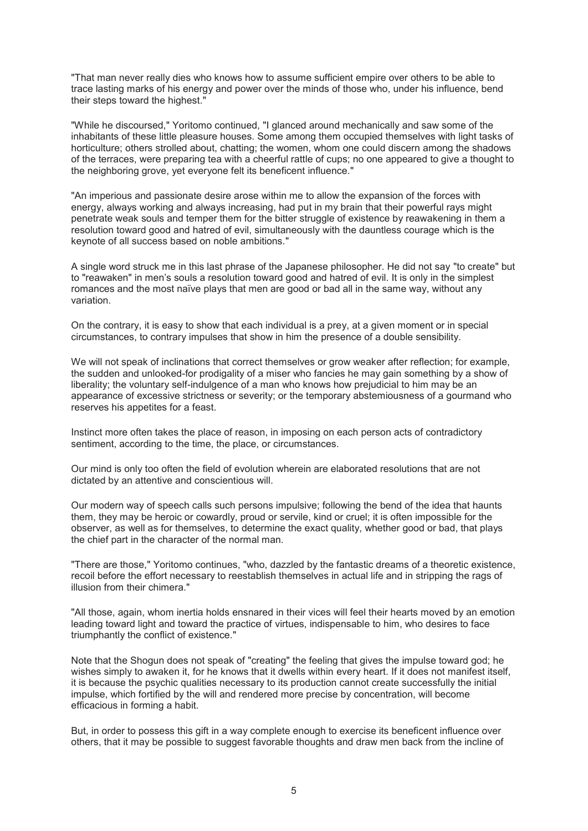"That man never really dies who knows how to assume sufficient empire over others to be able to trace lasting marks of his energy and power over the minds of those who, under his influence, bend their steps toward the highest."

"While he discoursed," Yoritomo continued, "I glanced around mechanically and saw some of the inhabitants of these little pleasure houses. Some among them occupied themselves with light tasks of horticulture; others strolled about, chatting; the women, whom one could discern among the shadows of the terraces, were preparing tea with a cheerful rattle of cups; no one appeared to give a thought to the neighboring grove, yet everyone felt its beneficent influence."

"An imperious and passionate desire arose within me to allow the expansion of the forces with energy, always working and always increasing, had put in my brain that their powerful rays might penetrate weak souls and temper them for the bitter struggle of existence by reawakening in them a resolution toward good and hatred of evil, simultaneously with the dauntless courage which is the keynote of all success based on noble ambitions."

A single word struck me in this last phrase of the Japanese philosopher. He did not say "to create" but to "reawaken" in men's souls a resolution toward good and hatred of evil. It is only in the simplest romances and the most naïve plays that men are good or bad all in the same way, without any variation.

On the contrary, it is easy to show that each individual is a prey, at a given moment or in special circumstances, to contrary impulses that show in him the presence of a double sensibility.

We will not speak of inclinations that correct themselves or grow weaker after reflection; for example, the sudden and unlooked-for prodigality of a miser who fancies he may gain something by a show of liberality; the voluntary self-indulgence of a man who knows how prejudicial to him may be an appearance of excessive strictness or severity; or the temporary abstemiousness of a gourmand who reserves his appetites for a feast.

Instinct more often takes the place of reason, in imposing on each person acts of contradictory sentiment, according to the time, the place, or circumstances.

Our mind is only too often the field of evolution wherein are elaborated resolutions that are not dictated by an attentive and conscientious will.

Our modern way of speech calls such persons impulsive; following the bend of the idea that haunts them, they may be heroic or cowardly, proud or servile, kind or cruel; it is often impossible for the observer, as well as for themselves, to determine the exact quality, whether good or bad, that plays the chief part in the character of the normal man.

"There are those," Yoritomo continues, "who, dazzled by the fantastic dreams of a theoretic existence, recoil before the effort necessary to reestablish themselves in actual life and in stripping the rags of illusion from their chimera."

"All those, again, whom inertia holds ensnared in their vices will feel their hearts moved by an emotion leading toward light and toward the practice of virtues, indispensable to him, who desires to face triumphantly the conflict of existence."

Note that the Shogun does not speak of "creating" the feeling that gives the impulse toward god; he wishes simply to awaken it, for he knows that it dwells within every heart. If it does not manifest itself, it is because the psychic qualities necessary to its production cannot create successfully the initial impulse, which fortified by the will and rendered more precise by concentration, will become efficacious in forming a habit.

But, in order to possess this gift in a way complete enough to exercise its beneficent influence over others, that it may be possible to suggest favorable thoughts and draw men back from the incline of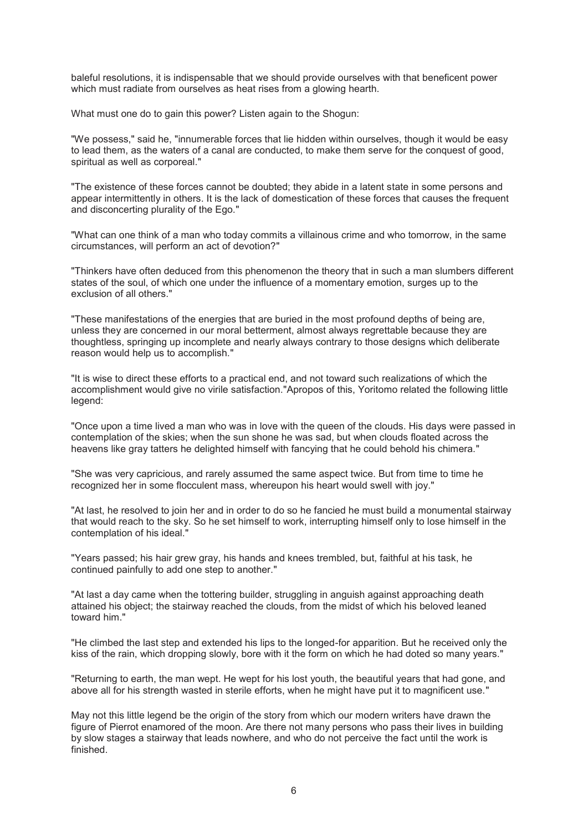baleful resolutions, it is indispensable that we should provide ourselves with that beneficent power which must radiate from ourselves as heat rises from a glowing hearth.

What must one do to gain this power? Listen again to the Shogun:

"We possess," said he, "innumerable forces that lie hidden within ourselves, though it would be easy to lead them, as the waters of a canal are conducted, to make them serve for the conquest of good, spiritual as well as corporeal."

"The existence of these forces cannot be doubted; they abide in a latent state in some persons and appear intermittently in others. It is the lack of domestication of these forces that causes the frequent and disconcerting plurality of the Ego."

"What can one think of a man who today commits a villainous crime and who tomorrow, in the same circumstances, will perform an act of devotion?"

"Thinkers have often deduced from this phenomenon the theory that in such a man slumbers different states of the soul, of which one under the influence of a momentary emotion, surges up to the exclusion of all others."

"These manifestations of the energies that are buried in the most profound depths of being are, unless they are concerned in our moral betterment, almost always regrettable because they are thoughtless, springing up incomplete and nearly always contrary to those designs which deliberate reason would help us to accomplish."

"It is wise to direct these efforts to a practical end, and not toward such realizations of which the accomplishment would give no virile satisfaction."Apropos of this, Yoritomo related the following little legend:

"Once upon a time lived a man who was in love with the queen of the clouds. His days were passed in contemplation of the skies; when the sun shone he was sad, but when clouds floated across the heavens like gray tatters he delighted himself with fancying that he could behold his chimera."

"She was very capricious, and rarely assumed the same aspect twice. But from time to time he recognized her in some flocculent mass, whereupon his heart would swell with joy."

"At last, he resolved to join her and in order to do so he fancied he must build a monumental stairway that would reach to the sky. So he set himself to work, interrupting himself only to lose himself in the contemplation of his ideal."

"Years passed; his hair grew gray, his hands and knees trembled, but, faithful at his task, he continued painfully to add one step to another."

"At last a day came when the tottering builder, struggling in anguish against approaching death attained his object; the stairway reached the clouds, from the midst of which his beloved leaned toward him."

"He climbed the last step and extended his lips to the longed-for apparition. But he received only the kiss of the rain, which dropping slowly, bore with it the form on which he had doted so many years."

"Returning to earth, the man wept. He wept for his lost youth, the beautiful years that had gone, and above all for his strength wasted in sterile efforts, when he might have put it to magnificent use."

May not this little legend be the origin of the story from which our modern writers have drawn the figure of Pierrot enamored of the moon. Are there not many persons who pass their lives in building by slow stages a stairway that leads nowhere, and who do not perceive the fact until the work is finished.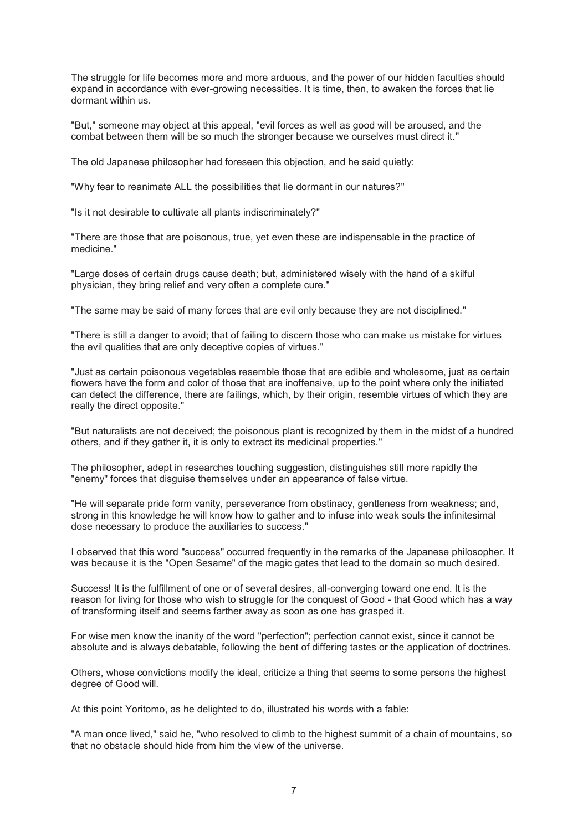The struggle for life becomes more and more arduous, and the power of our hidden faculties should expand in accordance with ever-growing necessities. It is time, then, to awaken the forces that lie dormant within us.

"But," someone may object at this appeal, "evil forces as well as good will be aroused, and the combat between them will be so much the stronger because we ourselves must direct it."

The old Japanese philosopher had foreseen this objection, and he said quietly:

"Why fear to reanimate ALL the possibilities that lie dormant in our natures?"

"Is it not desirable to cultivate all plants indiscriminately?"

"There are those that are poisonous, true, yet even these are indispensable in the practice of medicine."

"Large doses of certain drugs cause death; but, administered wisely with the hand of a skilful physician, they bring relief and very often a complete cure."

"The same may be said of many forces that are evil only because they are not disciplined."

"There is still a danger to avoid; that of failing to discern those who can make us mistake for virtues the evil qualities that are only deceptive copies of virtues."

"Just as certain poisonous vegetables resemble those that are edible and wholesome, just as certain flowers have the form and color of those that are inoffensive, up to the point where only the initiated can detect the difference, there are failings, which, by their origin, resemble virtues of which they are really the direct opposite."

"But naturalists are not deceived; the poisonous plant is recognized by them in the midst of a hundred others, and if they gather it, it is only to extract its medicinal properties."

The philosopher, adept in researches touching suggestion, distinguishes still more rapidly the "enemy" forces that disguise themselves under an appearance of false virtue.

"He will separate pride form vanity, perseverance from obstinacy, gentleness from weakness; and, strong in this knowledge he will know how to gather and to infuse into weak souls the infinitesimal dose necessary to produce the auxiliaries to success."

I observed that this word "success" occurred frequently in the remarks of the Japanese philosopher. It was because it is the "Open Sesame" of the magic gates that lead to the domain so much desired.

Success! It is the fulfillment of one or of several desires, all-converging toward one end. It is the reason for living for those who wish to struggle for the conquest of Good - that Good which has a way of transforming itself and seems farther away as soon as one has grasped it.

For wise men know the inanity of the word "perfection"; perfection cannot exist, since it cannot be absolute and is always debatable, following the bent of differing tastes or the application of doctrines.

Others, whose convictions modify the ideal, criticize a thing that seems to some persons the highest degree of Good will.

At this point Yoritomo, as he delighted to do, illustrated his words with a fable:

"A man once lived," said he, "who resolved to climb to the highest summit of a chain of mountains, so that no obstacle should hide from him the view of the universe.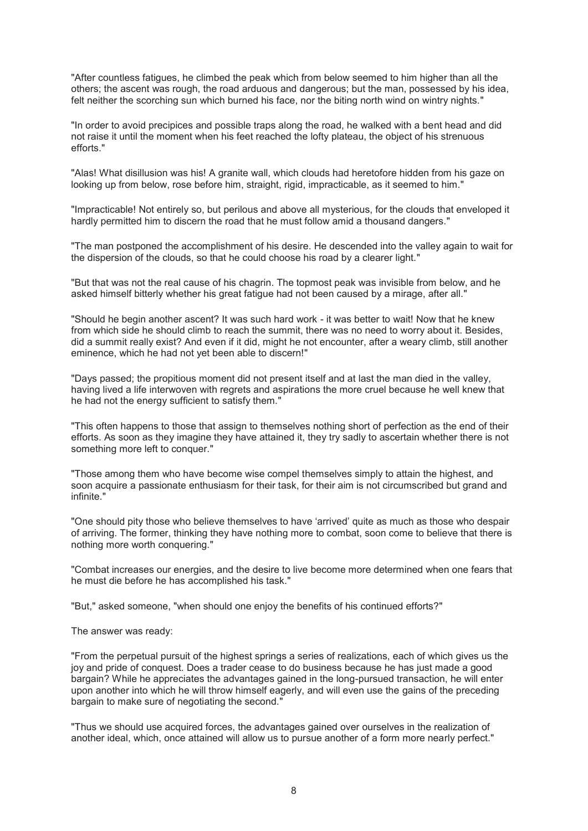"After countless fatigues, he climbed the peak which from below seemed to him higher than all the others; the ascent was rough, the road arduous and dangerous; but the man, possessed by his idea, felt neither the scorching sun which burned his face, nor the biting north wind on wintry nights."

"In order to avoid precipices and possible traps along the road, he walked with a bent head and did not raise it until the moment when his feet reached the lofty plateau, the object of his strenuous efforts."

"Alas! What disillusion was his! A granite wall, which clouds had heretofore hidden from his gaze on looking up from below, rose before him, straight, rigid, impracticable, as it seemed to him."

"Impracticable! Not entirely so, but perilous and above all mysterious, for the clouds that enveloped it hardly permitted him to discern the road that he must follow amid a thousand dangers."

"The man postponed the accomplishment of his desire. He descended into the valley again to wait for the dispersion of the clouds, so that he could choose his road by a clearer light."

"But that was not the real cause of his chagrin. The topmost peak was invisible from below, and he asked himself bitterly whether his great fatigue had not been caused by a mirage, after all."

"Should he begin another ascent? It was such hard work - it was better to wait! Now that he knew from which side he should climb to reach the summit, there was no need to worry about it. Besides, did a summit really exist? And even if it did, might he not encounter, after a weary climb, still another eminence, which he had not yet been able to discern!"

"Days passed; the propitious moment did not present itself and at last the man died in the valley, having lived a life interwoven with regrets and aspirations the more cruel because he well knew that he had not the energy sufficient to satisfy them."

"This often happens to those that assign to themselves nothing short of perfection as the end of their efforts. As soon as they imagine they have attained it, they try sadly to ascertain whether there is not something more left to conquer."

"Those among them who have become wise compel themselves simply to attain the highest, and soon acquire a passionate enthusiasm for their task, for their aim is not circumscribed but grand and infinite."

"One should pity those who believe themselves to have 'arrived' quite as much as those who despair of arriving. The former, thinking they have nothing more to combat, soon come to believe that there is nothing more worth conquering."

"Combat increases our energies, and the desire to live become more determined when one fears that he must die before he has accomplished his task."

"But," asked someone, "when should one enjoy the benefits of his continued efforts?"

The answer was ready:

"From the perpetual pursuit of the highest springs a series of realizations, each of which gives us the joy and pride of conquest. Does a trader cease to do business because he has just made a good bargain? While he appreciates the advantages gained in the long-pursued transaction, he will enter upon another into which he will throw himself eagerly, and will even use the gains of the preceding bargain to make sure of negotiating the second."

"Thus we should use acquired forces, the advantages gained over ourselves in the realization of another ideal, which, once attained will allow us to pursue another of a form more nearly perfect."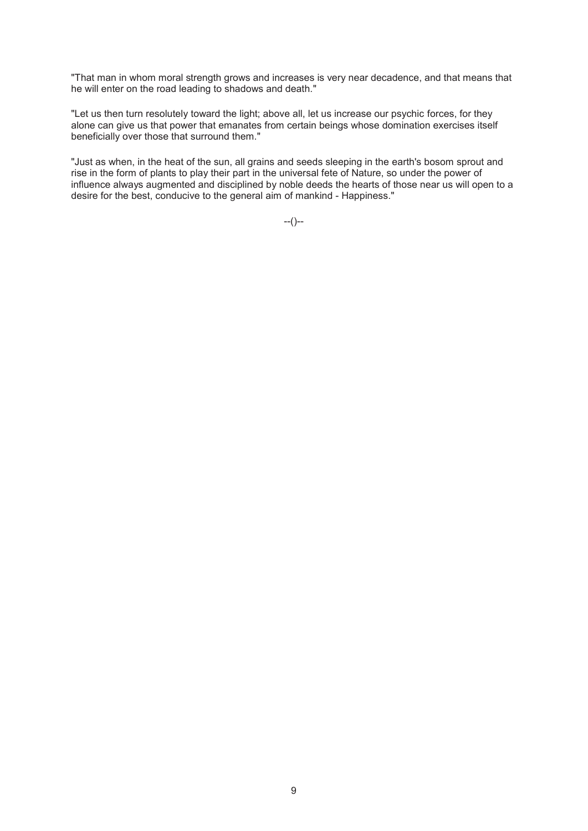"That man in whom moral strength grows and increases is very near decadence, and that means that he will enter on the road leading to shadows and death."

"Let us then turn resolutely toward the light; above all, let us increase our psychic forces, for they alone can give us that power that emanates from certain beings whose domination exercises itself beneficially over those that surround them."

"Just as when, in the heat of the sun, all grains and seeds sleeping in the earth's bosom sprout and rise in the form of plants to play their part in the universal fete of Nature, so under the power of influence always augmented and disciplined by noble deeds the hearts of those near us will open to a desire for the best, conducive to the general aim of mankind - Happiness."

--()--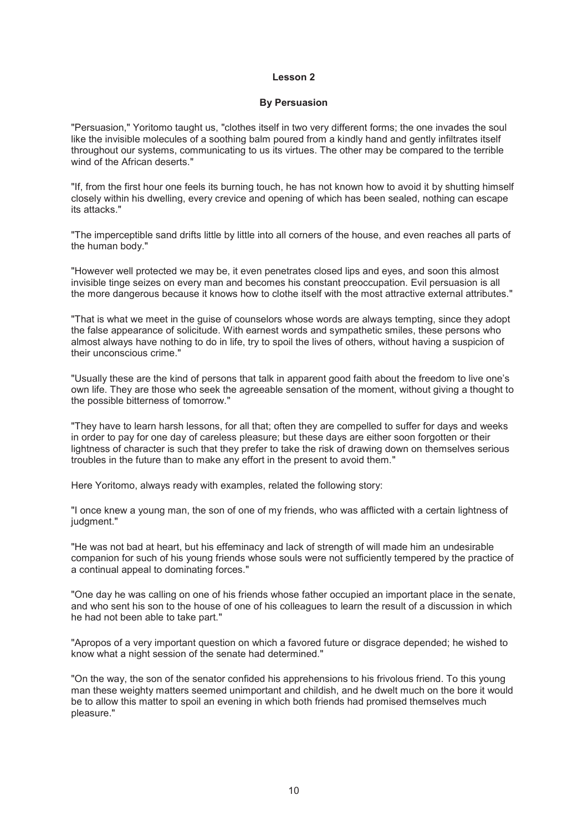## **Lesson 2**

#### **By Persuasion**

"Persuasion," Yoritomo taught us, "clothes itself in two very different forms; the one invades the soul like the invisible molecules of a soothing balm poured from a kindly hand and gently infiltrates itself throughout our systems, communicating to us its virtues. The other may be compared to the terrible wind of the African deserts."

"If, from the first hour one feels its burning touch, he has not known how to avoid it by shutting himself closely within his dwelling, every crevice and opening of which has been sealed, nothing can escape its attacks."

"The imperceptible sand drifts little by little into all corners of the house, and even reaches all parts of the human body."

"However well protected we may be, it even penetrates closed lips and eyes, and soon this almost invisible tinge seizes on every man and becomes his constant preoccupation. Evil persuasion is all the more dangerous because it knows how to clothe itself with the most attractive external attributes."

"That is what we meet in the guise of counselors whose words are always tempting, since they adopt the false appearance of solicitude. With earnest words and sympathetic smiles, these persons who almost always have nothing to do in life, try to spoil the lives of others, without having a suspicion of their unconscious crime."

"Usually these are the kind of persons that talk in apparent good faith about the freedom to live one's own life. They are those who seek the agreeable sensation of the moment, without giving a thought to the possible bitterness of tomorrow."

"They have to learn harsh lessons, for all that; often they are compelled to suffer for days and weeks in order to pay for one day of careless pleasure; but these days are either soon forgotten or their lightness of character is such that they prefer to take the risk of drawing down on themselves serious troubles in the future than to make any effort in the present to avoid them."

Here Yoritomo, always ready with examples, related the following story:

"I once knew a young man, the son of one of my friends, who was afflicted with a certain lightness of judgment."

"He was not bad at heart, but his effeminacy and lack of strength of will made him an undesirable companion for such of his young friends whose souls were not sufficiently tempered by the practice of a continual appeal to dominating forces."

"One day he was calling on one of his friends whose father occupied an important place in the senate, and who sent his son to the house of one of his colleagues to learn the result of a discussion in which he had not been able to take part."

"Apropos of a very important question on which a favored future or disgrace depended; he wished to know what a night session of the senate had determined."

"On the way, the son of the senator confided his apprehensions to his frivolous friend. To this young man these weighty matters seemed unimportant and childish, and he dwelt much on the bore it would be to allow this matter to spoil an evening in which both friends had promised themselves much pleasure."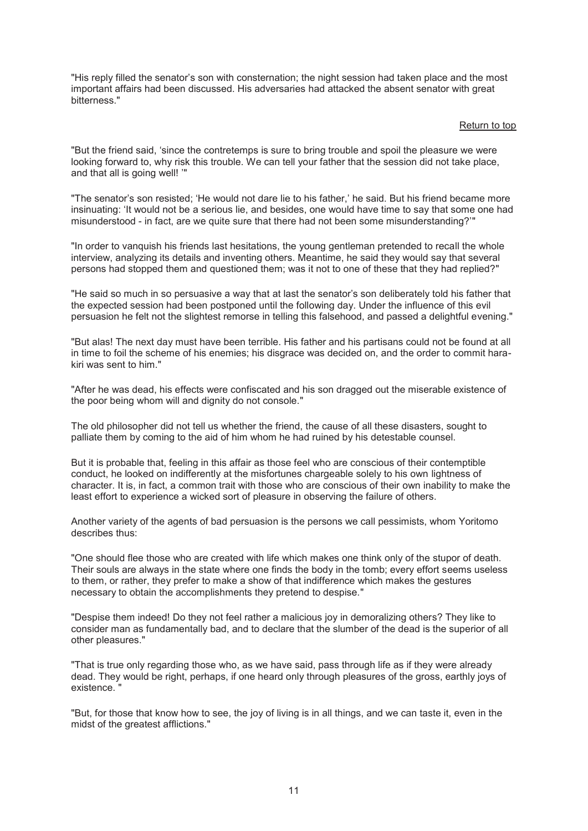"His reply filled the senator's son with consternation; the night session had taken place and the most important affairs had been discussed. His adversaries had attacked the absent senator with great bitterness."

#### Return to top

"But the friend said, 'since the contretemps is sure to bring trouble and spoil the pleasure we were looking forward to, why risk this trouble. We can tell your father that the session did not take place, and that all is going well! '"

"The senator's son resisted; 'He would not dare lie to his father,' he said. But his friend became more insinuating: 'It would not be a serious lie, and besides, one would have time to say that some one had misunderstood - in fact, are we quite sure that there had not been some misunderstanding?'"

"In order to vanquish his friends last hesitations, the young gentleman pretended to recall the whole interview, analyzing its details and inventing others. Meantime, he said they would say that several persons had stopped them and questioned them; was it not to one of these that they had replied?"

"He said so much in so persuasive a way that at last the senator's son deliberately told his father that the expected session had been postponed until the following day. Under the influence of this evil persuasion he felt not the slightest remorse in telling this falsehood, and passed a delightful evening."

"But alas! The next day must have been terrible. His father and his partisans could not be found at all in time to foil the scheme of his enemies; his disgrace was decided on, and the order to commit harakiri was sent to him."

"After he was dead, his effects were confiscated and his son dragged out the miserable existence of the poor being whom will and dignity do not console."

The old philosopher did not tell us whether the friend, the cause of all these disasters, sought to palliate them by coming to the aid of him whom he had ruined by his detestable counsel.

But it is probable that, feeling in this affair as those feel who are conscious of their contemptible conduct, he looked on indifferently at the misfortunes chargeable solely to his own lightness of character. It is, in fact, a common trait with those who are conscious of their own inability to make the least effort to experience a wicked sort of pleasure in observing the failure of others.

Another variety of the agents of bad persuasion is the persons we call pessimists, whom Yoritomo describes thus:

"One should flee those who are created with life which makes one think only of the stupor of death. Their souls are always in the state where one finds the body in the tomb; every effort seems useless to them, or rather, they prefer to make a show of that indifference which makes the gestures necessary to obtain the accomplishments they pretend to despise."

"Despise them indeed! Do they not feel rather a malicious joy in demoralizing others? They like to consider man as fundamentally bad, and to declare that the slumber of the dead is the superior of all other pleasures."

"That is true only regarding those who, as we have said, pass through life as if they were already dead. They would be right, perhaps, if one heard only through pleasures of the gross, earthly joys of existence. "

"But, for those that know how to see, the joy of living is in all things, and we can taste it, even in the midst of the greatest afflictions."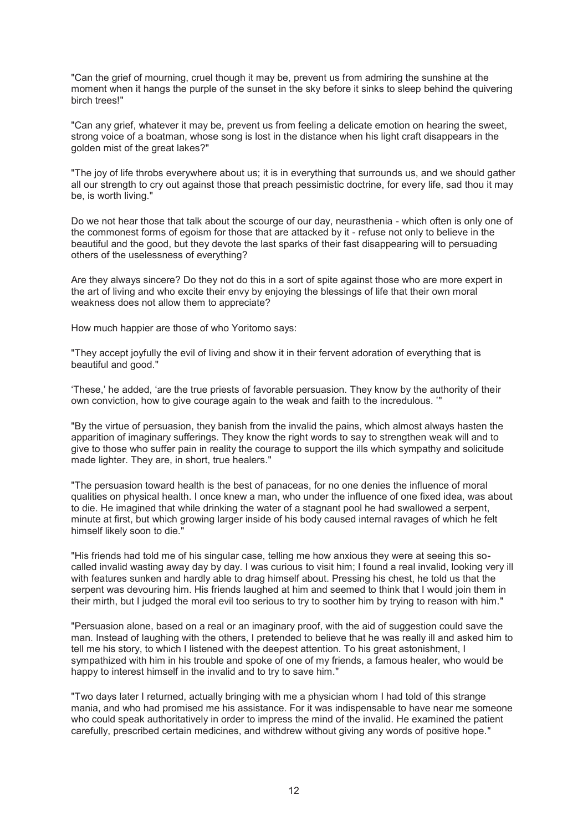"Can the grief of mourning, cruel though it may be, prevent us from admiring the sunshine at the moment when it hangs the purple of the sunset in the sky before it sinks to sleep behind the quivering birch trees!"

"Can any grief, whatever it may be, prevent us from feeling a delicate emotion on hearing the sweet, strong voice of a boatman, whose song is lost in the distance when his light craft disappears in the golden mist of the great lakes?"

"The joy of life throbs everywhere about us; it is in everything that surrounds us, and we should gather all our strength to cry out against those that preach pessimistic doctrine, for every life, sad thou it may be, is worth living."

Do we not hear those that talk about the scourge of our day, neurasthenia - which often is only one of the commonest forms of egoism for those that are attacked by it - refuse not only to believe in the beautiful and the good, but they devote the last sparks of their fast disappearing will to persuading others of the uselessness of everything?

Are they always sincere? Do they not do this in a sort of spite against those who are more expert in the art of living and who excite their envy by enjoying the blessings of life that their own moral weakness does not allow them to appreciate?

How much happier are those of who Yoritomo says:

"They accept joyfully the evil of living and show it in their fervent adoration of everything that is beautiful and good."

'These,' he added, 'are the true priests of favorable persuasion. They know by the authority of their own conviction, how to give courage again to the weak and faith to the incredulous. '"

"By the virtue of persuasion, they banish from the invalid the pains, which almost always hasten the apparition of imaginary sufferings. They know the right words to say to strengthen weak will and to give to those who suffer pain in reality the courage to support the ills which sympathy and solicitude made lighter. They are, in short, true healers."

"The persuasion toward health is the best of panaceas, for no one denies the influence of moral qualities on physical health. I once knew a man, who under the influence of one fixed idea, was about to die. He imagined that while drinking the water of a stagnant pool he had swallowed a serpent, minute at first, but which growing larger inside of his body caused internal ravages of which he felt himself likely soon to die."

"His friends had told me of his singular case, telling me how anxious they were at seeing this socalled invalid wasting away day by day. I was curious to visit him; I found a real invalid, looking very ill with features sunken and hardly able to drag himself about. Pressing his chest, he told us that the serpent was devouring him. His friends laughed at him and seemed to think that I would join them in their mirth, but I judged the moral evil too serious to try to soother him by trying to reason with him."

"Persuasion alone, based on a real or an imaginary proof, with the aid of suggestion could save the man. Instead of laughing with the others, I pretended to believe that he was really ill and asked him to tell me his story, to which I listened with the deepest attention. To his great astonishment, I sympathized with him in his trouble and spoke of one of my friends, a famous healer, who would be happy to interest himself in the invalid and to try to save him."

"Two days later I returned, actually bringing with me a physician whom I had told of this strange mania, and who had promised me his assistance. For it was indispensable to have near me someone who could speak authoritatively in order to impress the mind of the invalid. He examined the patient carefully, prescribed certain medicines, and withdrew without giving any words of positive hope."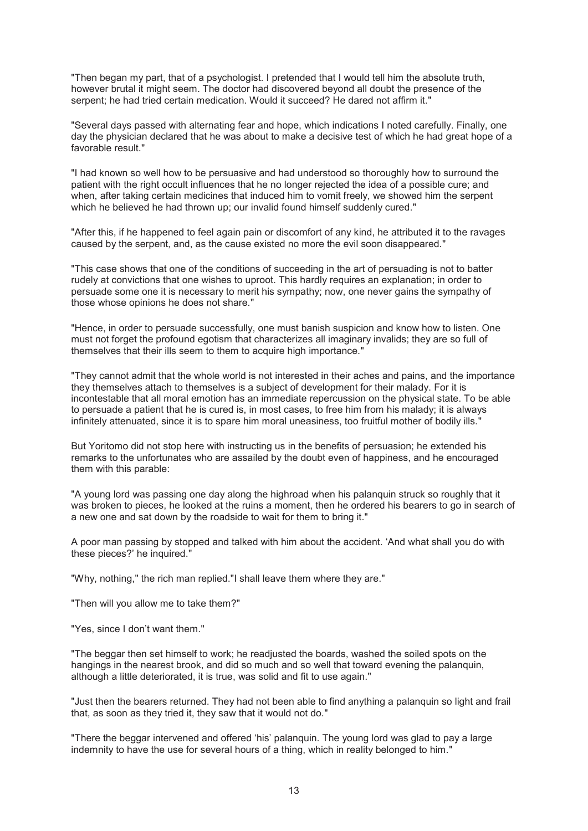"Then began my part, that of a psychologist. I pretended that I would tell him the absolute truth, however brutal it might seem. The doctor had discovered beyond all doubt the presence of the serpent; he had tried certain medication. Would it succeed? He dared not affirm it."

"Several days passed with alternating fear and hope, which indications I noted carefully. Finally, one day the physician declared that he was about to make a decisive test of which he had great hope of a favorable result."

"I had known so well how to be persuasive and had understood so thoroughly how to surround the patient with the right occult influences that he no longer rejected the idea of a possible cure; and when, after taking certain medicines that induced him to vomit freely, we showed him the serpent which he believed he had thrown up; our invalid found himself suddenly cured."

"After this, if he happened to feel again pain or discomfort of any kind, he attributed it to the ravages caused by the serpent, and, as the cause existed no more the evil soon disappeared."

"This case shows that one of the conditions of succeeding in the art of persuading is not to batter rudely at convictions that one wishes to uproot. This hardly requires an explanation; in order to persuade some one it is necessary to merit his sympathy; now, one never gains the sympathy of those whose opinions he does not share."

"Hence, in order to persuade successfully, one must banish suspicion and know how to listen. One must not forget the profound egotism that characterizes all imaginary invalids; they are so full of themselves that their ills seem to them to acquire high importance."

"They cannot admit that the whole world is not interested in their aches and pains, and the importance they themselves attach to themselves is a subject of development for their malady. For it is incontestable that all moral emotion has an immediate repercussion on the physical state. To be able to persuade a patient that he is cured is, in most cases, to free him from his malady; it is always infinitely attenuated, since it is to spare him moral uneasiness, too fruitful mother of bodily ills."

But Yoritomo did not stop here with instructing us in the benefits of persuasion; he extended his remarks to the unfortunates who are assailed by the doubt even of happiness, and he encouraged them with this parable:

"A young lord was passing one day along the highroad when his palanquin struck so roughly that it was broken to pieces, he looked at the ruins a moment, then he ordered his bearers to go in search of a new one and sat down by the roadside to wait for them to bring it."

A poor man passing by stopped and talked with him about the accident. 'And what shall you do with these pieces?' he inquired."

"Why, nothing," the rich man replied."I shall leave them where they are."

"Then will you allow me to take them?"

"Yes, since I don't want them."

"The beggar then set himself to work; he readjusted the boards, washed the soiled spots on the hangings in the nearest brook, and did so much and so well that toward evening the palanquin, although a little deteriorated, it is true, was solid and fit to use again."

"Just then the bearers returned. They had not been able to find anything a palanquin so light and frail that, as soon as they tried it, they saw that it would not do."

"There the beggar intervened and offered 'his' palanquin. The young lord was glad to pay a large indemnity to have the use for several hours of a thing, which in reality belonged to him."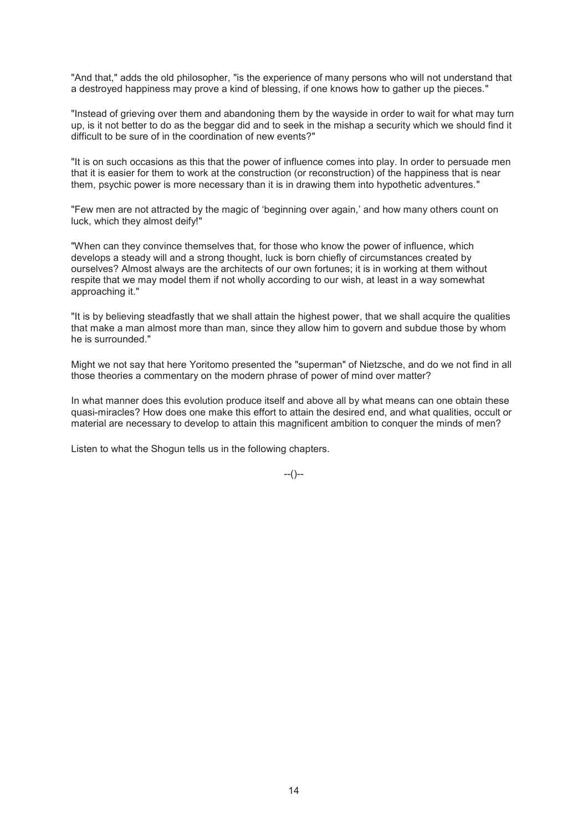"And that," adds the old philosopher, "is the experience of many persons who will not understand that a destroyed happiness may prove a kind of blessing, if one knows how to gather up the pieces."

"Instead of grieving over them and abandoning them by the wayside in order to wait for what may turn up, is it not better to do as the beggar did and to seek in the mishap a security which we should find it difficult to be sure of in the coordination of new events?"

"It is on such occasions as this that the power of influence comes into play. In order to persuade men that it is easier for them to work at the construction (or reconstruction) of the happiness that is near them, psychic power is more necessary than it is in drawing them into hypothetic adventures."

"Few men are not attracted by the magic of 'beginning over again,' and how many others count on luck, which they almost deify!"

"When can they convince themselves that, for those who know the power of influence, which develops a steady will and a strong thought, luck is born chiefly of circumstances created by ourselves? Almost always are the architects of our own fortunes; it is in working at them without respite that we may model them if not wholly according to our wish, at least in a way somewhat approaching it."

"It is by believing steadfastly that we shall attain the highest power, that we shall acquire the qualities that make a man almost more than man, since they allow him to govern and subdue those by whom he is surrounded."

Might we not say that here Yoritomo presented the "superman" of Nietzsche, and do we not find in all those theories a commentary on the modern phrase of power of mind over matter?

In what manner does this evolution produce itself and above all by what means can one obtain these quasi-miracles? How does one make this effort to attain the desired end, and what qualities, occult or material are necessary to develop to attain this magnificent ambition to conquer the minds of men?

Listen to what the Shogun tells us in the following chapters.

 $-(-)$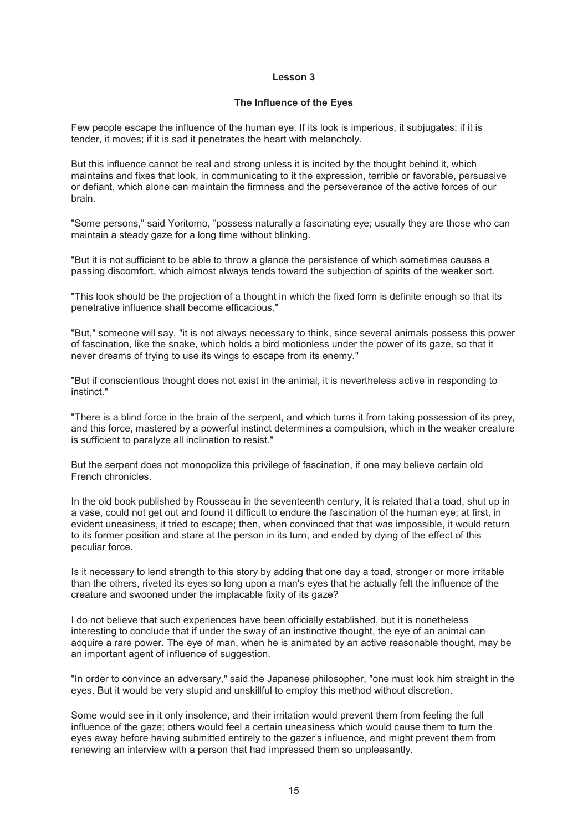## **Lesson 3**

#### **The Influence of the Eyes**

Few people escape the influence of the human eye. If its look is imperious, it subjugates; if it is tender, it moves; if it is sad it penetrates the heart with melancholy.

But this influence cannot be real and strong unless it is incited by the thought behind it, which maintains and fixes that look, in communicating to it the expression, terrible or favorable, persuasive or defiant, which alone can maintain the firmness and the perseverance of the active forces of our brain.

"Some persons," said Yoritomo, "possess naturally a fascinating eye; usually they are those who can maintain a steady gaze for a long time without blinking.

"But it is not sufficient to be able to throw a glance the persistence of which sometimes causes a passing discomfort, which almost always tends toward the subjection of spirits of the weaker sort.

"This look should be the projection of a thought in which the fixed form is definite enough so that its penetrative influence shall become efficacious."

"But," someone will say, "it is not always necessary to think, since several animals possess this power of fascination, like the snake, which holds a bird motionless under the power of its gaze, so that it never dreams of trying to use its wings to escape from its enemy."

"But if conscientious thought does not exist in the animal, it is nevertheless active in responding to instinct."

"There is a blind force in the brain of the serpent, and which turns it from taking possession of its prey, and this force, mastered by a powerful instinct determines a compulsion, which in the weaker creature is sufficient to paralyze all inclination to resist."

But the serpent does not monopolize this privilege of fascination, if one may believe certain old French chronicles.

In the old book published by Rousseau in the seventeenth century, it is related that a toad, shut up in a vase, could not get out and found it difficult to endure the fascination of the human eye; at first, in evident uneasiness, it tried to escape; then, when convinced that that was impossible, it would return to its former position and stare at the person in its turn, and ended by dying of the effect of this peculiar force.

Is it necessary to lend strength to this story by adding that one day a toad, stronger or more irritable than the others, riveted its eyes so long upon a man's eyes that he actually felt the influence of the creature and swooned under the implacable fixity of its gaze?

I do not believe that such experiences have been officially established, but it is nonetheless interesting to conclude that if under the sway of an instinctive thought, the eye of an animal can acquire a rare power. The eye of man, when he is animated by an active reasonable thought, may be an important agent of influence of suggestion.

"In order to convince an adversary," said the Japanese philosopher, "one must look him straight in the eyes. But it would be very stupid and unskillful to employ this method without discretion.

Some would see in it only insolence, and their irritation would prevent them from feeling the full influence of the gaze; others would feel a certain uneasiness which would cause them to turn the eyes away before having submitted entirely to the gazer's influence, and might prevent them from renewing an interview with a person that had impressed them so unpleasantly.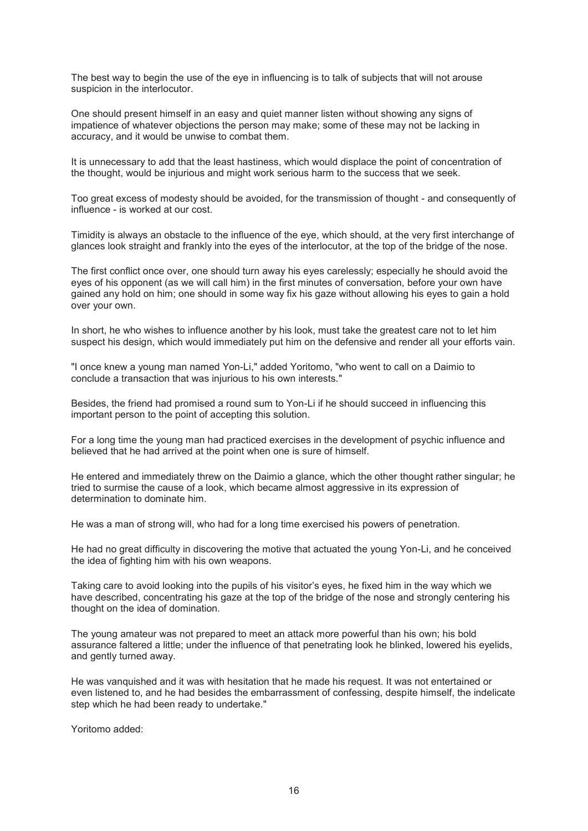The best way to begin the use of the eye in influencing is to talk of subjects that will not arouse suspicion in the interlocutor.

One should present himself in an easy and quiet manner listen without showing any signs of impatience of whatever objections the person may make; some of these may not be lacking in accuracy, and it would be unwise to combat them.

It is unnecessary to add that the least hastiness, which would displace the point of concentration of the thought, would be injurious and might work serious harm to the success that we seek.

Too great excess of modesty should be avoided, for the transmission of thought - and consequently of influence - is worked at our cost.

Timidity is always an obstacle to the influence of the eye, which should, at the very first interchange of glances look straight and frankly into the eyes of the interlocutor, at the top of the bridge of the nose.

The first conflict once over, one should turn away his eyes carelessly; especially he should avoid the eyes of his opponent (as we will call him) in the first minutes of conversation, before your own have gained any hold on him; one should in some way fix his gaze without allowing his eyes to gain a hold over your own.

In short, he who wishes to influence another by his look, must take the greatest care not to let him suspect his design, which would immediately put him on the defensive and render all your efforts vain.

"I once knew a young man named Yon-Li," added Yoritomo, "who went to call on a Daimio to conclude a transaction that was injurious to his own interests."

Besides, the friend had promised a round sum to Yon-Li if he should succeed in influencing this important person to the point of accepting this solution.

For a long time the young man had practiced exercises in the development of psychic influence and believed that he had arrived at the point when one is sure of himself.

He entered and immediately threw on the Daimio a glance, which the other thought rather singular; he tried to surmise the cause of a look, which became almost aggressive in its expression of determination to dominate him.

He was a man of strong will, who had for a long time exercised his powers of penetration.

He had no great difficulty in discovering the motive that actuated the young Yon-Li, and he conceived the idea of fighting him with his own weapons.

Taking care to avoid looking into the pupils of his visitor's eyes, he fixed him in the way which we have described, concentrating his gaze at the top of the bridge of the nose and strongly centering his thought on the idea of domination.

The young amateur was not prepared to meet an attack more powerful than his own; his bold assurance faltered a little; under the influence of that penetrating look he blinked, lowered his eyelids, and gently turned away.

He was vanquished and it was with hesitation that he made his request. It was not entertained or even listened to, and he had besides the embarrassment of confessing, despite himself, the indelicate step which he had been ready to undertake."

Yoritomo added: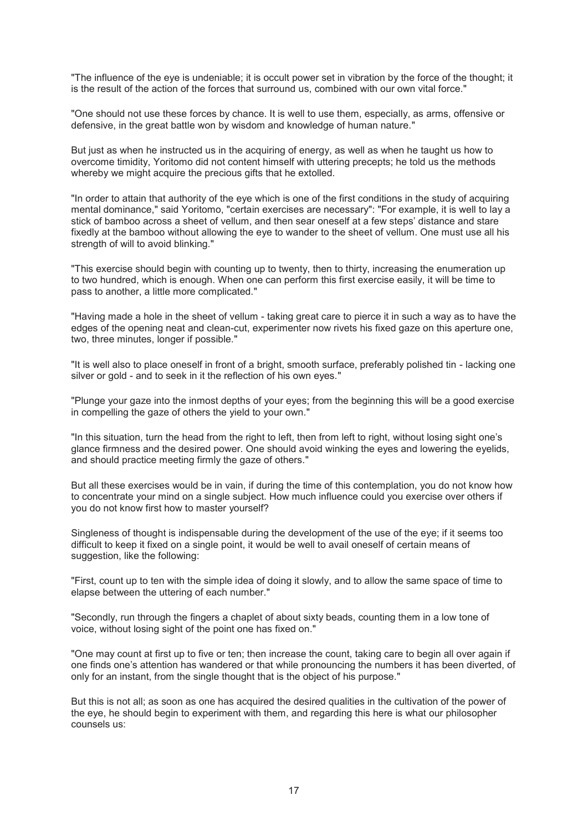"The influence of the eye is undeniable; it is occult power set in vibration by the force of the thought; it is the result of the action of the forces that surround us, combined with our own vital force."

"One should not use these forces by chance. It is well to use them, especially, as arms, offensive or defensive, in the great battle won by wisdom and knowledge of human nature."

But just as when he instructed us in the acquiring of energy, as well as when he taught us how to overcome timidity, Yoritomo did not content himself with uttering precepts; he told us the methods whereby we might acquire the precious gifts that he extolled.

"In order to attain that authority of the eye which is one of the first conditions in the study of acquiring mental dominance," said Yoritomo, "certain exercises are necessary": "For example, it is well to lay a stick of bamboo across a sheet of vellum, and then sear oneself at a few steps' distance and stare fixedly at the bamboo without allowing the eye to wander to the sheet of vellum. One must use all his strength of will to avoid blinking."

"This exercise should begin with counting up to twenty, then to thirty, increasing the enumeration up to two hundred, which is enough. When one can perform this first exercise easily, it will be time to pass to another, a little more complicated."

"Having made a hole in the sheet of vellum - taking great care to pierce it in such a way as to have the edges of the opening neat and clean-cut, experimenter now rivets his fixed gaze on this aperture one, two, three minutes, longer if possible."

"It is well also to place oneself in front of a bright, smooth surface, preferably polished tin - lacking one silver or gold - and to seek in it the reflection of his own eyes."

"Plunge your gaze into the inmost depths of your eyes; from the beginning this will be a good exercise in compelling the gaze of others the yield to your own."

"In this situation, turn the head from the right to left, then from left to right, without losing sight one's glance firmness and the desired power. One should avoid winking the eyes and lowering the eyelids, and should practice meeting firmly the gaze of others."

But all these exercises would be in vain, if during the time of this contemplation, you do not know how to concentrate your mind on a single subject. How much influence could you exercise over others if you do not know first how to master yourself?

Singleness of thought is indispensable during the development of the use of the eye; if it seems too difficult to keep it fixed on a single point, it would be well to avail oneself of certain means of suggestion, like the following:

"First, count up to ten with the simple idea of doing it slowly, and to allow the same space of time to elapse between the uttering of each number."

"Secondly, run through the fingers a chaplet of about sixty beads, counting them in a low tone of voice, without losing sight of the point one has fixed on."

"One may count at first up to five or ten; then increase the count, taking care to begin all over again if one finds one's attention has wandered or that while pronouncing the numbers it has been diverted, of only for an instant, from the single thought that is the object of his purpose."

But this is not all; as soon as one has acquired the desired qualities in the cultivation of the power of the eye, he should begin to experiment with them, and regarding this here is what our philosopher counsels us: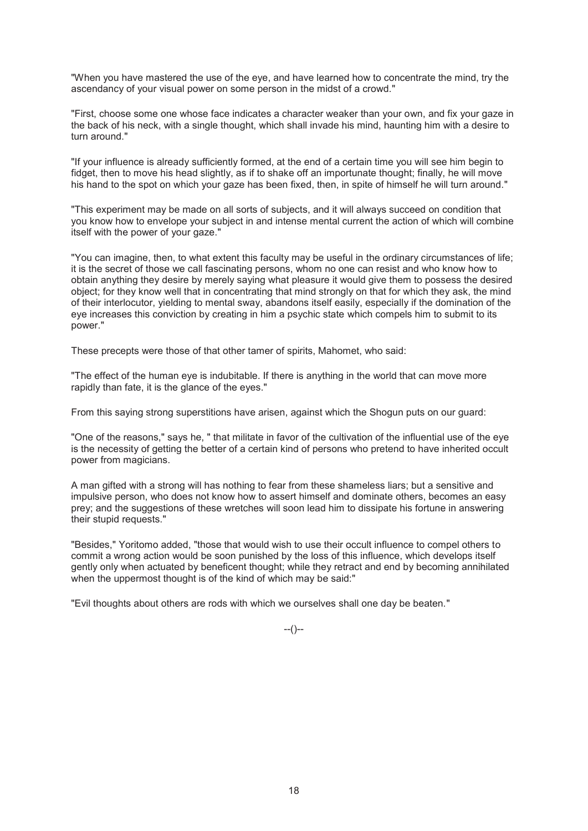"When you have mastered the use of the eye, and have learned how to concentrate the mind, try the ascendancy of your visual power on some person in the midst of a crowd."

"First, choose some one whose face indicates a character weaker than your own, and fix your gaze in the back of his neck, with a single thought, which shall invade his mind, haunting him with a desire to turn around."

"If your influence is already sufficiently formed, at the end of a certain time you will see him begin to fidget, then to move his head slightly, as if to shake off an importunate thought; finally, he will move his hand to the spot on which your gaze has been fixed, then, in spite of himself he will turn around."

"This experiment may be made on all sorts of subjects, and it will always succeed on condition that you know how to envelope your subject in and intense mental current the action of which will combine itself with the power of your gaze."

"You can imagine, then, to what extent this faculty may be useful in the ordinary circumstances of life; it is the secret of those we call fascinating persons, whom no one can resist and who know how to obtain anything they desire by merely saying what pleasure it would give them to possess the desired object; for they know well that in concentrating that mind strongly on that for which they ask, the mind of their interlocutor, yielding to mental sway, abandons itself easily, especially if the domination of the eye increases this conviction by creating in him a psychic state which compels him to submit to its power."

These precepts were those of that other tamer of spirits, Mahomet, who said:

"The effect of the human eye is indubitable. If there is anything in the world that can move more rapidly than fate, it is the glance of the eyes."

From this saying strong superstitions have arisen, against which the Shogun puts on our guard:

"One of the reasons," says he, " that militate in favor of the cultivation of the influential use of the eye is the necessity of getting the better of a certain kind of persons who pretend to have inherited occult power from magicians.

A man gifted with a strong will has nothing to fear from these shameless liars; but a sensitive and impulsive person, who does not know how to assert himself and dominate others, becomes an easy prey; and the suggestions of these wretches will soon lead him to dissipate his fortune in answering their stupid requests."

"Besides," Yoritomo added, "those that would wish to use their occult influence to compel others to commit a wrong action would be soon punished by the loss of this influence, which develops itself gently only when actuated by beneficent thought; while they retract and end by becoming annihilated when the uppermost thought is of the kind of which may be said:"

"Evil thoughts about others are rods with which we ourselves shall one day be beaten."

--()--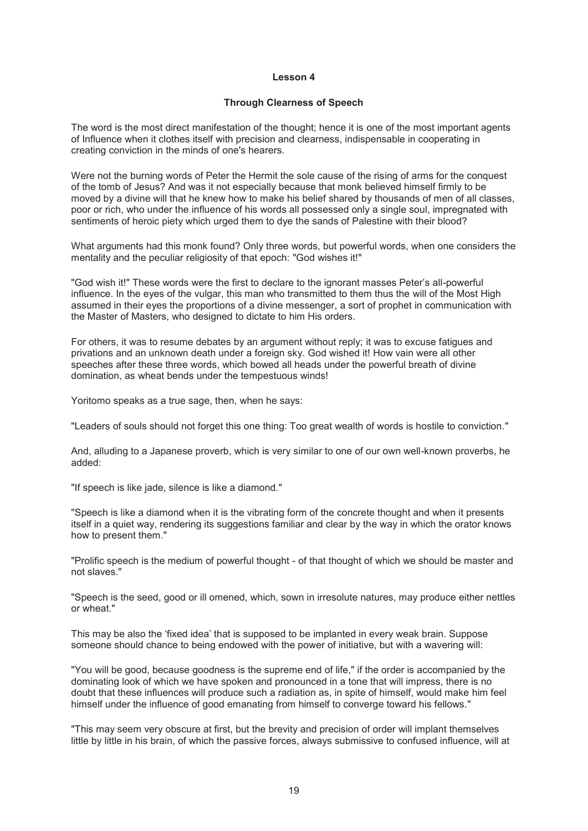#### **Lesson 4**

## **Through Clearness of Speech**

The word is the most direct manifestation of the thought; hence it is one of the most important agents of Influence when it clothes itself with precision and clearness, indispensable in cooperating in creating conviction in the minds of one's hearers.

Were not the burning words of Peter the Hermit the sole cause of the rising of arms for the conquest of the tomb of Jesus? And was it not especially because that monk believed himself firmly to be moved by a divine will that he knew how to make his belief shared by thousands of men of all classes, poor or rich, who under the influence of his words all possessed only a single soul, impregnated with sentiments of heroic piety which urged them to dye the sands of Palestine with their blood?

What arguments had this monk found? Only three words, but powerful words, when one considers the mentality and the peculiar religiosity of that epoch: "God wishes it!"

"God wish it!" These words were the first to declare to the ignorant masses Peter's all-powerful influence. In the eyes of the vulgar, this man who transmitted to them thus the will of the Most High assumed in their eyes the proportions of a divine messenger, a sort of prophet in communication with the Master of Masters, who designed to dictate to him His orders.

For others, it was to resume debates by an argument without reply; it was to excuse fatigues and privations and an unknown death under a foreign sky. God wished it! How vain were all other speeches after these three words, which bowed all heads under the powerful breath of divine domination, as wheat bends under the tempestuous winds!

Yoritomo speaks as a true sage, then, when he says:

"Leaders of souls should not forget this one thing: Too great wealth of words is hostile to conviction."

And, alluding to a Japanese proverb, which is very similar to one of our own well-known proverbs, he added:

"If speech is like jade, silence is like a diamond."

"Speech is like a diamond when it is the vibrating form of the concrete thought and when it presents itself in a quiet way, rendering its suggestions familiar and clear by the way in which the orator knows how to present them."

"Prolific speech is the medium of powerful thought - of that thought of which we should be master and not slaves."

"Speech is the seed, good or ill omened, which, sown in irresolute natures, may produce either nettles or wheat."

This may be also the 'fixed idea' that is supposed to be implanted in every weak brain. Suppose someone should chance to being endowed with the power of initiative, but with a wavering will:

"You will be good, because goodness is the supreme end of life," if the order is accompanied by the dominating look of which we have spoken and pronounced in a tone that will impress, there is no doubt that these influences will produce such a radiation as, in spite of himself, would make him feel himself under the influence of good emanating from himself to converge toward his fellows."

"This may seem very obscure at first, but the brevity and precision of order will implant themselves little by little in his brain, of which the passive forces, always submissive to confused influence, will at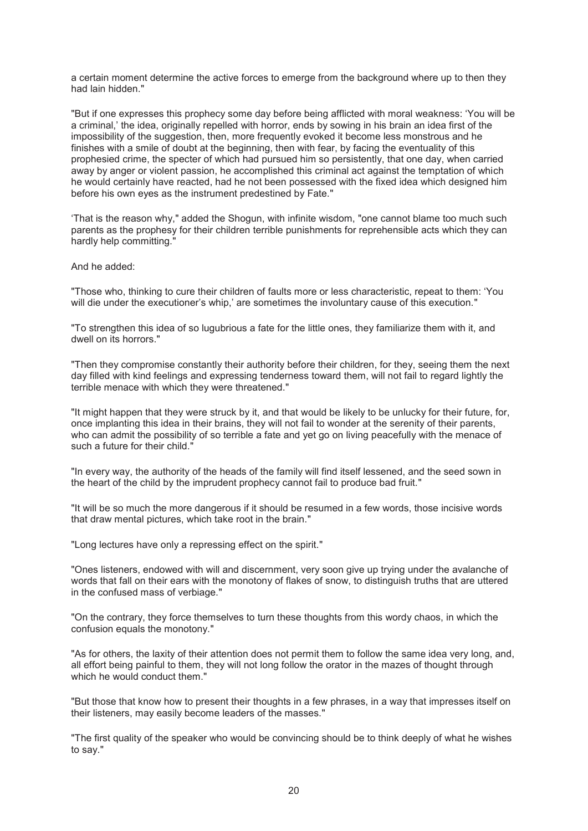a certain moment determine the active forces to emerge from the background where up to then they had lain hidden."

"But if one expresses this prophecy some day before being afflicted with moral weakness: 'You will be a criminal,' the idea, originally repelled with horror, ends by sowing in his brain an idea first of the impossibility of the suggestion, then, more frequently evoked it become less monstrous and he finishes with a smile of doubt at the beginning, then with fear, by facing the eventuality of this prophesied crime, the specter of which had pursued him so persistently, that one day, when carried away by anger or violent passion, he accomplished this criminal act against the temptation of which he would certainly have reacted, had he not been possessed with the fixed idea which designed him before his own eyes as the instrument predestined by Fate."

'That is the reason why," added the Shogun, with infinite wisdom, "one cannot blame too much such parents as the prophesy for their children terrible punishments for reprehensible acts which they can hardly help committing."

And he added:

"Those who, thinking to cure their children of faults more or less characteristic, repeat to them: 'You will die under the executioner's whip,' are sometimes the involuntary cause of this execution."

"To strengthen this idea of so lugubrious a fate for the little ones, they familiarize them with it, and dwell on its horrors."

"Then they compromise constantly their authority before their children, for they, seeing them the next day filled with kind feelings and expressing tenderness toward them, will not fail to regard lightly the terrible menace with which they were threatened."

"It might happen that they were struck by it, and that would be likely to be unlucky for their future, for, once implanting this idea in their brains, they will not fail to wonder at the serenity of their parents, who can admit the possibility of so terrible a fate and yet go on living peacefully with the menace of such a future for their child."

"In every way, the authority of the heads of the family will find itself lessened, and the seed sown in the heart of the child by the imprudent prophecy cannot fail to produce bad fruit."

"It will be so much the more dangerous if it should be resumed in a few words, those incisive words that draw mental pictures, which take root in the brain."

"Long lectures have only a repressing effect on the spirit."

"Ones listeners, endowed with will and discernment, very soon give up trying under the avalanche of words that fall on their ears with the monotony of flakes of snow, to distinguish truths that are uttered in the confused mass of verbiage."

"On the contrary, they force themselves to turn these thoughts from this wordy chaos, in which the confusion equals the monotony."

"As for others, the laxity of their attention does not permit them to follow the same idea very long, and, all effort being painful to them, they will not long follow the orator in the mazes of thought through which he would conduct them."

"But those that know how to present their thoughts in a few phrases, in a way that impresses itself on their listeners, may easily become leaders of the masses."

"The first quality of the speaker who would be convincing should be to think deeply of what he wishes to say."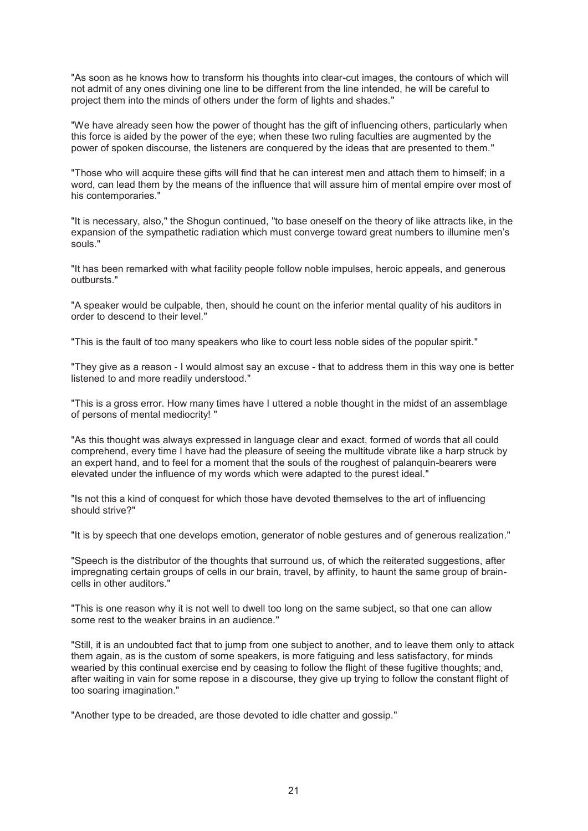"As soon as he knows how to transform his thoughts into clear-cut images, the contours of which will not admit of any ones divining one line to be different from the line intended, he will be careful to project them into the minds of others under the form of lights and shades."

"We have already seen how the power of thought has the gift of influencing others, particularly when this force is aided by the power of the eye; when these two ruling faculties are augmented by the power of spoken discourse, the listeners are conquered by the ideas that are presented to them."

"Those who will acquire these gifts will find that he can interest men and attach them to himself; in a word, can lead them by the means of the influence that will assure him of mental empire over most of his contemporaries."

"It is necessary, also," the Shogun continued, "to base oneself on the theory of like attracts like, in the expansion of the sympathetic radiation which must converge toward great numbers to illumine men's souls."

"It has been remarked with what facility people follow noble impulses, heroic appeals, and generous outbursts."

"A speaker would be culpable, then, should he count on the inferior mental quality of his auditors in order to descend to their level."

"This is the fault of too many speakers who like to court less noble sides of the popular spirit."

"They give as a reason - I would almost say an excuse - that to address them in this way one is better listened to and more readily understood."

"This is a gross error. How many times have I uttered a noble thought in the midst of an assemblage of persons of mental mediocrity! "

"As this thought was always expressed in language clear and exact, formed of words that all could comprehend, every time I have had the pleasure of seeing the multitude vibrate like a harp struck by an expert hand, and to feel for a moment that the souls of the roughest of palanquin-bearers were elevated under the influence of my words which were adapted to the purest ideal."

"Is not this a kind of conquest for which those have devoted themselves to the art of influencing should strive?"

"It is by speech that one develops emotion, generator of noble gestures and of generous realization."

"Speech is the distributor of the thoughts that surround us, of which the reiterated suggestions, after impregnating certain groups of cells in our brain, travel, by affinity, to haunt the same group of braincells in other auditors."

"This is one reason why it is not well to dwell too long on the same subject, so that one can allow some rest to the weaker brains in an audience."

"Still, it is an undoubted fact that to jump from one subject to another, and to leave them only to attack them again, as is the custom of some speakers, is more fatiguing and less satisfactory, for minds wearied by this continual exercise end by ceasing to follow the flight of these fugitive thoughts; and, after waiting in vain for some repose in a discourse, they give up trying to follow the constant flight of too soaring imagination."

"Another type to be dreaded, are those devoted to idle chatter and gossip."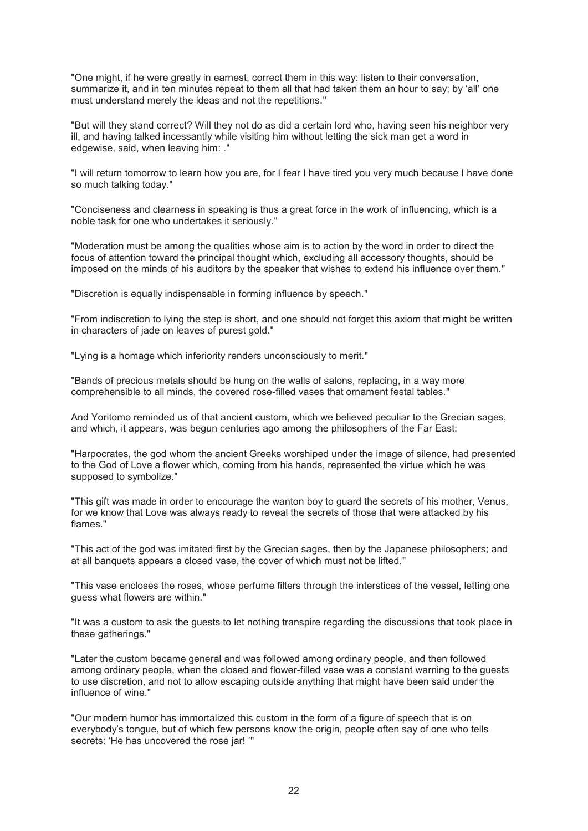"One might, if he were greatly in earnest, correct them in this way: listen to their conversation, summarize it, and in ten minutes repeat to them all that had taken them an hour to say; by 'all' one must understand merely the ideas and not the repetitions."

"But will they stand correct? Will they not do as did a certain lord who, having seen his neighbor very ill, and having talked incessantly while visiting him without letting the sick man get a word in edgewise, said, when leaving him: ."

"I will return tomorrow to learn how you are, for I fear I have tired you very much because I have done so much talking today."

"Conciseness and clearness in speaking is thus a great force in the work of influencing, which is a noble task for one who undertakes it seriously."

"Moderation must be among the qualities whose aim is to action by the word in order to direct the focus of attention toward the principal thought which, excluding all accessory thoughts, should be imposed on the minds of his auditors by the speaker that wishes to extend his influence over them."

"Discretion is equally indispensable in forming influence by speech."

"From indiscretion to lying the step is short, and one should not forget this axiom that might be written in characters of jade on leaves of purest gold."

"Lying is a homage which inferiority renders unconsciously to merit."

"Bands of precious metals should be hung on the walls of salons, replacing, in a way more comprehensible to all minds, the covered rose-filled vases that ornament festal tables."

And Yoritomo reminded us of that ancient custom, which we believed peculiar to the Grecian sages, and which, it appears, was begun centuries ago among the philosophers of the Far East:

"Harpocrates, the god whom the ancient Greeks worshiped under the image of silence, had presented to the God of Love a flower which, coming from his hands, represented the virtue which he was supposed to symbolize."

"This gift was made in order to encourage the wanton boy to guard the secrets of his mother, Venus, for we know that Love was always ready to reveal the secrets of those that were attacked by his flames."

"This act of the god was imitated first by the Grecian sages, then by the Japanese philosophers; and at all banquets appears a closed vase, the cover of which must not be lifted."

"This vase encloses the roses, whose perfume filters through the interstices of the vessel, letting one guess what flowers are within."

"It was a custom to ask the guests to let nothing transpire regarding the discussions that took place in these gatherings."

"Later the custom became general and was followed among ordinary people, and then followed among ordinary people, when the closed and flower-filled vase was a constant warning to the guests to use discretion, and not to allow escaping outside anything that might have been said under the influence of wine."

"Our modern humor has immortalized this custom in the form of a figure of speech that is on everybody's tongue, but of which few persons know the origin, people often say of one who tells secrets: 'He has uncovered the rose jar! '"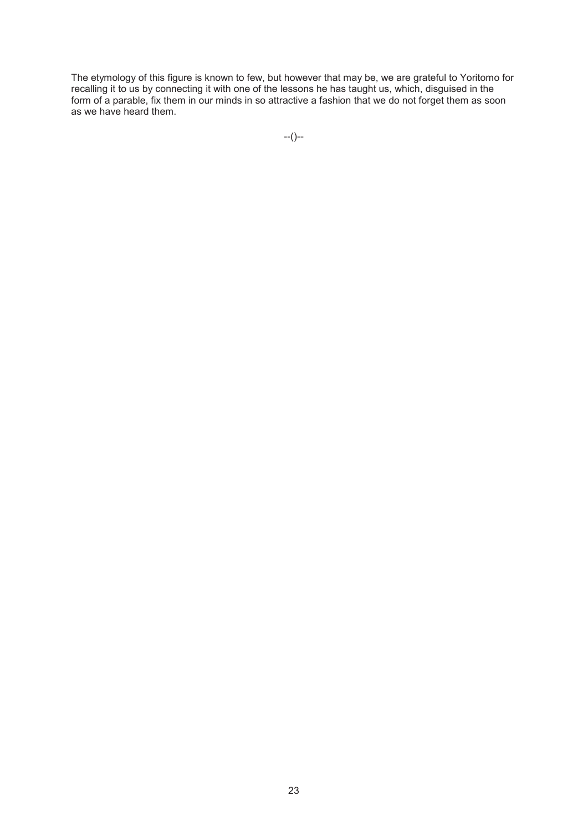The etymology of this figure is known to few, but however that may be, we are grateful to Yoritomo for recalling it to us by connecting it with one of the lessons he has taught us, which, disguised in the form of a parable, fix them in our minds in so attractive a fashion that we do not forget them as soon as we have heard them.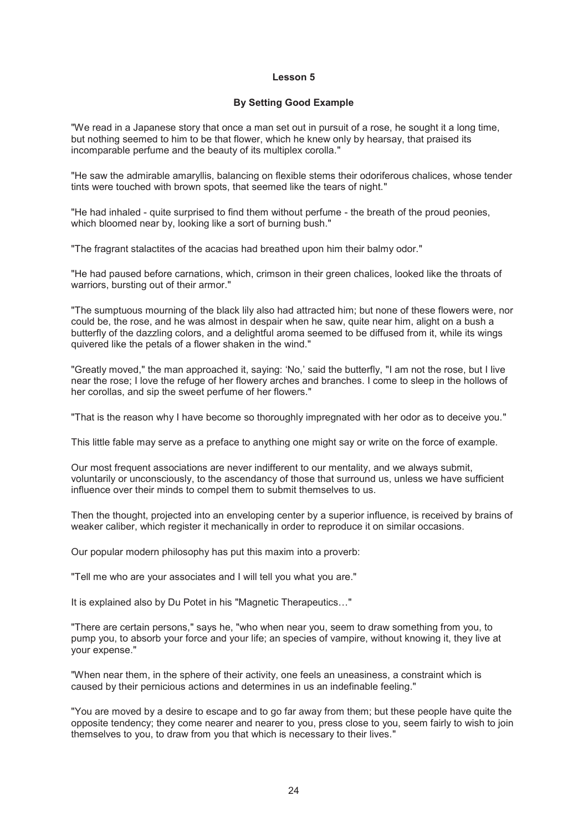## **Lesson 5**

## **By Setting Good Example**

"We read in a Japanese story that once a man set out in pursuit of a rose, he sought it a long time, but nothing seemed to him to be that flower, which he knew only by hearsay, that praised its incomparable perfume and the beauty of its multiplex corolla."

"He saw the admirable amaryllis, balancing on flexible stems their odoriferous chalices, whose tender tints were touched with brown spots, that seemed like the tears of night."

"He had inhaled - quite surprised to find them without perfume - the breath of the proud peonies, which bloomed near by, looking like a sort of burning bush."

"The fragrant stalactites of the acacias had breathed upon him their balmy odor."

"He had paused before carnations, which, crimson in their green chalices, looked like the throats of warriors, bursting out of their armor."

"The sumptuous mourning of the black lily also had attracted him; but none of these flowers were, nor could be, the rose, and he was almost in despair when he saw, quite near him, alight on a bush a butterfly of the dazzling colors, and a delightful aroma seemed to be diffused from it, while its wings quivered like the petals of a flower shaken in the wind."

"Greatly moved," the man approached it, saying: 'No,' said the butterfly, "I am not the rose, but I live near the rose; I love the refuge of her flowery arches and branches. I come to sleep in the hollows of her corollas, and sip the sweet perfume of her flowers."

"That is the reason why I have become so thoroughly impregnated with her odor as to deceive you."

This little fable may serve as a preface to anything one might say or write on the force of example.

Our most frequent associations are never indifferent to our mentality, and we always submit, voluntarily or unconsciously, to the ascendancy of those that surround us, unless we have sufficient influence over their minds to compel them to submit themselves to us.

Then the thought, projected into an enveloping center by a superior influence, is received by brains of weaker caliber, which register it mechanically in order to reproduce it on similar occasions.

Our popular modern philosophy has put this maxim into a proverb:

"Tell me who are your associates and I will tell you what you are."

It is explained also by Du Potet in his "Magnetic Therapeutics…"

"There are certain persons," says he, "who when near you, seem to draw something from you, to pump you, to absorb your force and your life; an species of vampire, without knowing it, they live at your expense."

"When near them, in the sphere of their activity, one feels an uneasiness, a constraint which is caused by their pernicious actions and determines in us an indefinable feeling."

"You are moved by a desire to escape and to go far away from them; but these people have quite the opposite tendency; they come nearer and nearer to you, press close to you, seem fairly to wish to join themselves to you, to draw from you that which is necessary to their lives."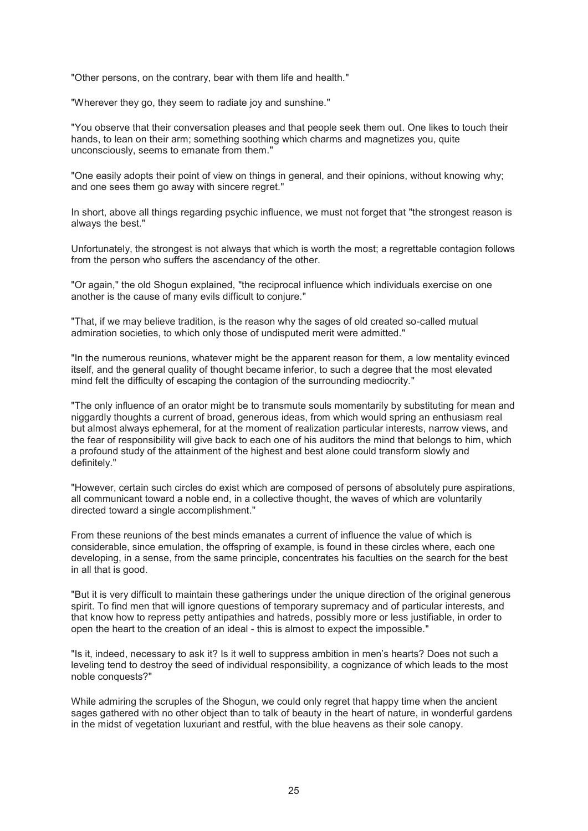"Other persons, on the contrary, bear with them life and health."

"Wherever they go, they seem to radiate joy and sunshine."

"You observe that their conversation pleases and that people seek them out. One likes to touch their hands, to lean on their arm; something soothing which charms and magnetizes you, quite unconsciously, seems to emanate from them."

"One easily adopts their point of view on things in general, and their opinions, without knowing why; and one sees them go away with sincere regret."

In short, above all things regarding psychic influence, we must not forget that "the strongest reason is always the best."

Unfortunately, the strongest is not always that which is worth the most; a regrettable contagion follows from the person who suffers the ascendancy of the other.

"Or again," the old Shogun explained, "the reciprocal influence which individuals exercise on one another is the cause of many evils difficult to conjure."

"That, if we may believe tradition, is the reason why the sages of old created so-called mutual admiration societies, to which only those of undisputed merit were admitted."

"In the numerous reunions, whatever might be the apparent reason for them, a low mentality evinced itself, and the general quality of thought became inferior, to such a degree that the most elevated mind felt the difficulty of escaping the contagion of the surrounding mediocrity."

"The only influence of an orator might be to transmute souls momentarily by substituting for mean and niggardly thoughts a current of broad, generous ideas, from which would spring an enthusiasm real but almost always ephemeral, for at the moment of realization particular interests, narrow views, and the fear of responsibility will give back to each one of his auditors the mind that belongs to him, which a profound study of the attainment of the highest and best alone could transform slowly and definitely."

"However, certain such circles do exist which are composed of persons of absolutely pure aspirations, all communicant toward a noble end, in a collective thought, the waves of which are voluntarily directed toward a single accomplishment."

From these reunions of the best minds emanates a current of influence the value of which is considerable, since emulation, the offspring of example, is found in these circles where, each one developing, in a sense, from the same principle, concentrates his faculties on the search for the best in all that is good.

"But it is very difficult to maintain these gatherings under the unique direction of the original generous spirit. To find men that will ignore questions of temporary supremacy and of particular interests, and that know how to repress petty antipathies and hatreds, possibly more or less justifiable, in order to open the heart to the creation of an ideal - this is almost to expect the impossible."

"Is it, indeed, necessary to ask it? Is it well to suppress ambition in men's hearts? Does not such a leveling tend to destroy the seed of individual responsibility, a cognizance of which leads to the most noble conquests?"

While admiring the scruples of the Shogun, we could only regret that happy time when the ancient sages gathered with no other object than to talk of beauty in the heart of nature, in wonderful gardens in the midst of vegetation luxuriant and restful, with the blue heavens as their sole canopy.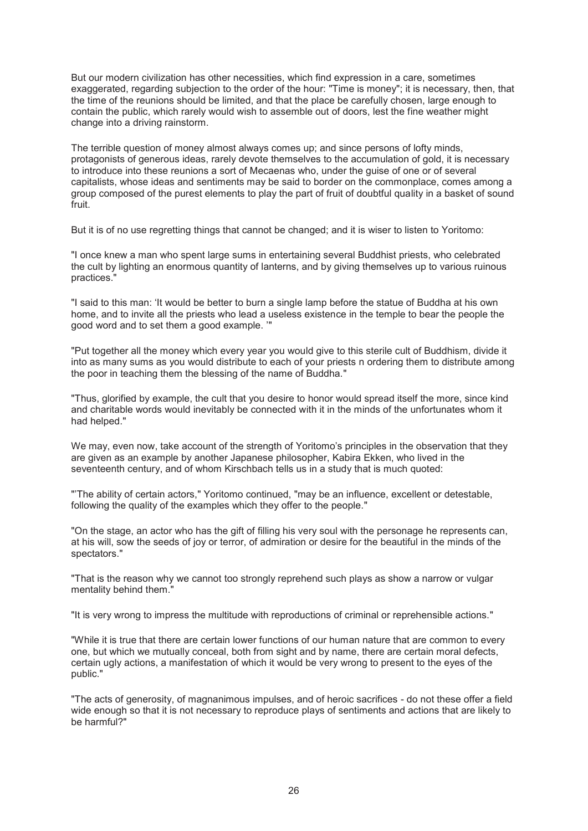But our modern civilization has other necessities, which find expression in a care, sometimes exaggerated, regarding subjection to the order of the hour: "Time is money"; it is necessary, then, that the time of the reunions should be limited, and that the place be carefully chosen, large enough to contain the public, which rarely would wish to assemble out of doors, lest the fine weather might change into a driving rainstorm.

The terrible question of money almost always comes up; and since persons of lofty minds, protagonists of generous ideas, rarely devote themselves to the accumulation of gold, it is necessary to introduce into these reunions a sort of Mecaenas who, under the guise of one or of several capitalists, whose ideas and sentiments may be said to border on the commonplace, comes among a group composed of the purest elements to play the part of fruit of doubtful quality in a basket of sound fruit.

But it is of no use regretting things that cannot be changed; and it is wiser to listen to Yoritomo:

"I once knew a man who spent large sums in entertaining several Buddhist priests, who celebrated the cult by lighting an enormous quantity of lanterns, and by giving themselves up to various ruinous practices."

"I said to this man: 'It would be better to burn a single lamp before the statue of Buddha at his own home, and to invite all the priests who lead a useless existence in the temple to bear the people the good word and to set them a good example. '"

"Put together all the money which every year you would give to this sterile cult of Buddhism, divide it into as many sums as you would distribute to each of your priests n ordering them to distribute among the poor in teaching them the blessing of the name of Buddha."

"Thus, glorified by example, the cult that you desire to honor would spread itself the more, since kind and charitable words would inevitably be connected with it in the minds of the unfortunates whom it had helped."

We may, even now, take account of the strength of Yoritomo's principles in the observation that they are given as an example by another Japanese philosopher, Kabira Ekken, who lived in the seventeenth century, and of whom Kirschbach tells us in a study that is much quoted:

"'The ability of certain actors," Yoritomo continued, "may be an influence, excellent or detestable, following the quality of the examples which they offer to the people."

"On the stage, an actor who has the gift of filling his very soul with the personage he represents can, at his will, sow the seeds of joy or terror, of admiration or desire for the beautiful in the minds of the spectators."

"That is the reason why we cannot too strongly reprehend such plays as show a narrow or vulgar mentality behind them."

"It is very wrong to impress the multitude with reproductions of criminal or reprehensible actions."

"While it is true that there are certain lower functions of our human nature that are common to every one, but which we mutually conceal, both from sight and by name, there are certain moral defects, certain ugly actions, a manifestation of which it would be very wrong to present to the eyes of the public."

"The acts of generosity, of magnanimous impulses, and of heroic sacrifices - do not these offer a field wide enough so that it is not necessary to reproduce plays of sentiments and actions that are likely to be harmful?"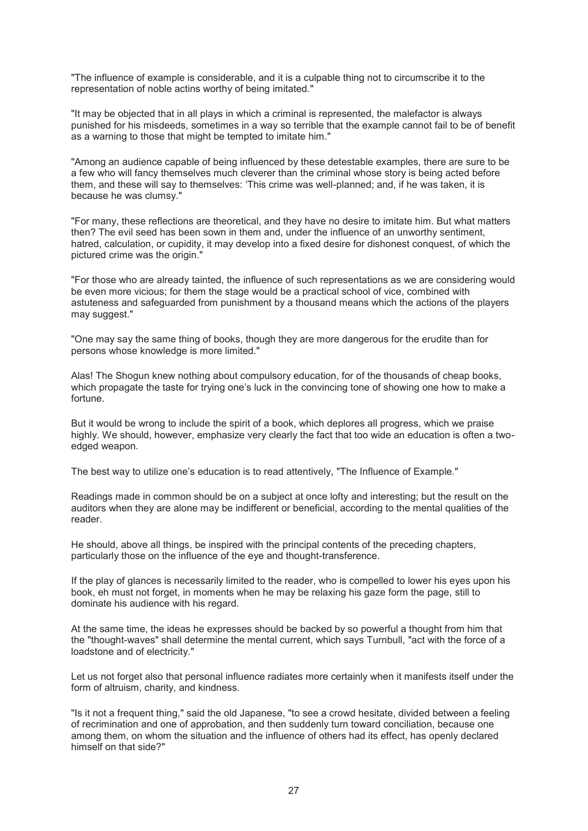"The influence of example is considerable, and it is a culpable thing not to circumscribe it to the representation of noble actins worthy of being imitated."

"It may be objected that in all plays in which a criminal is represented, the malefactor is always punished for his misdeeds, sometimes in a way so terrible that the example cannot fail to be of benefit as a warning to those that might be tempted to imitate him."

"Among an audience capable of being influenced by these detestable examples, there are sure to be a few who will fancy themselves much cleverer than the criminal whose story is being acted before them, and these will say to themselves: 'This crime was well-planned; and, if he was taken, it is because he was clumsy."

"For many, these reflections are theoretical, and they have no desire to imitate him. But what matters then? The evil seed has been sown in them and, under the influence of an unworthy sentiment, hatred, calculation, or cupidity, it may develop into a fixed desire for dishonest conquest, of which the pictured crime was the origin."

"For those who are already tainted, the influence of such representations as we are considering would be even more vicious; for them the stage would be a practical school of vice, combined with astuteness and safeguarded from punishment by a thousand means which the actions of the players may suggest."

"One may say the same thing of books, though they are more dangerous for the erudite than for persons whose knowledge is more limited."

Alas! The Shogun knew nothing about compulsory education, for of the thousands of cheap books, which propagate the taste for trying one's luck in the convincing tone of showing one how to make a fortune.

But it would be wrong to include the spirit of a book, which deplores all progress, which we praise highly. We should, however, emphasize very clearly the fact that too wide an education is often a twoedged weapon.

The best way to utilize one's education is to read attentively, "The Influence of Example."

Readings made in common should be on a subject at once lofty and interesting; but the result on the auditors when they are alone may be indifferent or beneficial, according to the mental qualities of the reader.

He should, above all things, be inspired with the principal contents of the preceding chapters, particularly those on the influence of the eye and thought-transference.

If the play of glances is necessarily limited to the reader, who is compelled to lower his eyes upon his book, eh must not forget, in moments when he may be relaxing his gaze form the page, still to dominate his audience with his regard.

At the same time, the ideas he expresses should be backed by so powerful a thought from him that the "thought-waves" shall determine the mental current, which says Turnbull, "act with the force of a loadstone and of electricity."

Let us not forget also that personal influence radiates more certainly when it manifests itself under the form of altruism, charity, and kindness.

"Is it not a frequent thing," said the old Japanese, "to see a crowd hesitate, divided between a feeling of recrimination and one of approbation, and then suddenly turn toward conciliation, because one among them, on whom the situation and the influence of others had its effect, has openly declared himself on that side?"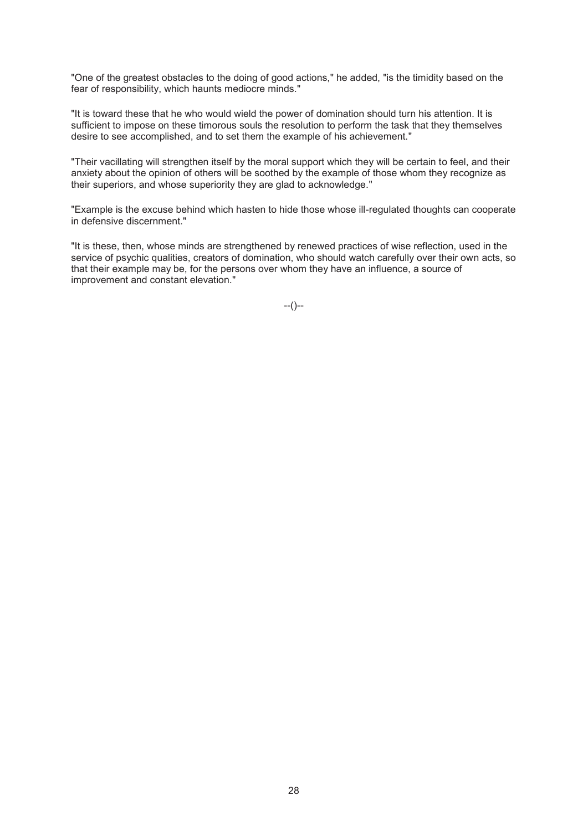"One of the greatest obstacles to the doing of good actions," he added, "is the timidity based on the fear of responsibility, which haunts mediocre minds."

"It is toward these that he who would wield the power of domination should turn his attention. It is sufficient to impose on these timorous souls the resolution to perform the task that they themselves desire to see accomplished, and to set them the example of his achievement."

"Their vacillating will strengthen itself by the moral support which they will be certain to feel, and their anxiety about the opinion of others will be soothed by the example of those whom they recognize as their superiors, and whose superiority they are glad to acknowledge."

"Example is the excuse behind which hasten to hide those whose ill-regulated thoughts can cooperate in defensive discernment."

"It is these, then, whose minds are strengthened by renewed practices of wise reflection, used in the service of psychic qualities, creators of domination, who should watch carefully over their own acts, so that their example may be, for the persons over whom they have an influence, a source of improvement and constant elevation."

--()--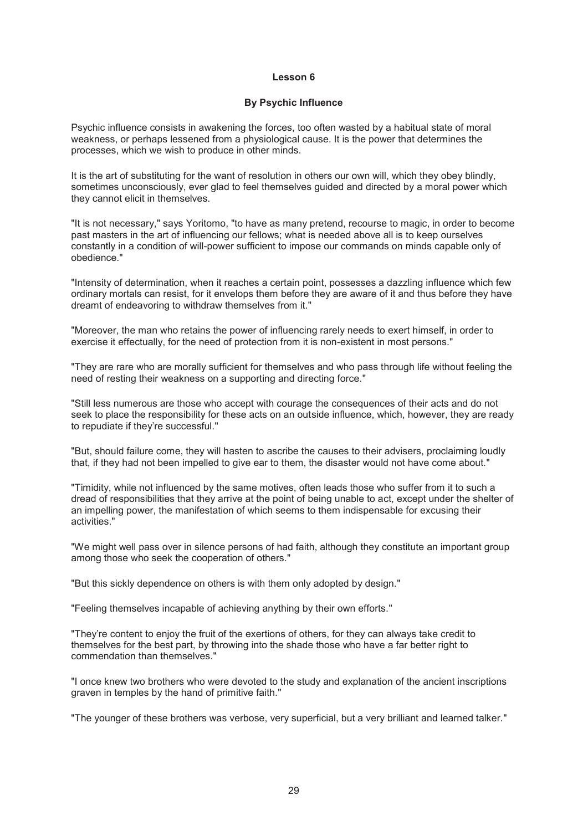#### **Lesson 6**

## **By Psychic Influence**

Psychic influence consists in awakening the forces, too often wasted by a habitual state of moral weakness, or perhaps lessened from a physiological cause. It is the power that determines the processes, which we wish to produce in other minds.

It is the art of substituting for the want of resolution in others our own will, which they obey blindly, sometimes unconsciously, ever glad to feel themselves guided and directed by a moral power which they cannot elicit in themselves.

"It is not necessary," says Yoritomo, "to have as many pretend, recourse to magic, in order to become past masters in the art of influencing our fellows; what is needed above all is to keep ourselves constantly in a condition of will-power sufficient to impose our commands on minds capable only of obedience."

"Intensity of determination, when it reaches a certain point, possesses a dazzling influence which few ordinary mortals can resist, for it envelops them before they are aware of it and thus before they have dreamt of endeavoring to withdraw themselves from it."

"Moreover, the man who retains the power of influencing rarely needs to exert himself, in order to exercise it effectually, for the need of protection from it is non-existent in most persons."

"They are rare who are morally sufficient for themselves and who pass through life without feeling the need of resting their weakness on a supporting and directing force."

"Still less numerous are those who accept with courage the consequences of their acts and do not seek to place the responsibility for these acts on an outside influence, which, however, they are ready to repudiate if they're successful."

"But, should failure come, they will hasten to ascribe the causes to their advisers, proclaiming loudly that, if they had not been impelled to give ear to them, the disaster would not have come about."

"Timidity, while not influenced by the same motives, often leads those who suffer from it to such a dread of responsibilities that they arrive at the point of being unable to act, except under the shelter of an impelling power, the manifestation of which seems to them indispensable for excusing their activities."

"We might well pass over in silence persons of had faith, although they constitute an important group among those who seek the cooperation of others."

"But this sickly dependence on others is with them only adopted by design."

"Feeling themselves incapable of achieving anything by their own efforts."

"They're content to enjoy the fruit of the exertions of others, for they can always take credit to themselves for the best part, by throwing into the shade those who have a far better right to commendation than themselves."

"I once knew two brothers who were devoted to the study and explanation of the ancient inscriptions graven in temples by the hand of primitive faith."

"The younger of these brothers was verbose, very superficial, but a very brilliant and learned talker."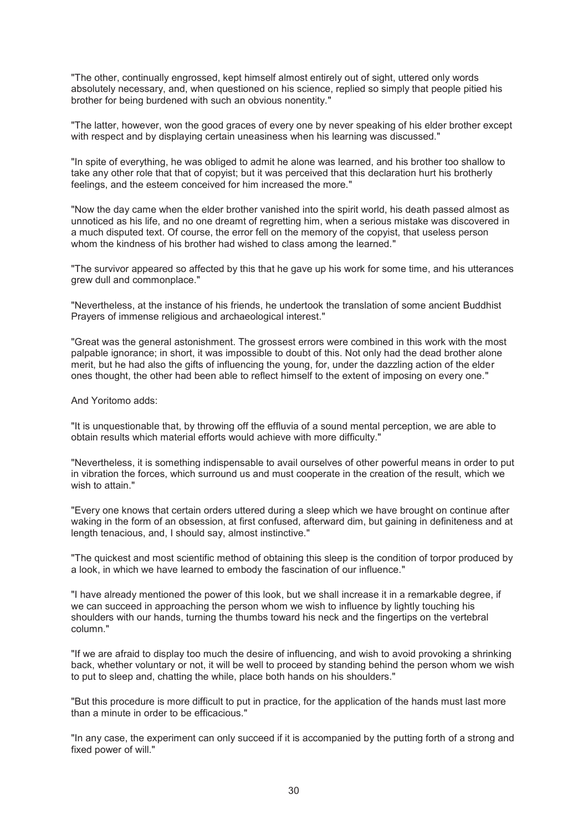"The other, continually engrossed, kept himself almost entirely out of sight, uttered only words absolutely necessary, and, when questioned on his science, replied so simply that people pitied his brother for being burdened with such an obvious nonentity."

"The latter, however, won the good graces of every one by never speaking of his elder brother except with respect and by displaying certain uneasiness when his learning was discussed."

"In spite of everything, he was obliged to admit he alone was learned, and his brother too shallow to take any other role that that of copyist; but it was perceived that this declaration hurt his brotherly feelings, and the esteem conceived for him increased the more."

"Now the day came when the elder brother vanished into the spirit world, his death passed almost as unnoticed as his life, and no one dreamt of regretting him, when a serious mistake was discovered in a much disputed text. Of course, the error fell on the memory of the copyist, that useless person whom the kindness of his brother had wished to class among the learned."

"The survivor appeared so affected by this that he gave up his work for some time, and his utterances grew dull and commonplace."

"Nevertheless, at the instance of his friends, he undertook the translation of some ancient Buddhist Prayers of immense religious and archaeological interest."

"Great was the general astonishment. The grossest errors were combined in this work with the most palpable ignorance; in short, it was impossible to doubt of this. Not only had the dead brother alone merit, but he had also the gifts of influencing the young, for, under the dazzling action of the elder ones thought, the other had been able to reflect himself to the extent of imposing on every one."

And Yoritomo adds:

"It is unquestionable that, by throwing off the effluvia of a sound mental perception, we are able to obtain results which material efforts would achieve with more difficulty."

"Nevertheless, it is something indispensable to avail ourselves of other powerful means in order to put in vibration the forces, which surround us and must cooperate in the creation of the result, which we wish to attain."

"Every one knows that certain orders uttered during a sleep which we have brought on continue after waking in the form of an obsession, at first confused, afterward dim, but gaining in definiteness and at length tenacious, and, I should say, almost instinctive."

"The quickest and most scientific method of obtaining this sleep is the condition of torpor produced by a look, in which we have learned to embody the fascination of our influence."

"I have already mentioned the power of this look, but we shall increase it in a remarkable degree, if we can succeed in approaching the person whom we wish to influence by lightly touching his shoulders with our hands, turning the thumbs toward his neck and the fingertips on the vertebral column."

"If we are afraid to display too much the desire of influencing, and wish to avoid provoking a shrinking back, whether voluntary or not, it will be well to proceed by standing behind the person whom we wish to put to sleep and, chatting the while, place both hands on his shoulders."

"But this procedure is more difficult to put in practice, for the application of the hands must last more than a minute in order to be efficacious."

"In any case, the experiment can only succeed if it is accompanied by the putting forth of a strong and fixed power of will."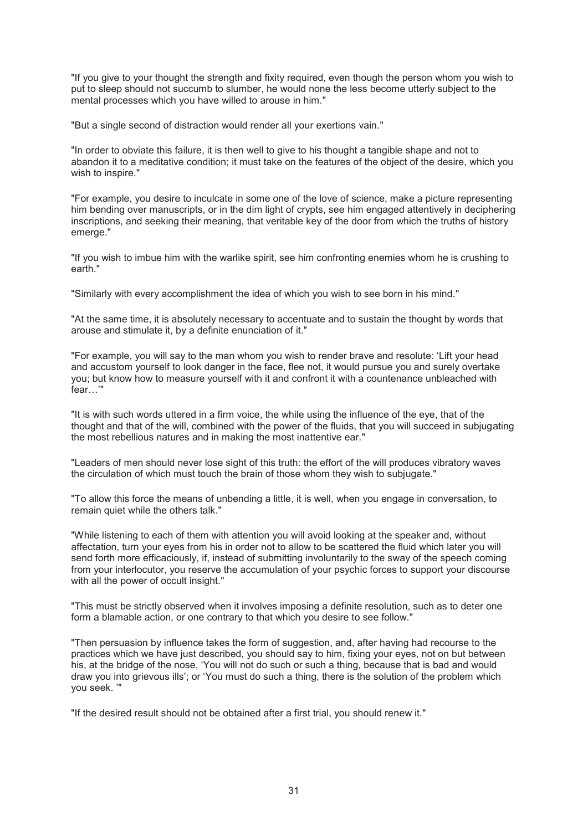"If you give to your thought the strength and fixity required, even though the person whom you wish to put to sleep should not succumb to slumber, he would none the less become utterly subject to the mental processes which you have willed to arouse in him."

"But a single second of distraction would render all your exertions vain."

"In order to obviate this failure, it is then well to give to his thought a tangible shape and not to abandon it to a meditative condition; it must take on the features of the object of the desire, which you wish to inspire."

"For example, you desire to inculcate in some one of the love of science, make a picture representing him bending over manuscripts, or in the dim light of crypts, see him engaged attentively in deciphering inscriptions, and seeking their meaning, that veritable key of the door from which the truths of history emerge."

"If you wish to imbue him with the warlike spirit, see him confronting enemies whom he is crushing to earth."

"Similarly with every accomplishment the idea of which you wish to see born in his mind."

"At the same time, it is absolutely necessary to accentuate and to sustain the thought by words that arouse and stimulate it, by a definite enunciation of it."

"For example, you will say to the man whom you wish to render brave and resolute: 'Lift your head and accustom yourself to look danger in the face, flee not, it would pursue you and surely overtake you; but know how to measure yourself with it and confront it with a countenance unbleached with fear…'"

"It is with such words uttered in a firm voice, the while using the influence of the eye, that of the thought and that of the will, combined with the power of the fluids, that you will succeed in subjugating the most rebellious natures and in making the most inattentive ear."

"Leaders of men should never lose sight of this truth: the effort of the will produces vibratory waves the circulation of which must touch the brain of those whom they wish to subjugate."

"To allow this force the means of unbending a little, it is well, when you engage in conversation, to remain quiet while the others talk."

"While listening to each of them with attention you will avoid looking at the speaker and, without affectation, turn your eyes from his in order not to allow to be scattered the fluid which later you will send forth more efficaciously, if, instead of submitting involuntarily to the sway of the speech coming from your interlocutor, you reserve the accumulation of your psychic forces to support your discourse with all the power of occult insight."

"This must be strictly observed when it involves imposing a definite resolution, such as to deter one form a blamable action, or one contrary to that which you desire to see follow."

"Then persuasion by influence takes the form of suggestion, and, after having had recourse to the practices which we have just described, you should say to him, fixing your eyes, not on but between his, at the bridge of the nose, 'You will not do such or such a thing, because that is bad and would draw you into grievous ills'; or 'You must do such a thing, there is the solution of the problem which you seek. '"

"If the desired result should not be obtained after a first trial, you should renew it."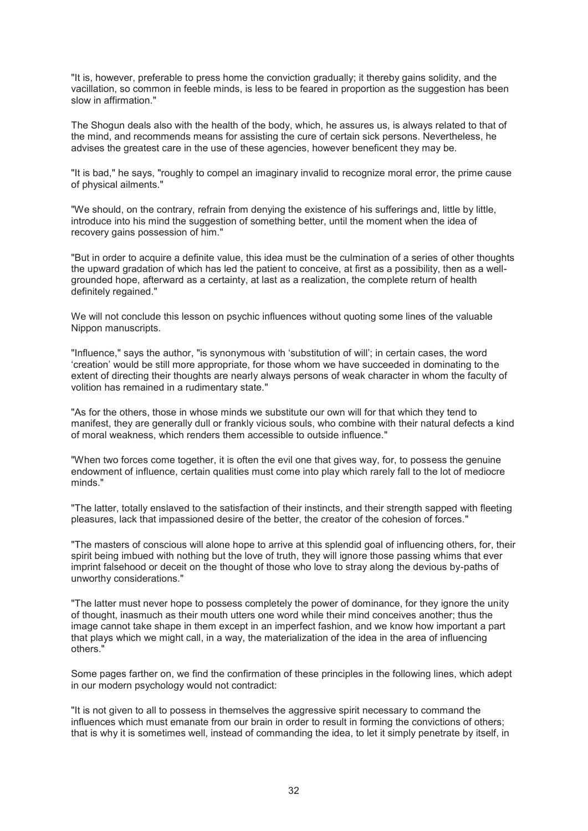"It is, however, preferable to press home the conviction gradually; it thereby gains solidity, and the vacillation, so common in feeble minds, is less to be feared in proportion as the suggestion has been slow in affirmation."

The Shogun deals also with the health of the body, which, he assures us, is always related to that of the mind, and recommends means for assisting the cure of certain sick persons. Nevertheless, he advises the greatest care in the use of these agencies, however beneficent they may be.

"It is bad," he says, "roughly to compel an imaginary invalid to recognize moral error, the prime cause of physical ailments."

"We should, on the contrary, refrain from denying the existence of his sufferings and, little by little, introduce into his mind the suggestion of something better, until the moment when the idea of recovery gains possession of him."

"But in order to acquire a definite value, this idea must be the culmination of a series of other thoughts the upward gradation of which has led the patient to conceive, at first as a possibility, then as a wellgrounded hope, afterward as a certainty, at last as a realization, the complete return of health definitely regained."

We will not conclude this lesson on psychic influences without quoting some lines of the valuable Nippon manuscripts.

"Influence," says the author, "is synonymous with 'substitution of will'; in certain cases, the word 'creation' would be still more appropriate, for those whom we have succeeded in dominating to the extent of directing their thoughts are nearly always persons of weak character in whom the faculty of volition has remained in a rudimentary state."

"As for the others, those in whose minds we substitute our own will for that which they tend to manifest, they are generally dull or frankly vicious souls, who combine with their natural defects a kind of moral weakness, which renders them accessible to outside influence."

"When two forces come together, it is often the evil one that gives way, for, to possess the genuine endowment of influence, certain qualities must come into play which rarely fall to the lot of mediocre minds."

"The latter, totally enslaved to the satisfaction of their instincts, and their strength sapped with fleeting pleasures, lack that impassioned desire of the better, the creator of the cohesion of forces."

"The masters of conscious will alone hope to arrive at this splendid goal of influencing others, for, their spirit being imbued with nothing but the love of truth, they will ignore those passing whims that ever imprint falsehood or deceit on the thought of those who love to stray along the devious by-paths of unworthy considerations."

"The latter must never hope to possess completely the power of dominance, for they ignore the unity of thought, inasmuch as their mouth utters one word while their mind conceives another; thus the image cannot take shape in them except in an imperfect fashion, and we know how important a part that plays which we might call, in a way, the materialization of the idea in the area of influencing others."

Some pages farther on, we find the confirmation of these principles in the following lines, which adept in our modern psychology would not contradict:

"It is not given to all to possess in themselves the aggressive spirit necessary to command the influences which must emanate from our brain in order to result in forming the convictions of others; that is why it is sometimes well, instead of commanding the idea, to let it simply penetrate by itself, in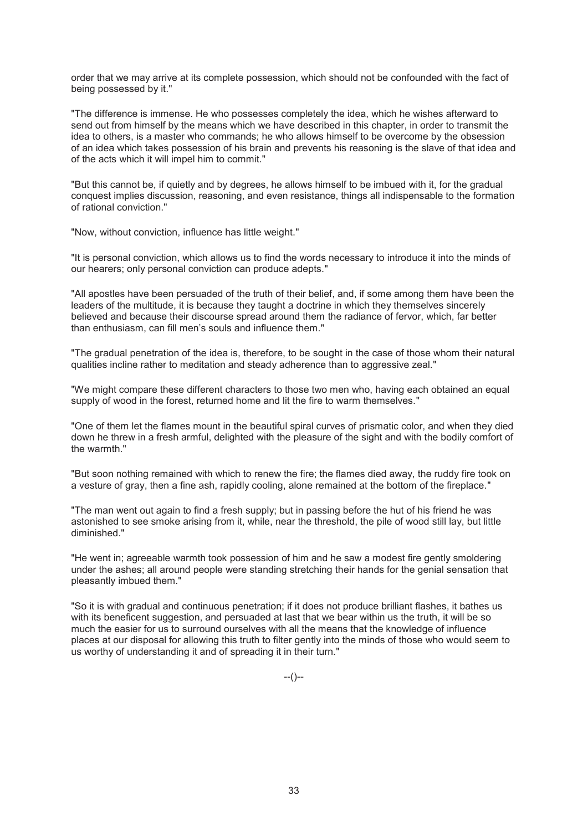order that we may arrive at its complete possession, which should not be confounded with the fact of being possessed by it."

"The difference is immense. He who possesses completely the idea, which he wishes afterward to send out from himself by the means which we have described in this chapter, in order to transmit the idea to others, is a master who commands; he who allows himself to be overcome by the obsession of an idea which takes possession of his brain and prevents his reasoning is the slave of that idea and of the acts which it will impel him to commit."

"But this cannot be, if quietly and by degrees, he allows himself to be imbued with it, for the gradual conquest implies discussion, reasoning, and even resistance, things all indispensable to the formation of rational conviction."

"Now, without conviction, influence has little weight."

"It is personal conviction, which allows us to find the words necessary to introduce it into the minds of our hearers; only personal conviction can produce adepts."

"All apostles have been persuaded of the truth of their belief, and, if some among them have been the leaders of the multitude, it is because they taught a doctrine in which they themselves sincerely believed and because their discourse spread around them the radiance of fervor, which, far better than enthusiasm, can fill men's souls and influence them."

"The gradual penetration of the idea is, therefore, to be sought in the case of those whom their natural qualities incline rather to meditation and steady adherence than to aggressive zeal."

"We might compare these different characters to those two men who, having each obtained an equal supply of wood in the forest, returned home and lit the fire to warm themselves."

"One of them let the flames mount in the beautiful spiral curves of prismatic color, and when they died down he threw in a fresh armful, delighted with the pleasure of the sight and with the bodily comfort of the warmth."

"But soon nothing remained with which to renew the fire; the flames died away, the ruddy fire took on a vesture of gray, then a fine ash, rapidly cooling, alone remained at the bottom of the fireplace."

"The man went out again to find a fresh supply; but in passing before the hut of his friend he was astonished to see smoke arising from it, while, near the threshold, the pile of wood still lay, but little diminished."

"He went in; agreeable warmth took possession of him and he saw a modest fire gently smoldering under the ashes; all around people were standing stretching their hands for the genial sensation that pleasantly imbued them."

"So it is with gradual and continuous penetration; if it does not produce brilliant flashes, it bathes us with its beneficent suggestion, and persuaded at last that we bear within us the truth, it will be so much the easier for us to surround ourselves with all the means that the knowledge of influence places at our disposal for allowing this truth to filter gently into the minds of those who would seem to us worthy of understanding it and of spreading it in their turn."

 $-(-)$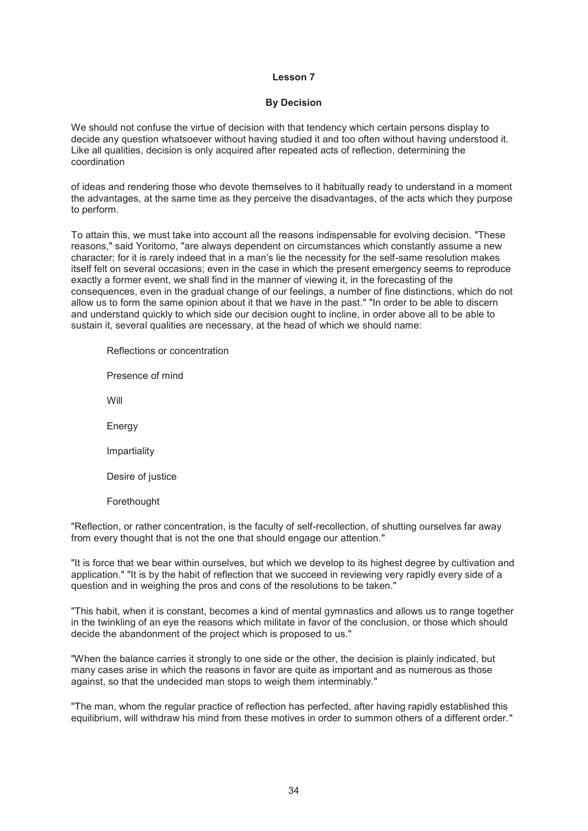## **Lesson 7**

## **By Decision**

We should not confuse the virtue of decision with that tendency which certain persons display to decide any question whatsoever without having studied it and too often without having understood it. Like all qualities, decision is only acquired after repeated acts of reflection, determining the coordination

of ideas and rendering those who devote themselves to it habitually ready to understand in a moment the advantages, at the same time as they perceive the disadvantages, of the acts which they purpose to perform.

To attain this, we must take into account all the reasons indispensable for evolving decision. "These reasons," said Yoritomo, "are always dependent on circumstances which constantly assume a new character; for it is rarely indeed that in a man's lie the necessity for the self-same resolution makes itself felt on several occasions; even in the case in which the present emergency seems to reproduce exactly a former event, we shall find in the manner of viewing it, in the forecasting of the consequences, even in the gradual change of our feelings, a number of fine distinctions, which do not allow us to form the same opinion about it that we have in the past." "In order to be able to discern and understand quickly to which side our decision ought to incline, in order above all to be able to sustain it, several qualities are necessary, at the head of which we should name:

Reflections or concentration Presence of mind Will Energy Impartiality Desire of justice **Forethought** 

"Reflection, or rather concentration, is the faculty of self-recollection, of shutting ourselves far away from every thought that is not the one that should engage our attention."

"It is force that we bear within ourselves, but which we develop to its highest degree by cultivation and application." "It is by the habit of reflection that we succeed in reviewing very rapidly every side of a question and in weighing the pros and cons of the resolutions to be taken."

"This habit, when it is constant, becomes a kind of mental gymnastics and allows us to range together in the twinkling of an eye the reasons which militate in favor of the conclusion, or those which should decide the abandonment of the project which is proposed to us."

"When the balance carries it strongly to one side or the other, the decision is plainly indicated, but many cases arise in which the reasons in favor are quite as important and as numerous as those against, so that the undecided man stops to weigh them interminably."

"The man, whom the regular practice of reflection has perfected, after having rapidly established this equilibrium, will withdraw his mind from these motives in order to summon others of a different order."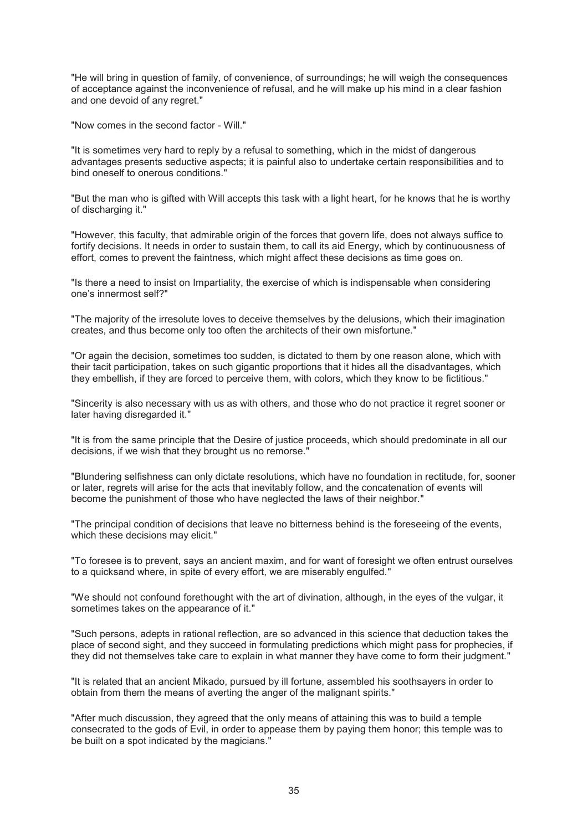"He will bring in question of family, of convenience, of surroundings; he will weigh the consequences of acceptance against the inconvenience of refusal, and he will make up his mind in a clear fashion and one devoid of any regret."

"Now comes in the second factor - Will."

"It is sometimes very hard to reply by a refusal to something, which in the midst of dangerous advantages presents seductive aspects; it is painful also to undertake certain responsibilities and to bind oneself to onerous conditions."

"But the man who is gifted with Will accepts this task with a light heart, for he knows that he is worthy of discharging it."

"However, this faculty, that admirable origin of the forces that govern life, does not always suffice to fortify decisions. It needs in order to sustain them, to call its aid Energy, which by continuousness of effort, comes to prevent the faintness, which might affect these decisions as time goes on.

"Is there a need to insist on Impartiality, the exercise of which is indispensable when considering one's innermost self?"

"The majority of the irresolute loves to deceive themselves by the delusions, which their imagination creates, and thus become only too often the architects of their own misfortune."

"Or again the decision, sometimes too sudden, is dictated to them by one reason alone, which with their tacit participation, takes on such gigantic proportions that it hides all the disadvantages, which they embellish, if they are forced to perceive them, with colors, which they know to be fictitious."

"Sincerity is also necessary with us as with others, and those who do not practice it regret sooner or later having disregarded it."

"It is from the same principle that the Desire of justice proceeds, which should predominate in all our decisions, if we wish that they brought us no remorse."

"Blundering selfishness can only dictate resolutions, which have no foundation in rectitude, for, sooner or later, regrets will arise for the acts that inevitably follow, and the concatenation of events will become the punishment of those who have neglected the laws of their neighbor."

"The principal condition of decisions that leave no bitterness behind is the foreseeing of the events, which these decisions may elicit."

"To foresee is to prevent, says an ancient maxim, and for want of foresight we often entrust ourselves to a quicksand where, in spite of every effort, we are miserably engulfed."

"We should not confound forethought with the art of divination, although, in the eyes of the vulgar, it sometimes takes on the appearance of it."

"Such persons, adepts in rational reflection, are so advanced in this science that deduction takes the place of second sight, and they succeed in formulating predictions which might pass for prophecies, if they did not themselves take care to explain in what manner they have come to form their judgment."

"It is related that an ancient Mikado, pursued by ill fortune, assembled his soothsayers in order to obtain from them the means of averting the anger of the malignant spirits."

"After much discussion, they agreed that the only means of attaining this was to build a temple consecrated to the gods of Evil, in order to appease them by paying them honor; this temple was to be built on a spot indicated by the magicians."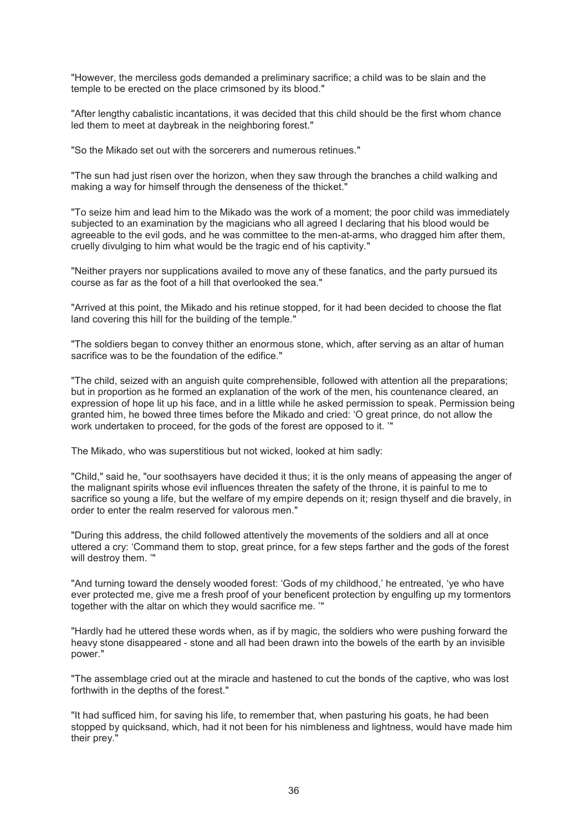"However, the merciless gods demanded a preliminary sacrifice; a child was to be slain and the temple to be erected on the place crimsoned by its blood."

"After lengthy cabalistic incantations, it was decided that this child should be the first whom chance led them to meet at daybreak in the neighboring forest."

"So the Mikado set out with the sorcerers and numerous retinues."

"The sun had just risen over the horizon, when they saw through the branches a child walking and making a way for himself through the denseness of the thicket."

"To seize him and lead him to the Mikado was the work of a moment; the poor child was immediately subjected to an examination by the magicians who all agreed I declaring that his blood would be agreeable to the evil gods, and he was committee to the men-at-arms, who dragged him after them, cruelly divulging to him what would be the tragic end of his captivity."

"Neither prayers nor supplications availed to move any of these fanatics, and the party pursued its course as far as the foot of a hill that overlooked the sea."

"Arrived at this point, the Mikado and his retinue stopped, for it had been decided to choose the flat land covering this hill for the building of the temple."

"The soldiers began to convey thither an enormous stone, which, after serving as an altar of human sacrifice was to be the foundation of the edifice."

"The child, seized with an anguish quite comprehensible, followed with attention all the preparations; but in proportion as he formed an explanation of the work of the men, his countenance cleared, an expression of hope lit up his face, and in a little while he asked permission to speak. Permission being granted him, he bowed three times before the Mikado and cried: 'O great prince, do not allow the work undertaken to proceed, for the gods of the forest are opposed to it. '"

The Mikado, who was superstitious but not wicked, looked at him sadly:

"Child," said he, "our soothsayers have decided it thus; it is the only means of appeasing the anger of the malignant spirits whose evil influences threaten the safety of the throne, it is painful to me to sacrifice so young a life, but the welfare of my empire depends on it; resign thyself and die bravely, in order to enter the realm reserved for valorous men."

"During this address, the child followed attentively the movements of the soldiers and all at once uttered a cry: 'Command them to stop, great prince, for a few steps farther and the gods of the forest will destroy them. '"

"And turning toward the densely wooded forest: 'Gods of my childhood,' he entreated, 'ye who have ever protected me, give me a fresh proof of your beneficent protection by engulfing up my tormentors together with the altar on which they would sacrifice me. '"

"Hardly had he uttered these words when, as if by magic, the soldiers who were pushing forward the heavy stone disappeared - stone and all had been drawn into the bowels of the earth by an invisible power."

"The assemblage cried out at the miracle and hastened to cut the bonds of the captive, who was lost forthwith in the depths of the forest."

"It had sufficed him, for saving his life, to remember that, when pasturing his goats, he had been stopped by quicksand, which, had it not been for his nimbleness and lightness, would have made him their prey."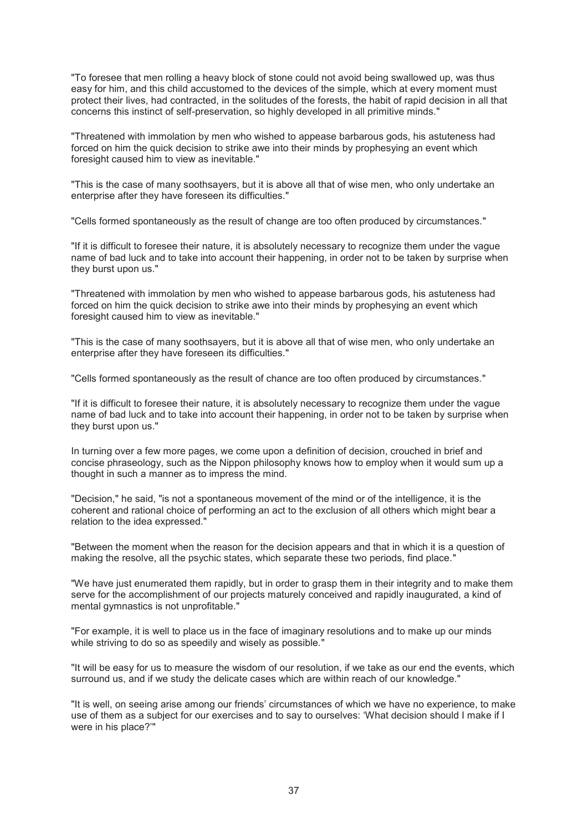"To foresee that men rolling a heavy block of stone could not avoid being swallowed up, was thus easy for him, and this child accustomed to the devices of the simple, which at every moment must protect their lives, had contracted, in the solitudes of the forests, the habit of rapid decision in all that concerns this instinct of self-preservation, so highly developed in all primitive minds."

"Threatened with immolation by men who wished to appease barbarous gods, his astuteness had forced on him the quick decision to strike awe into their minds by prophesying an event which foresight caused him to view as inevitable."

"This is the case of many soothsayers, but it is above all that of wise men, who only undertake an enterprise after they have foreseen its difficulties."

"Cells formed spontaneously as the result of change are too often produced by circumstances."

"If it is difficult to foresee their nature, it is absolutely necessary to recognize them under the vague name of bad luck and to take into account their happening, in order not to be taken by surprise when they burst upon us."

"Threatened with immolation by men who wished to appease barbarous gods, his astuteness had forced on him the quick decision to strike awe into their minds by prophesying an event which foresight caused him to view as inevitable."

"This is the case of many soothsayers, but it is above all that of wise men, who only undertake an enterprise after they have foreseen its difficulties."

"Cells formed spontaneously as the result of chance are too often produced by circumstances."

"If it is difficult to foresee their nature, it is absolutely necessary to recognize them under the vague name of bad luck and to take into account their happening, in order not to be taken by surprise when they burst upon us."

In turning over a few more pages, we come upon a definition of decision, crouched in brief and concise phraseology, such as the Nippon philosophy knows how to employ when it would sum up a thought in such a manner as to impress the mind.

"Decision," he said, "is not a spontaneous movement of the mind or of the intelligence, it is the coherent and rational choice of performing an act to the exclusion of all others which might bear a relation to the idea expressed."

"Between the moment when the reason for the decision appears and that in which it is a question of making the resolve, all the psychic states, which separate these two periods, find place."

"We have just enumerated them rapidly, but in order to grasp them in their integrity and to make them serve for the accomplishment of our projects maturely conceived and rapidly inaugurated, a kind of mental gymnastics is not unprofitable."

"For example, it is well to place us in the face of imaginary resolutions and to make up our minds while striving to do so as speedily and wisely as possible."

"It will be easy for us to measure the wisdom of our resolution, if we take as our end the events, which surround us, and if we study the delicate cases which are within reach of our knowledge."

"It is well, on seeing arise among our friends' circumstances of which we have no experience, to make use of them as a subject for our exercises and to say to ourselves: 'What decision should I make if I were in his place?'"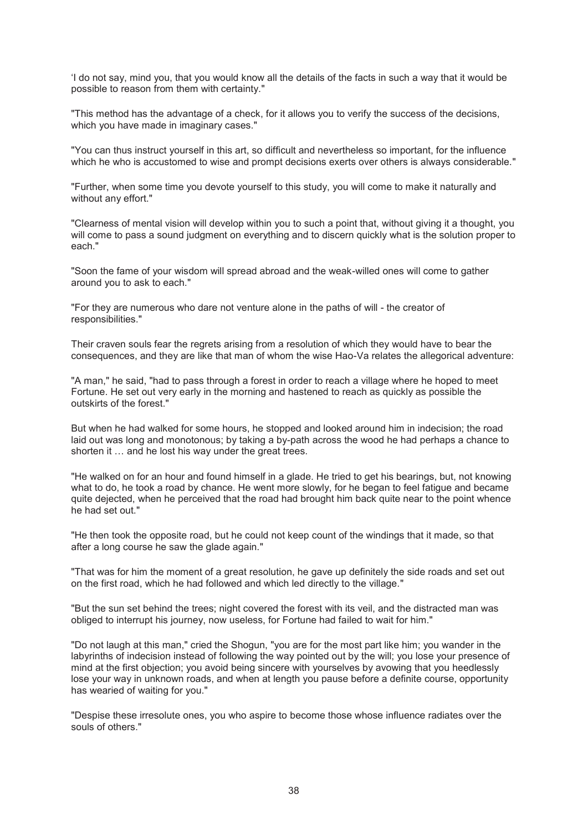'I do not say, mind you, that you would know all the details of the facts in such a way that it would be possible to reason from them with certainty."

"This method has the advantage of a check, for it allows you to verify the success of the decisions, which you have made in imaginary cases."

"You can thus instruct yourself in this art, so difficult and nevertheless so important, for the influence which he who is accustomed to wise and prompt decisions exerts over others is always considerable."

"Further, when some time you devote yourself to this study, you will come to make it naturally and without any effort."

"Clearness of mental vision will develop within you to such a point that, without giving it a thought, you will come to pass a sound judgment on everything and to discern quickly what is the solution proper to each."

"Soon the fame of your wisdom will spread abroad and the weak-willed ones will come to gather around you to ask to each."

"For they are numerous who dare not venture alone in the paths of will - the creator of responsibilities."

Their craven souls fear the regrets arising from a resolution of which they would have to bear the consequences, and they are like that man of whom the wise Hao-Va relates the allegorical adventure:

"A man," he said, "had to pass through a forest in order to reach a village where he hoped to meet Fortune. He set out very early in the morning and hastened to reach as quickly as possible the outskirts of the forest."

But when he had walked for some hours, he stopped and looked around him in indecision; the road laid out was long and monotonous; by taking a by-path across the wood he had perhaps a chance to shorten it … and he lost his way under the great trees.

"He walked on for an hour and found himself in a glade. He tried to get his bearings, but, not knowing what to do, he took a road by chance. He went more slowly, for he began to feel fatigue and became quite dejected, when he perceived that the road had brought him back quite near to the point whence he had set out."

"He then took the opposite road, but he could not keep count of the windings that it made, so that after a long course he saw the glade again."

"That was for him the moment of a great resolution, he gave up definitely the side roads and set out on the first road, which he had followed and which led directly to the village."

"But the sun set behind the trees; night covered the forest with its veil, and the distracted man was obliged to interrupt his journey, now useless, for Fortune had failed to wait for him."

"Do not laugh at this man," cried the Shogun, "you are for the most part like him; you wander in the labyrinths of indecision instead of following the way pointed out by the will; you lose your presence of mind at the first objection; you avoid being sincere with yourselves by avowing that you heedlessly lose your way in unknown roads, and when at length you pause before a definite course, opportunity has wearied of waiting for you."

"Despise these irresolute ones, you who aspire to become those whose influence radiates over the souls of others."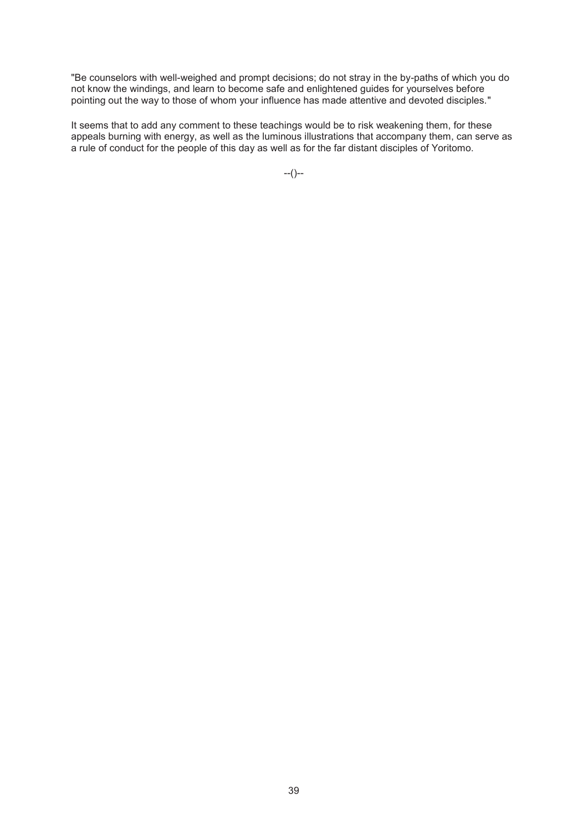"Be counselors with well-weighed and prompt decisions; do not stray in the by-paths of which you do not know the windings, and learn to become safe and enlightened guides for yourselves before pointing out the way to those of whom your influence has made attentive and devoted disciples."

It seems that to add any comment to these teachings would be to risk weakening them, for these appeals burning with energy, as well as the luminous illustrations that accompany them, can serve as a rule of conduct for the people of this day as well as for the far distant disciples of Yoritomo.

--()--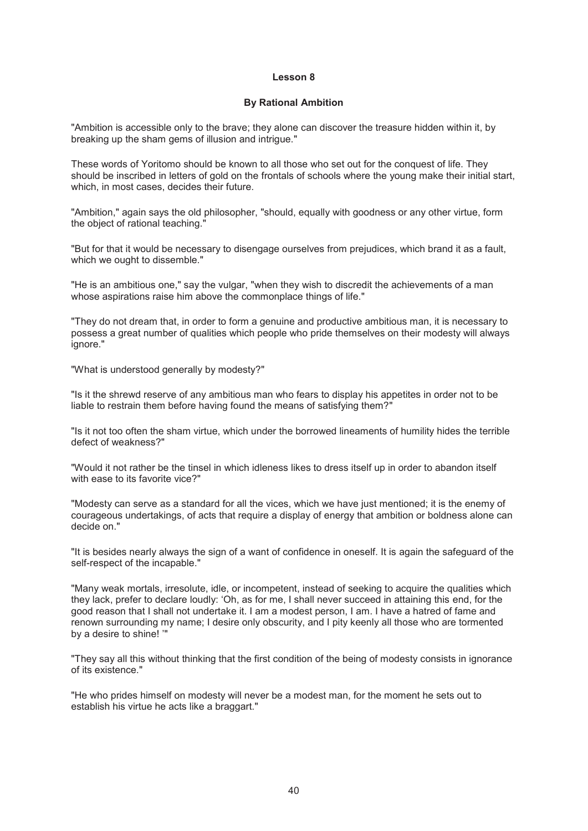## **Lesson 8**

## **By Rational Ambition**

"Ambition is accessible only to the brave; they alone can discover the treasure hidden within it, by breaking up the sham gems of illusion and intrigue."

These words of Yoritomo should be known to all those who set out for the conquest of life. They should be inscribed in letters of gold on the frontals of schools where the young make their initial start, which, in most cases, decides their future.

"Ambition," again says the old philosopher, "should, equally with goodness or any other virtue, form the object of rational teaching."

"But for that it would be necessary to disengage ourselves from prejudices, which brand it as a fault, which we ought to dissemble."

"He is an ambitious one," say the vulgar, "when they wish to discredit the achievements of a man whose aspirations raise him above the commonplace things of life."

"They do not dream that, in order to form a genuine and productive ambitious man, it is necessary to possess a great number of qualities which people who pride themselves on their modesty will always ignore."

"What is understood generally by modesty?"

"Is it the shrewd reserve of any ambitious man who fears to display his appetites in order not to be liable to restrain them before having found the means of satisfying them?"

"Is it not too often the sham virtue, which under the borrowed lineaments of humility hides the terrible defect of weakness?"

"Would it not rather be the tinsel in which idleness likes to dress itself up in order to abandon itself with ease to its favorite vice?"

"Modesty can serve as a standard for all the vices, which we have just mentioned; it is the enemy of courageous undertakings, of acts that require a display of energy that ambition or boldness alone can decide on."

"It is besides nearly always the sign of a want of confidence in oneself. It is again the safeguard of the self-respect of the incapable."

"Many weak mortals, irresolute, idle, or incompetent, instead of seeking to acquire the qualities which they lack, prefer to declare loudly: 'Oh, as for me, I shall never succeed in attaining this end, for the good reason that I shall not undertake it. I am a modest person, I am. I have a hatred of fame and renown surrounding my name; I desire only obscurity, and I pity keenly all those who are tormented by a desire to shine! '"

"They say all this without thinking that the first condition of the being of modesty consists in ignorance of its existence."

"He who prides himself on modesty will never be a modest man, for the moment he sets out to establish his virtue he acts like a braggart."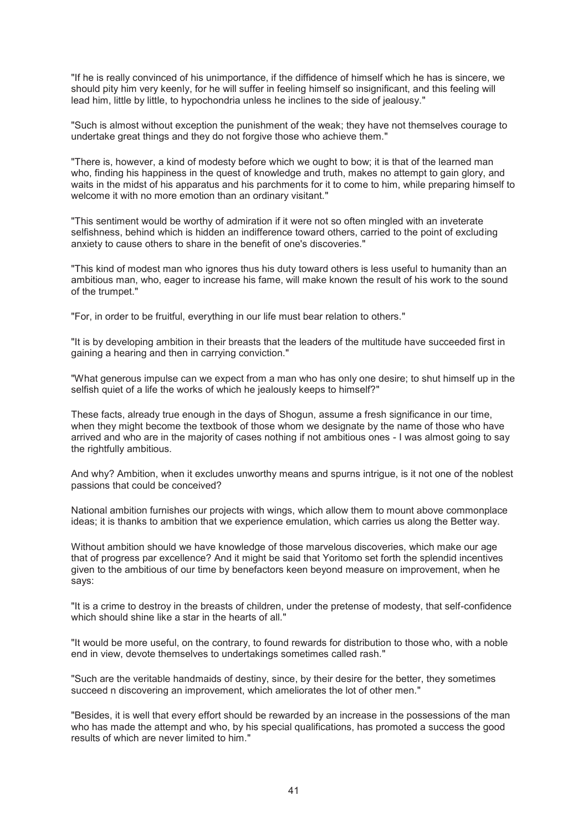"If he is really convinced of his unimportance, if the diffidence of himself which he has is sincere, we should pity him very keenly, for he will suffer in feeling himself so insignificant, and this feeling will lead him, little by little, to hypochondria unless he inclines to the side of jealousy."

"Such is almost without exception the punishment of the weak; they have not themselves courage to undertake great things and they do not forgive those who achieve them."

"There is, however, a kind of modesty before which we ought to bow; it is that of the learned man who, finding his happiness in the quest of knowledge and truth, makes no attempt to gain glory, and waits in the midst of his apparatus and his parchments for it to come to him, while preparing himself to welcome it with no more emotion than an ordinary visitant."

"This sentiment would be worthy of admiration if it were not so often mingled with an inveterate selfishness, behind which is hidden an indifference toward others, carried to the point of excluding anxiety to cause others to share in the benefit of one's discoveries."

"This kind of modest man who ignores thus his duty toward others is less useful to humanity than an ambitious man, who, eager to increase his fame, will make known the result of his work to the sound of the trumpet."

"For, in order to be fruitful, everything in our life must bear relation to others."

"It is by developing ambition in their breasts that the leaders of the multitude have succeeded first in gaining a hearing and then in carrying conviction."

"What generous impulse can we expect from a man who has only one desire; to shut himself up in the selfish quiet of a life the works of which he jealously keeps to himself?"

These facts, already true enough in the days of Shogun, assume a fresh significance in our time, when they might become the textbook of those whom we designate by the name of those who have arrived and who are in the majority of cases nothing if not ambitious ones - I was almost going to say the rightfully ambitious.

And why? Ambition, when it excludes unworthy means and spurns intrigue, is it not one of the noblest passions that could be conceived?

National ambition furnishes our projects with wings, which allow them to mount above commonplace ideas; it is thanks to ambition that we experience emulation, which carries us along the Better way.

Without ambition should we have knowledge of those marvelous discoveries, which make our age that of progress par excellence? And it might be said that Yoritomo set forth the splendid incentives given to the ambitious of our time by benefactors keen beyond measure on improvement, when he says:

"It is a crime to destroy in the breasts of children, under the pretense of modesty, that self-confidence which should shine like a star in the hearts of all."

"It would be more useful, on the contrary, to found rewards for distribution to those who, with a noble end in view, devote themselves to undertakings sometimes called rash."

"Such are the veritable handmaids of destiny, since, by their desire for the better, they sometimes succeed n discovering an improvement, which ameliorates the lot of other men."

"Besides, it is well that every effort should be rewarded by an increase in the possessions of the man who has made the attempt and who, by his special qualifications, has promoted a success the good results of which are never limited to him."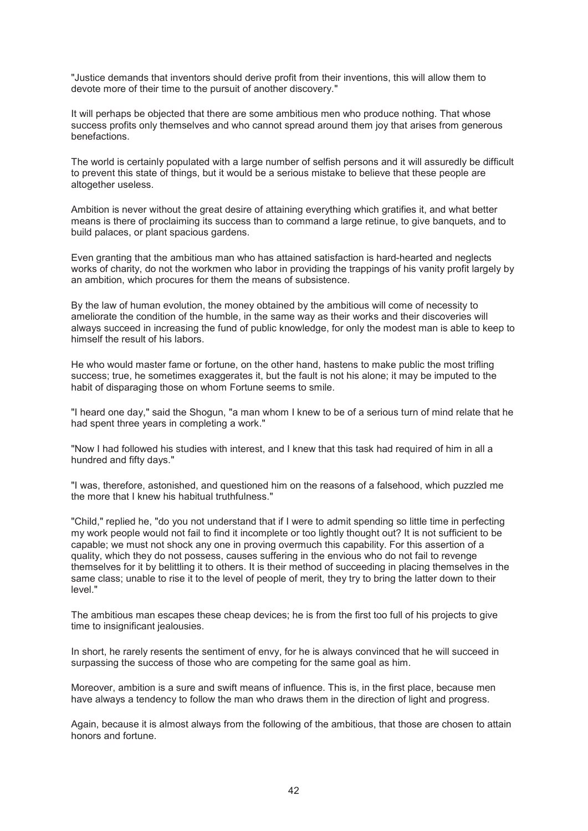"Justice demands that inventors should derive profit from their inventions, this will allow them to devote more of their time to the pursuit of another discovery."

It will perhaps be objected that there are some ambitious men who produce nothing. That whose success profits only themselves and who cannot spread around them joy that arises from generous benefactions.

The world is certainly populated with a large number of selfish persons and it will assuredly be difficult to prevent this state of things, but it would be a serious mistake to believe that these people are altogether useless.

Ambition is never without the great desire of attaining everything which gratifies it, and what better means is there of proclaiming its success than to command a large retinue, to give banquets, and to build palaces, or plant spacious gardens.

Even granting that the ambitious man who has attained satisfaction is hard-hearted and neglects works of charity, do not the workmen who labor in providing the trappings of his vanity profit largely by an ambition, which procures for them the means of subsistence.

By the law of human evolution, the money obtained by the ambitious will come of necessity to ameliorate the condition of the humble, in the same way as their works and their discoveries will always succeed in increasing the fund of public knowledge, for only the modest man is able to keep to himself the result of his labors.

He who would master fame or fortune, on the other hand, hastens to make public the most trifling success; true, he sometimes exaggerates it, but the fault is not his alone; it may be imputed to the habit of disparaging those on whom Fortune seems to smile.

"I heard one day," said the Shogun, "a man whom I knew to be of a serious turn of mind relate that he had spent three years in completing a work."

"Now I had followed his studies with interest, and I knew that this task had required of him in all a hundred and fifty days."

"I was, therefore, astonished, and questioned him on the reasons of a falsehood, which puzzled me the more that I knew his habitual truthfulness."

"Child," replied he, "do you not understand that if I were to admit spending so little time in perfecting my work people would not fail to find it incomplete or too lightly thought out? It is not sufficient to be capable; we must not shock any one in proving overmuch this capability. For this assertion of a quality, which they do not possess, causes suffering in the envious who do not fail to revenge themselves for it by belittling it to others. It is their method of succeeding in placing themselves in the same class; unable to rise it to the level of people of merit, they try to bring the latter down to their level."

The ambitious man escapes these cheap devices; he is from the first too full of his projects to give time to insignificant jealousies.

In short, he rarely resents the sentiment of envy, for he is always convinced that he will succeed in surpassing the success of those who are competing for the same goal as him.

Moreover, ambition is a sure and swift means of influence. This is, in the first place, because men have always a tendency to follow the man who draws them in the direction of light and progress.

Again, because it is almost always from the following of the ambitious, that those are chosen to attain honors and fortune.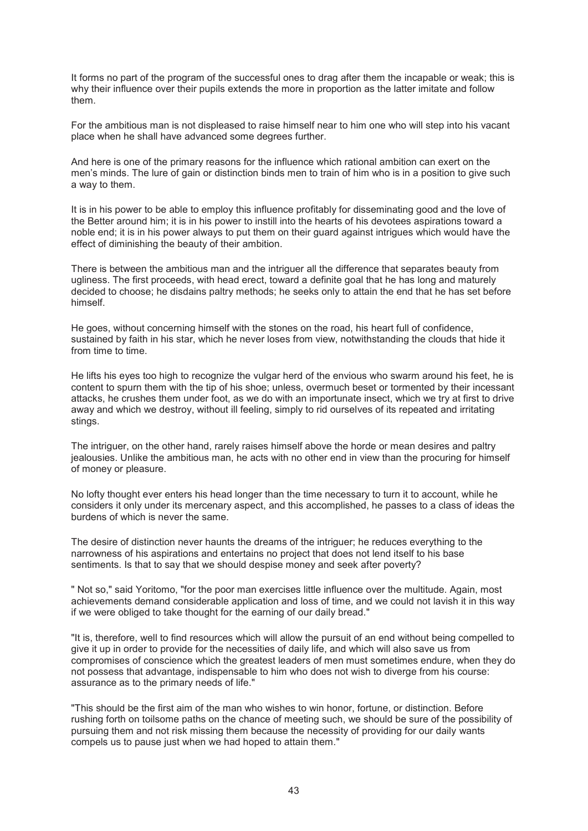It forms no part of the program of the successful ones to drag after them the incapable or weak; this is why their influence over their pupils extends the more in proportion as the latter imitate and follow them.

For the ambitious man is not displeased to raise himself near to him one who will step into his vacant place when he shall have advanced some degrees further.

And here is one of the primary reasons for the influence which rational ambition can exert on the men's minds. The lure of gain or distinction binds men to train of him who is in a position to give such a way to them.

It is in his power to be able to employ this influence profitably for disseminating good and the love of the Better around him; it is in his power to instill into the hearts of his devotees aspirations toward a noble end; it is in his power always to put them on their guard against intrigues which would have the effect of diminishing the beauty of their ambition.

There is between the ambitious man and the intriguer all the difference that separates beauty from ugliness. The first proceeds, with head erect, toward a definite goal that he has long and maturely decided to choose; he disdains paltry methods; he seeks only to attain the end that he has set before himself.

He goes, without concerning himself with the stones on the road, his heart full of confidence, sustained by faith in his star, which he never loses from view, notwithstanding the clouds that hide it from time to time.

He lifts his eyes too high to recognize the vulgar herd of the envious who swarm around his feet, he is content to spurn them with the tip of his shoe; unless, overmuch beset or tormented by their incessant attacks, he crushes them under foot, as we do with an importunate insect, which we try at first to drive away and which we destroy, without ill feeling, simply to rid ourselves of its repeated and irritating stings.

The intriguer, on the other hand, rarely raises himself above the horde or mean desires and paltry jealousies. Unlike the ambitious man, he acts with no other end in view than the procuring for himself of money or pleasure.

No lofty thought ever enters his head longer than the time necessary to turn it to account, while he considers it only under its mercenary aspect, and this accomplished, he passes to a class of ideas the burdens of which is never the same.

The desire of distinction never haunts the dreams of the intriguer; he reduces everything to the narrowness of his aspirations and entertains no project that does not lend itself to his base sentiments. Is that to say that we should despise money and seek after poverty?

" Not so," said Yoritomo, "for the poor man exercises little influence over the multitude. Again, most achievements demand considerable application and loss of time, and we could not lavish it in this way if we were obliged to take thought for the earning of our daily bread."

"It is, therefore, well to find resources which will allow the pursuit of an end without being compelled to give it up in order to provide for the necessities of daily life, and which will also save us from compromises of conscience which the greatest leaders of men must sometimes endure, when they do not possess that advantage, indispensable to him who does not wish to diverge from his course: assurance as to the primary needs of life."

"This should be the first aim of the man who wishes to win honor, fortune, or distinction. Before rushing forth on toilsome paths on the chance of meeting such, we should be sure of the possibility of pursuing them and not risk missing them because the necessity of providing for our daily wants compels us to pause just when we had hoped to attain them."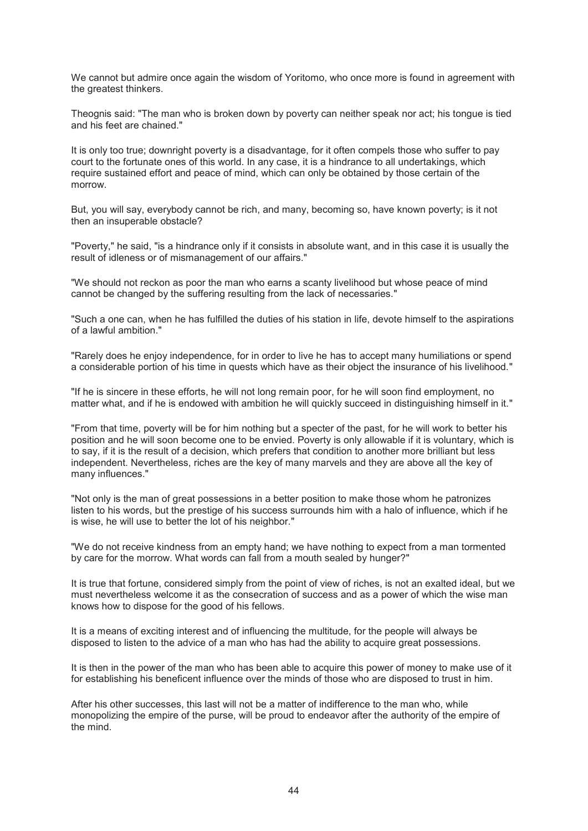We cannot but admire once again the wisdom of Yoritomo, who once more is found in agreement with the greatest thinkers.

Theognis said: "The man who is broken down by poverty can neither speak nor act; his tongue is tied and his feet are chained."

It is only too true; downright poverty is a disadvantage, for it often compels those who suffer to pay court to the fortunate ones of this world. In any case, it is a hindrance to all undertakings, which require sustained effort and peace of mind, which can only be obtained by those certain of the morrow.

But, you will say, everybody cannot be rich, and many, becoming so, have known poverty; is it not then an insuperable obstacle?

"Poverty," he said, "is a hindrance only if it consists in absolute want, and in this case it is usually the result of idleness or of mismanagement of our affairs."

"We should not reckon as poor the man who earns a scanty livelihood but whose peace of mind cannot be changed by the suffering resulting from the lack of necessaries."

"Such a one can, when he has fulfilled the duties of his station in life, devote himself to the aspirations of a lawful ambition."

"Rarely does he enjoy independence, for in order to live he has to accept many humiliations or spend a considerable portion of his time in quests which have as their object the insurance of his livelihood."

"If he is sincere in these efforts, he will not long remain poor, for he will soon find employment, no matter what, and if he is endowed with ambition he will quickly succeed in distinguishing himself in it."

"From that time, poverty will be for him nothing but a specter of the past, for he will work to better his position and he will soon become one to be envied. Poverty is only allowable if it is voluntary, which is to say, if it is the result of a decision, which prefers that condition to another more brilliant but less independent. Nevertheless, riches are the key of many marvels and they are above all the key of many influences."

"Not only is the man of great possessions in a better position to make those whom he patronizes listen to his words, but the prestige of his success surrounds him with a halo of influence, which if he is wise, he will use to better the lot of his neighbor."

"We do not receive kindness from an empty hand; we have nothing to expect from a man tormented by care for the morrow. What words can fall from a mouth sealed by hunger?"

It is true that fortune, considered simply from the point of view of riches, is not an exalted ideal, but we must nevertheless welcome it as the consecration of success and as a power of which the wise man knows how to dispose for the good of his fellows.

It is a means of exciting interest and of influencing the multitude, for the people will always be disposed to listen to the advice of a man who has had the ability to acquire great possessions.

It is then in the power of the man who has been able to acquire this power of money to make use of it for establishing his beneficent influence over the minds of those who are disposed to trust in him.

After his other successes, this last will not be a matter of indifference to the man who, while monopolizing the empire of the purse, will be proud to endeavor after the authority of the empire of the mind.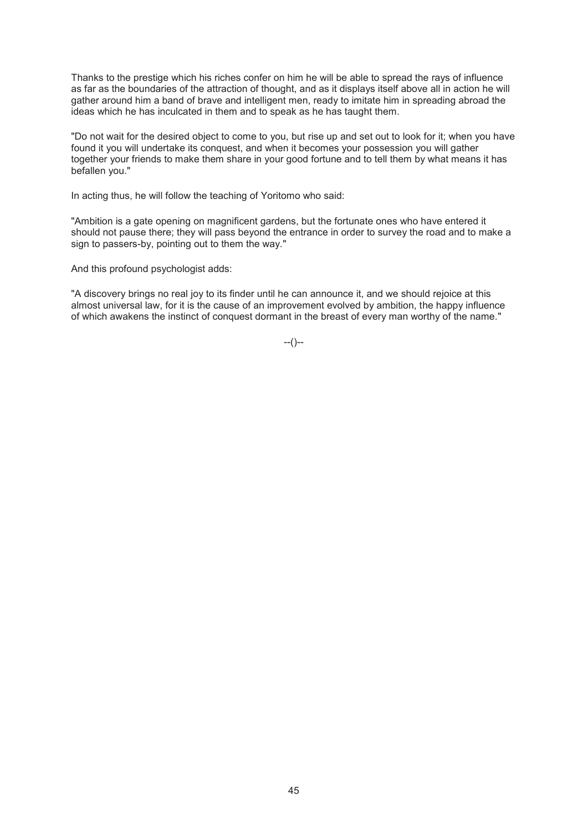Thanks to the prestige which his riches confer on him he will be able to spread the rays of influence as far as the boundaries of the attraction of thought, and as it displays itself above all in action he will gather around him a band of brave and intelligent men, ready to imitate him in spreading abroad the ideas which he has inculcated in them and to speak as he has taught them.

"Do not wait for the desired object to come to you, but rise up and set out to look for it; when you have found it you will undertake its conquest, and when it becomes your possession you will gather together your friends to make them share in your good fortune and to tell them by what means it has befallen you."

In acting thus, he will follow the teaching of Yoritomo who said:

"Ambition is a gate opening on magnificent gardens, but the fortunate ones who have entered it should not pause there; they will pass beyond the entrance in order to survey the road and to make a sign to passers-by, pointing out to them the way."

And this profound psychologist adds:

"A discovery brings no real joy to its finder until he can announce it, and we should rejoice at this almost universal law, for it is the cause of an improvement evolved by ambition, the happy influence of which awakens the instinct of conquest dormant in the breast of every man worthy of the name."

 $-(-)$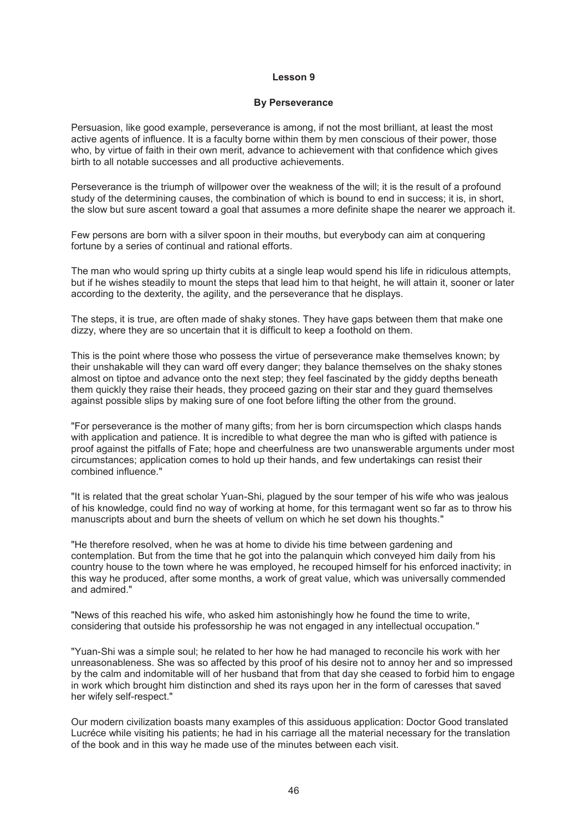#### **Lesson 9**

#### **By Perseverance**

Persuasion, like good example, perseverance is among, if not the most brilliant, at least the most active agents of influence. It is a faculty borne within them by men conscious of their power, those who, by virtue of faith in their own merit, advance to achievement with that confidence which gives birth to all notable successes and all productive achievements.

Perseverance is the triumph of willpower over the weakness of the will; it is the result of a profound study of the determining causes, the combination of which is bound to end in success; it is, in short, the slow but sure ascent toward a goal that assumes a more definite shape the nearer we approach it.

Few persons are born with a silver spoon in their mouths, but everybody can aim at conquering fortune by a series of continual and rational efforts.

The man who would spring up thirty cubits at a single leap would spend his life in ridiculous attempts, but if he wishes steadily to mount the steps that lead him to that height, he will attain it, sooner or later according to the dexterity, the agility, and the perseverance that he displays.

The steps, it is true, are often made of shaky stones. They have gaps between them that make one dizzy, where they are so uncertain that it is difficult to keep a foothold on them.

This is the point where those who possess the virtue of perseverance make themselves known; by their unshakable will they can ward off every danger; they balance themselves on the shaky stones almost on tiptoe and advance onto the next step; they feel fascinated by the giddy depths beneath them quickly they raise their heads, they proceed gazing on their star and they guard themselves against possible slips by making sure of one foot before lifting the other from the ground.

"For perseverance is the mother of many gifts; from her is born circumspection which clasps hands with application and patience. It is incredible to what degree the man who is gifted with patience is proof against the pitfalls of Fate; hope and cheerfulness are two unanswerable arguments under most circumstances; application comes to hold up their hands, and few undertakings can resist their combined influence."

"It is related that the great scholar Yuan-Shi, plagued by the sour temper of his wife who was jealous of his knowledge, could find no way of working at home, for this termagant went so far as to throw his manuscripts about and burn the sheets of vellum on which he set down his thoughts."

"He therefore resolved, when he was at home to divide his time between gardening and contemplation. But from the time that he got into the palanquin which conveyed him daily from his country house to the town where he was employed, he recouped himself for his enforced inactivity; in this way he produced, after some months, a work of great value, which was universally commended and admired."

"News of this reached his wife, who asked him astonishingly how he found the time to write, considering that outside his professorship he was not engaged in any intellectual occupation."

"Yuan-Shi was a simple soul; he related to her how he had managed to reconcile his work with her unreasonableness. She was so affected by this proof of his desire not to annoy her and so impressed by the calm and indomitable will of her husband that from that day she ceased to forbid him to engage in work which brought him distinction and shed its rays upon her in the form of caresses that saved her wifely self-respect."

Our modern civilization boasts many examples of this assiduous application: Doctor Good translated Lucréce while visiting his patients; he had in his carriage all the material necessary for the translation of the book and in this way he made use of the minutes between each visit.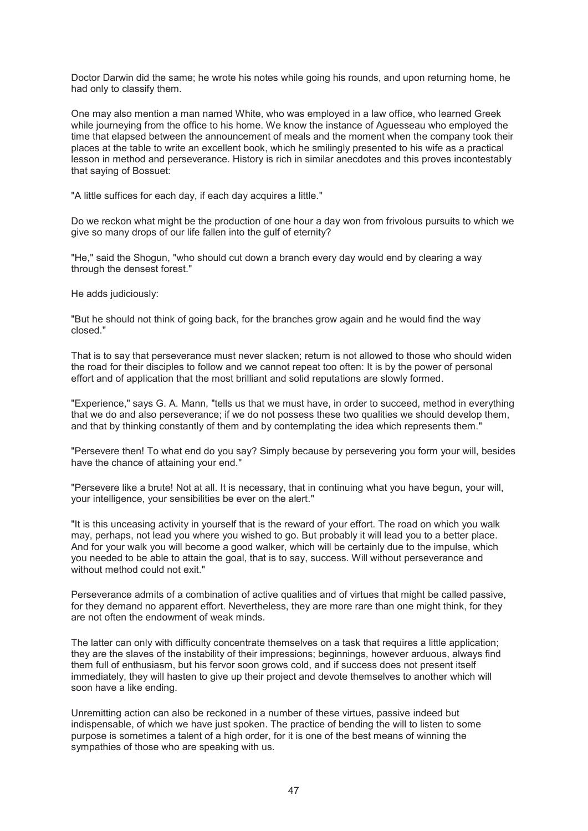Doctor Darwin did the same; he wrote his notes while going his rounds, and upon returning home, he had only to classify them.

One may also mention a man named White, who was employed in a law office, who learned Greek while journeying from the office to his home. We know the instance of Aguesseau who employed the time that elapsed between the announcement of meals and the moment when the company took their places at the table to write an excellent book, which he smilingly presented to his wife as a practical lesson in method and perseverance. History is rich in similar anecdotes and this proves incontestably that saying of Bossuet:

"A little suffices for each day, if each day acquires a little."

Do we reckon what might be the production of one hour a day won from frivolous pursuits to which we give so many drops of our life fallen into the gulf of eternity?

"He," said the Shogun, "who should cut down a branch every day would end by clearing a way through the densest forest."

He adds judiciously:

"But he should not think of going back, for the branches grow again and he would find the way closed."

That is to say that perseverance must never slacken; return is not allowed to those who should widen the road for their disciples to follow and we cannot repeat too often: It is by the power of personal effort and of application that the most brilliant and solid reputations are slowly formed.

"Experience," says G. A. Mann, "tells us that we must have, in order to succeed, method in everything that we do and also perseverance; if we do not possess these two qualities we should develop them, and that by thinking constantly of them and by contemplating the idea which represents them."

"Persevere then! To what end do you say? Simply because by persevering you form your will, besides have the chance of attaining your end."

"Persevere like a brute! Not at all. It is necessary, that in continuing what you have begun, your will, your intelligence, your sensibilities be ever on the alert."

"It is this unceasing activity in yourself that is the reward of your effort. The road on which you walk may, perhaps, not lead you where you wished to go. But probably it will lead you to a better place. And for your walk you will become a good walker, which will be certainly due to the impulse, which you needed to be able to attain the goal, that is to say, success. Will without perseverance and without method could not exit."

Perseverance admits of a combination of active qualities and of virtues that might be called passive, for they demand no apparent effort. Nevertheless, they are more rare than one might think, for they are not often the endowment of weak minds.

The latter can only with difficulty concentrate themselves on a task that requires a little application; they are the slaves of the instability of their impressions; beginnings, however arduous, always find them full of enthusiasm, but his fervor soon grows cold, and if success does not present itself immediately, they will hasten to give up their project and devote themselves to another which will soon have a like ending.

Unremitting action can also be reckoned in a number of these virtues, passive indeed but indispensable, of which we have just spoken. The practice of bending the will to listen to some purpose is sometimes a talent of a high order, for it is one of the best means of winning the sympathies of those who are speaking with us.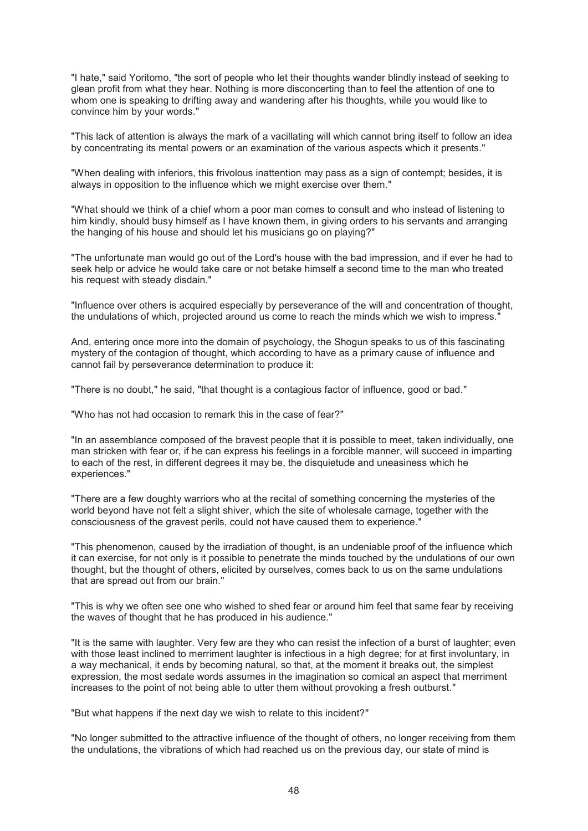"I hate," said Yoritomo, "the sort of people who let their thoughts wander blindly instead of seeking to glean profit from what they hear. Nothing is more disconcerting than to feel the attention of one to whom one is speaking to drifting away and wandering after his thoughts, while you would like to convince him by your words."

"This lack of attention is always the mark of a vacillating will which cannot bring itself to follow an idea by concentrating its mental powers or an examination of the various aspects which it presents."

"When dealing with inferiors, this frivolous inattention may pass as a sign of contempt; besides, it is always in opposition to the influence which we might exercise over them."

"What should we think of a chief whom a poor man comes to consult and who instead of listening to him kindly, should busy himself as I have known them, in giving orders to his servants and arranging the hanging of his house and should let his musicians go on playing?"

"The unfortunate man would go out of the Lord's house with the bad impression, and if ever he had to seek help or advice he would take care or not betake himself a second time to the man who treated his request with steady disdain."

"Influence over others is acquired especially by perseverance of the will and concentration of thought, the undulations of which, projected around us come to reach the minds which we wish to impress."

And, entering once more into the domain of psychology, the Shogun speaks to us of this fascinating mystery of the contagion of thought, which according to have as a primary cause of influence and cannot fail by perseverance determination to produce it:

"There is no doubt," he said, "that thought is a contagious factor of influence, good or bad."

"Who has not had occasion to remark this in the case of fear?"

"In an assemblance composed of the bravest people that it is possible to meet, taken individually, one man stricken with fear or, if he can express his feelings in a forcible manner, will succeed in imparting to each of the rest, in different degrees it may be, the disquietude and uneasiness which he experiences."

"There are a few doughty warriors who at the recital of something concerning the mysteries of the world beyond have not felt a slight shiver, which the site of wholesale carnage, together with the consciousness of the gravest perils, could not have caused them to experience."

"This phenomenon, caused by the irradiation of thought, is an undeniable proof of the influence which it can exercise, for not only is it possible to penetrate the minds touched by the undulations of our own thought, but the thought of others, elicited by ourselves, comes back to us on the same undulations that are spread out from our brain."

"This is why we often see one who wished to shed fear or around him feel that same fear by receiving the waves of thought that he has produced in his audience."

"It is the same with laughter. Very few are they who can resist the infection of a burst of laughter; even with those least inclined to merriment laughter is infectious in a high degree; for at first involuntary, in a way mechanical, it ends by becoming natural, so that, at the moment it breaks out, the simplest expression, the most sedate words assumes in the imagination so comical an aspect that merriment increases to the point of not being able to utter them without provoking a fresh outburst."

"But what happens if the next day we wish to relate to this incident?"

"No longer submitted to the attractive influence of the thought of others, no longer receiving from them the undulations, the vibrations of which had reached us on the previous day, our state of mind is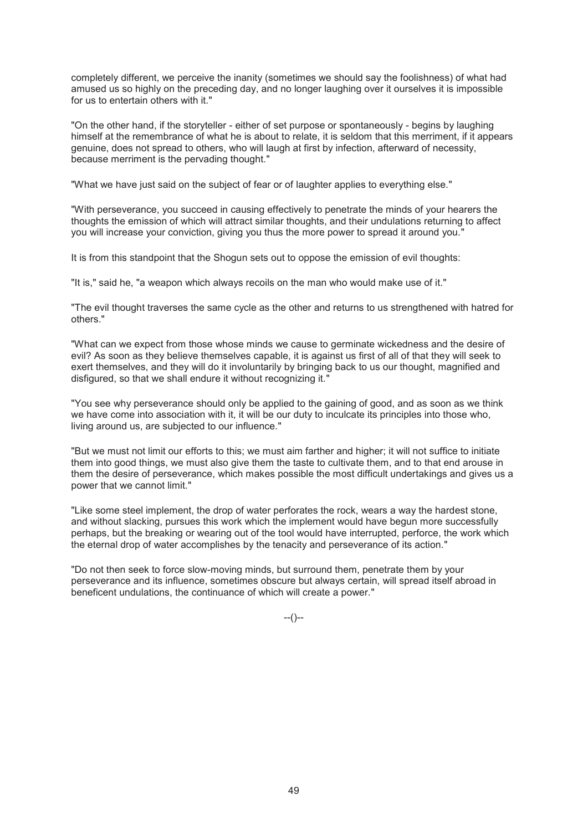completely different, we perceive the inanity (sometimes we should say the foolishness) of what had amused us so highly on the preceding day, and no longer laughing over it ourselves it is impossible for us to entertain others with it."

"On the other hand, if the storyteller - either of set purpose or spontaneously - begins by laughing himself at the remembrance of what he is about to relate, it is seldom that this merriment, if it appears genuine, does not spread to others, who will laugh at first by infection, afterward of necessity, because merriment is the pervading thought."

"What we have just said on the subject of fear or of laughter applies to everything else."

"With perseverance, you succeed in causing effectively to penetrate the minds of your hearers the thoughts the emission of which will attract similar thoughts, and their undulations returning to affect you will increase your conviction, giving you thus the more power to spread it around you."

It is from this standpoint that the Shogun sets out to oppose the emission of evil thoughts:

"It is," said he, "a weapon which always recoils on the man who would make use of it."

"The evil thought traverses the same cycle as the other and returns to us strengthened with hatred for others."

"What can we expect from those whose minds we cause to germinate wickedness and the desire of evil? As soon as they believe themselves capable, it is against us first of all of that they will seek to exert themselves, and they will do it involuntarily by bringing back to us our thought, magnified and disfigured, so that we shall endure it without recognizing it."

"You see why perseverance should only be applied to the gaining of good, and as soon as we think we have come into association with it, it will be our duty to inculcate its principles into those who, living around us, are subjected to our influence."

"But we must not limit our efforts to this; we must aim farther and higher; it will not suffice to initiate them into good things, we must also give them the taste to cultivate them, and to that end arouse in them the desire of perseverance, which makes possible the most difficult undertakings and gives us a power that we cannot limit."

"Like some steel implement, the drop of water perforates the rock, wears a way the hardest stone, and without slacking, pursues this work which the implement would have begun more successfully perhaps, but the breaking or wearing out of the tool would have interrupted, perforce, the work which the eternal drop of water accomplishes by the tenacity and perseverance of its action."

"Do not then seek to force slow-moving minds, but surround them, penetrate them by your perseverance and its influence, sometimes obscure but always certain, will spread itself abroad in beneficent undulations, the continuance of which will create a power."

--()--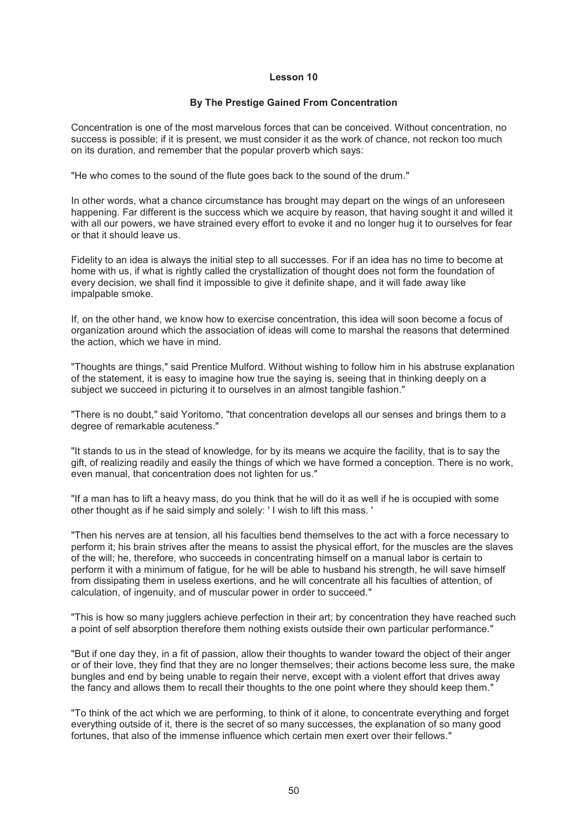## **Lesson 10**

## **By The Prestige Gained From Concentration**

Concentration is one of the most marvelous forces that can be conceived. Without concentration, no success is possible; if it is present, we must consider it as the work of chance, not reckon too much on its duration, and remember that the popular proverb which says:

"He who comes to the sound of the flute goes back to the sound of the drum."

In other words, what a chance circumstance has brought may depart on the wings of an unforeseen happening. Far different is the success which we acquire by reason, that having sought it and willed it with all our powers, we have strained every effort to evoke it and no longer hug it to ourselves for fear or that it should leave us.

Fidelity to an idea is always the initial step to all successes. For if an idea has no time to become at home with us, if what is rightly called the crystallization of thought does not form the foundation of every decision, we shall find it impossible to give it definite shape, and it will fade away like impalpable smoke.

If, on the other hand, we know how to exercise concentration, this idea will soon become a focus of organization around which the association of ideas will come to marshal the reasons that determined the action, which we have in mind.

"Thoughts are things," said Prentice Mulford. Without wishing to follow him in his abstruse explanation of the statement, it is easy to imagine how true the saying is, seeing that in thinking deeply on a subject we succeed in picturing it to ourselves in an almost tangible fashion."

"There is no doubt," said Yoritomo, "that concentration develops all our senses and brings them to a degree of remarkable acuteness."

"It stands to us in the stead of knowledge, for by its means we acquire the facility, that is to say the gift, of realizing readily and easily the things of which we have formed a conception. There is no work, even manual, that concentration does not lighten for us."

"If a man has to lift a heavy mass, do you think that he will do it as well if he is occupied with some other thought as if he said simply and solely: ' I wish to lift this mass. '

"Then his nerves are at tension, all his faculties bend themselves to the act with a force necessary to perform it; his brain strives after the means to assist the physical effort, for the muscles are the slaves of the will; he, therefore, who succeeds in concentrating himself on a manual labor is certain to perform it with a minimum of fatigue, for he will be able to husband his strength, he will save himself from dissipating them in useless exertions, and he will concentrate all his faculties of attention, of calculation, of ingenuity, and of muscular power in order to succeed."

"This is how so many jugglers achieve perfection in their art; by concentration they have reached such a point of self absorption therefore them nothing exists outside their own particular performance."

"But if one day they, in a fit of passion, allow their thoughts to wander toward the object of their anger or of their love, they find that they are no longer themselves; their actions become less sure, the make bungles and end by being unable to regain their nerve, except with a violent effort that drives away the fancy and allows them to recall their thoughts to the one point where they should keep them."

"To think of the act which we are performing, to think of it alone, to concentrate everything and forget everything outside of it, there is the secret of so many successes, the explanation of so many good fortunes, that also of the immense influence which certain men exert over their fellows."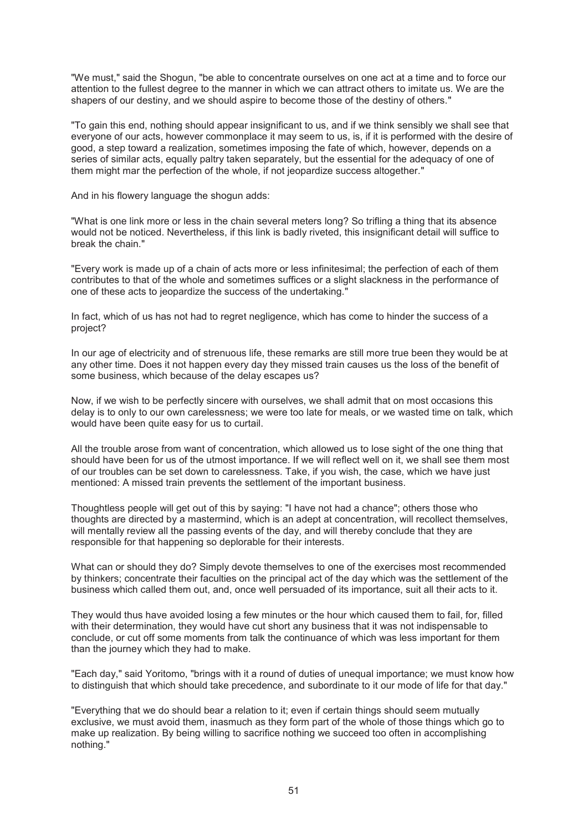"We must," said the Shogun, "be able to concentrate ourselves on one act at a time and to force our attention to the fullest degree to the manner in which we can attract others to imitate us. We are the shapers of our destiny, and we should aspire to become those of the destiny of others."

"To gain this end, nothing should appear insignificant to us, and if we think sensibly we shall see that everyone of our acts, however commonplace it may seem to us, is, if it is performed with the desire of good, a step toward a realization, sometimes imposing the fate of which, however, depends on a series of similar acts, equally paltry taken separately, but the essential for the adequacy of one of them might mar the perfection of the whole, if not jeopardize success altogether."

And in his flowery language the shogun adds:

"What is one link more or less in the chain several meters long? So trifling a thing that its absence would not be noticed. Nevertheless, if this link is badly riveted, this insignificant detail will suffice to break the chain."

"Every work is made up of a chain of acts more or less infinitesimal; the perfection of each of them contributes to that of the whole and sometimes suffices or a slight slackness in the performance of one of these acts to jeopardize the success of the undertaking."

In fact, which of us has not had to regret negligence, which has come to hinder the success of a project?

In our age of electricity and of strenuous life, these remarks are still more true been they would be at any other time. Does it not happen every day they missed train causes us the loss of the benefit of some business, which because of the delay escapes us?

Now, if we wish to be perfectly sincere with ourselves, we shall admit that on most occasions this delay is to only to our own carelessness; we were too late for meals, or we wasted time on talk, which would have been quite easy for us to curtail.

All the trouble arose from want of concentration, which allowed us to lose sight of the one thing that should have been for us of the utmost importance. If we will reflect well on it, we shall see them most of our troubles can be set down to carelessness. Take, if you wish, the case, which we have just mentioned: A missed train prevents the settlement of the important business.

Thoughtless people will get out of this by saying: "I have not had a chance"; others those who thoughts are directed by a mastermind, which is an adept at concentration, will recollect themselves, will mentally review all the passing events of the day, and will thereby conclude that they are responsible for that happening so deplorable for their interests.

What can or should they do? Simply devote themselves to one of the exercises most recommended by thinkers; concentrate their faculties on the principal act of the day which was the settlement of the business which called them out, and, once well persuaded of its importance, suit all their acts to it.

They would thus have avoided losing a few minutes or the hour which caused them to fail, for, filled with their determination, they would have cut short any business that it was not indispensable to conclude, or cut off some moments from talk the continuance of which was less important for them than the journey which they had to make.

"Each day," said Yoritomo, "brings with it a round of duties of unequal importance; we must know how to distinguish that which should take precedence, and subordinate to it our mode of life for that day."

"Everything that we do should bear a relation to it; even if certain things should seem mutually exclusive, we must avoid them, inasmuch as they form part of the whole of those things which go to make up realization. By being willing to sacrifice nothing we succeed too often in accomplishing nothing."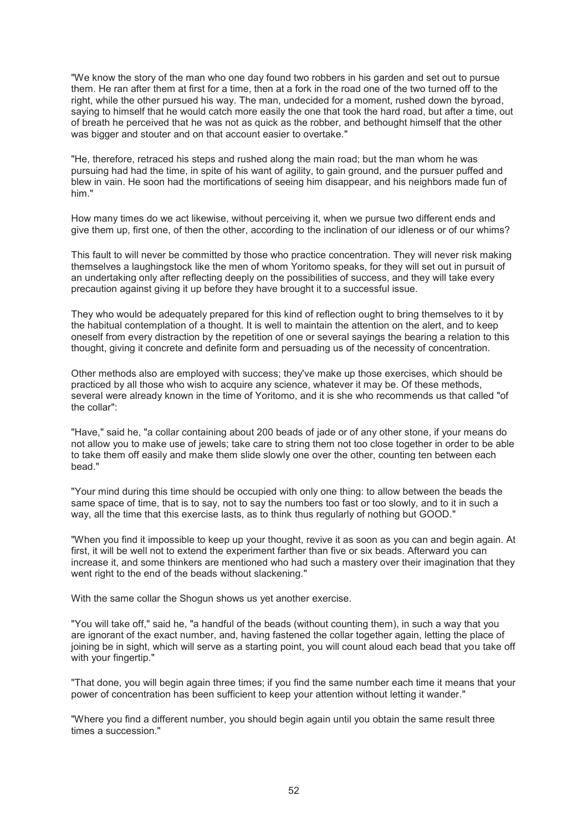"We know the story of the man who one day found two robbers in his garden and set out to pursue them. He ran after them at first for a time, then at a fork in the road one of the two turned off to the right, while the other pursued his way. The man, undecided for a moment, rushed down the byroad, saying to himself that he would catch more easily the one that took the hard road, but after a time, out of breath he perceived that he was not as quick as the robber, and bethought himself that the other was bigger and stouter and on that account easier to overtake."

"He, therefore, retraced his steps and rushed along the main road; but the man whom he was pursuing had had the time, in spite of his want of agility, to gain ground, and the pursuer puffed and blew in vain. He soon had the mortifications of seeing him disappear, and his neighbors made fun of him."

How many times do we act likewise, without perceiving it, when we pursue two different ends and give them up, first one, of then the other, according to the inclination of our idleness or of our whims?

This fault to will never be committed by those who practice concentration. They will never risk making themselves a laughingstock like the men of whom Yoritomo speaks, for they will set out in pursuit of an undertaking only after reflecting deeply on the possibilities of success, and they will take every precaution against giving it up before they have brought it to a successful issue.

They who would be adequately prepared for this kind of reflection ought to bring themselves to it by the habitual contemplation of a thought. It is well to maintain the attention on the alert, and to keep oneself from every distraction by the repetition of one or several sayings the bearing a relation to this thought, giving it concrete and definite form and persuading us of the necessity of concentration.

Other methods also are employed with success; they've make up those exercises, which should be practiced by all those who wish to acquire any science, whatever it may be. Of these methods, several were already known in the time of Yoritomo, and it is she who recommends us that called "of the collar":

"Have," said he, "a collar containing about 200 beads of jade or of any other stone, if your means do not allow you to make use of jewels; take care to string them not too close together in order to be able to take them off easily and make them slide slowly one over the other, counting ten between each bead."

"Your mind during this time should be occupied with only one thing: to allow between the beads the same space of time, that is to say, not to say the numbers too fast or too slowly, and to it in such a way, all the time that this exercise lasts, as to think thus regularly of nothing but GOOD."

"When you find it impossible to keep up your thought, revive it as soon as you can and begin again. At first, it will be well not to extend the experiment farther than five or six beads. Afterward you can increase it, and some thinkers are mentioned who had such a mastery over their imagination that they went right to the end of the beads without slackening."

With the same collar the Shogun shows us yet another exercise.

"You will take off," said he, "a handful of the beads (without counting them), in such a way that you are ignorant of the exact number, and, having fastened the collar together again, letting the place of joining be in sight, which will serve as a starting point, you will count aloud each bead that you take off with your fingertip."

"That done, you will begin again three times; if you find the same number each time it means that your power of concentration has been sufficient to keep your attention without letting it wander."

"Where you find a different number, you should begin again until you obtain the same result three times a succession."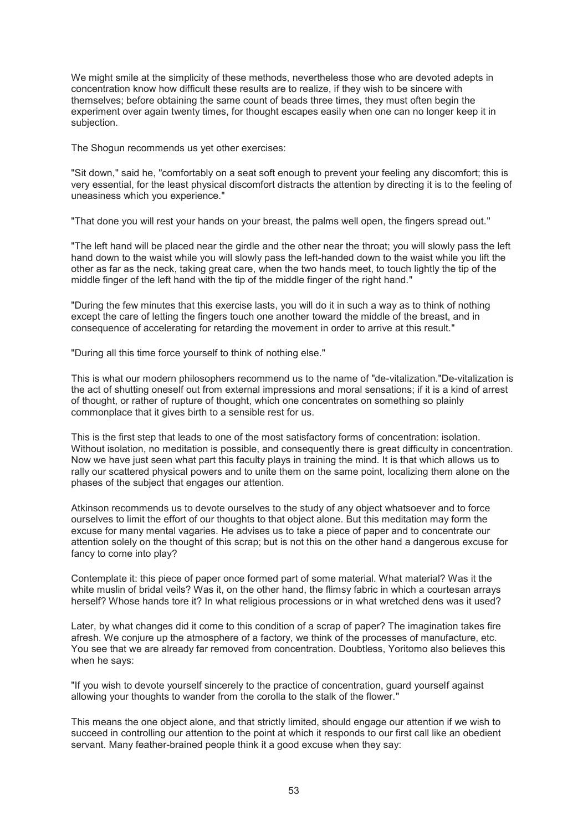We might smile at the simplicity of these methods, nevertheless those who are devoted adepts in concentration know how difficult these results are to realize, if they wish to be sincere with themselves; before obtaining the same count of beads three times, they must often begin the experiment over again twenty times, for thought escapes easily when one can no longer keep it in subjection.

The Shogun recommends us yet other exercises:

"Sit down," said he, "comfortably on a seat soft enough to prevent your feeling any discomfort; this is very essential, for the least physical discomfort distracts the attention by directing it is to the feeling of uneasiness which you experience."

"That done you will rest your hands on your breast, the palms well open, the fingers spread out."

"The left hand will be placed near the girdle and the other near the throat; you will slowly pass the left hand down to the waist while you will slowly pass the left-handed down to the waist while you lift the other as far as the neck, taking great care, when the two hands meet, to touch lightly the tip of the middle finger of the left hand with the tip of the middle finger of the right hand."

"During the few minutes that this exercise lasts, you will do it in such a way as to think of nothing except the care of letting the fingers touch one another toward the middle of the breast, and in consequence of accelerating for retarding the movement in order to arrive at this result."

"During all this time force yourself to think of nothing else."

This is what our modern philosophers recommend us to the name of "de-vitalization."De-vitalization is the act of shutting oneself out from external impressions and moral sensations; if it is a kind of arrest of thought, or rather of rupture of thought, which one concentrates on something so plainly commonplace that it gives birth to a sensible rest for us.

This is the first step that leads to one of the most satisfactory forms of concentration: isolation. Without isolation, no meditation is possible, and consequently there is great difficulty in concentration. Now we have just seen what part this faculty plays in training the mind. It is that which allows us to rally our scattered physical powers and to unite them on the same point, localizing them alone on the phases of the subject that engages our attention.

Atkinson recommends us to devote ourselves to the study of any object whatsoever and to force ourselves to limit the effort of our thoughts to that object alone. But this meditation may form the excuse for many mental vagaries. He advises us to take a piece of paper and to concentrate our attention solely on the thought of this scrap; but is not this on the other hand a dangerous excuse for fancy to come into play?

Contemplate it: this piece of paper once formed part of some material. What material? Was it the white muslin of bridal veils? Was it, on the other hand, the flimsy fabric in which a courtesan arrays herself? Whose hands tore it? In what religious processions or in what wretched dens was it used?

Later, by what changes did it come to this condition of a scrap of paper? The imagination takes fire afresh. We conjure up the atmosphere of a factory, we think of the processes of manufacture, etc. You see that we are already far removed from concentration. Doubtless, Yoritomo also believes this when he says:

"If you wish to devote yourself sincerely to the practice of concentration, guard yourself against allowing your thoughts to wander from the corolla to the stalk of the flower."

This means the one object alone, and that strictly limited, should engage our attention if we wish to succeed in controlling our attention to the point at which it responds to our first call like an obedient servant. Many feather-brained people think it a good excuse when they say: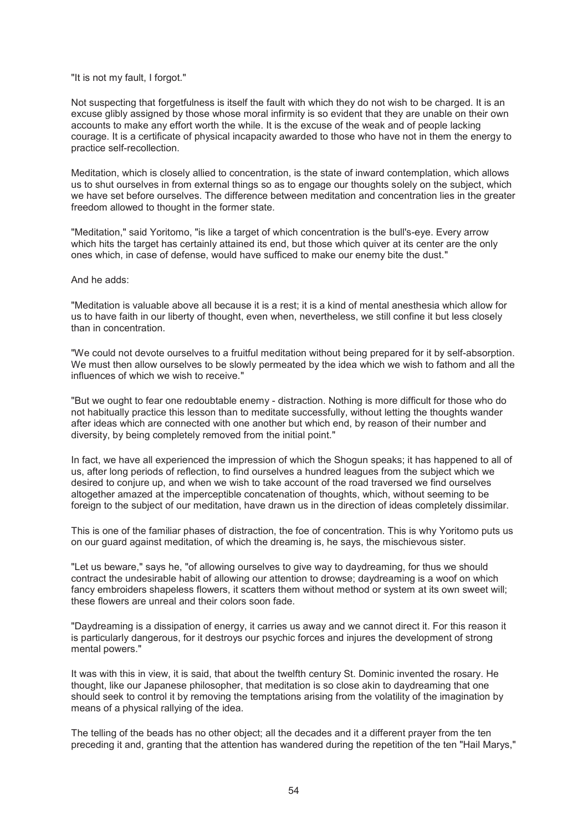#### "It is not my fault, I forgot."

Not suspecting that forgetfulness is itself the fault with which they do not wish to be charged. It is an excuse glibly assigned by those whose moral infirmity is so evident that they are unable on their own accounts to make any effort worth the while. It is the excuse of the weak and of people lacking courage. It is a certificate of physical incapacity awarded to those who have not in them the energy to practice self-recollection.

Meditation, which is closely allied to concentration, is the state of inward contemplation, which allows us to shut ourselves in from external things so as to engage our thoughts solely on the subject, which we have set before ourselves. The difference between meditation and concentration lies in the greater freedom allowed to thought in the former state.

"Meditation," said Yoritomo, "is like a target of which concentration is the bull's-eye. Every arrow which hits the target has certainly attained its end, but those which quiver at its center are the only ones which, in case of defense, would have sufficed to make our enemy bite the dust."

#### And he adds:

"Meditation is valuable above all because it is a rest; it is a kind of mental anesthesia which allow for us to have faith in our liberty of thought, even when, nevertheless, we still confine it but less closely than in concentration.

"We could not devote ourselves to a fruitful meditation without being prepared for it by self-absorption. We must then allow ourselves to be slowly permeated by the idea which we wish to fathom and all the influences of which we wish to receive."

"But we ought to fear one redoubtable enemy - distraction. Nothing is more difficult for those who do not habitually practice this lesson than to meditate successfully, without letting the thoughts wander after ideas which are connected with one another but which end, by reason of their number and diversity, by being completely removed from the initial point."

In fact, we have all experienced the impression of which the Shogun speaks; it has happened to all of us, after long periods of reflection, to find ourselves a hundred leagues from the subject which we desired to conjure up, and when we wish to take account of the road traversed we find ourselves altogether amazed at the imperceptible concatenation of thoughts, which, without seeming to be foreign to the subject of our meditation, have drawn us in the direction of ideas completely dissimilar.

This is one of the familiar phases of distraction, the foe of concentration. This is why Yoritomo puts us on our guard against meditation, of which the dreaming is, he says, the mischievous sister.

"Let us beware," says he, "of allowing ourselves to give way to daydreaming, for thus we should contract the undesirable habit of allowing our attention to drowse; daydreaming is a woof on which fancy embroiders shapeless flowers, it scatters them without method or system at its own sweet will; these flowers are unreal and their colors soon fade.

"Daydreaming is a dissipation of energy, it carries us away and we cannot direct it. For this reason it is particularly dangerous, for it destroys our psychic forces and injures the development of strong mental powers."

It was with this in view, it is said, that about the twelfth century St. Dominic invented the rosary. He thought, like our Japanese philosopher, that meditation is so close akin to daydreaming that one should seek to control it by removing the temptations arising from the volatility of the imagination by means of a physical rallying of the idea.

The telling of the beads has no other object; all the decades and it a different prayer from the ten preceding it and, granting that the attention has wandered during the repetition of the ten "Hail Marys,"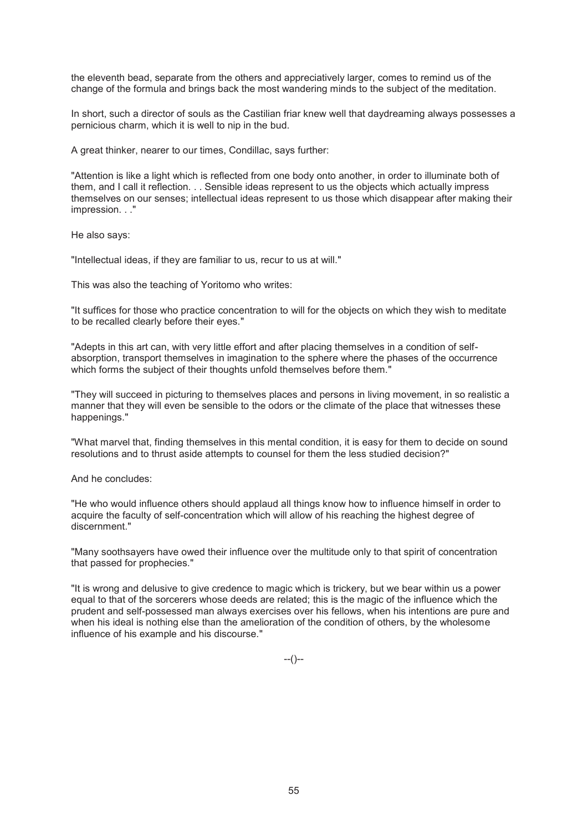the eleventh bead, separate from the others and appreciatively larger, comes to remind us of the change of the formula and brings back the most wandering minds to the subject of the meditation.

In short, such a director of souls as the Castilian friar knew well that daydreaming always possesses a pernicious charm, which it is well to nip in the bud.

A great thinker, nearer to our times, Condillac, says further:

"Attention is like a light which is reflected from one body onto another, in order to illuminate both of them, and I call it reflection. . . Sensible ideas represent to us the objects which actually impress themselves on our senses; intellectual ideas represent to us those which disappear after making their impression. . ."

He also says:

"Intellectual ideas, if they are familiar to us, recur to us at will."

This was also the teaching of Yoritomo who writes:

"It suffices for those who practice concentration to will for the objects on which they wish to meditate to be recalled clearly before their eyes."

"Adepts in this art can, with very little effort and after placing themselves in a condition of selfabsorption, transport themselves in imagination to the sphere where the phases of the occurrence which forms the subject of their thoughts unfold themselves before them."

"They will succeed in picturing to themselves places and persons in living movement, in so realistic a manner that they will even be sensible to the odors or the climate of the place that witnesses these happenings."

"What marvel that, finding themselves in this mental condition, it is easy for them to decide on sound resolutions and to thrust aside attempts to counsel for them the less studied decision?"

And he concludes:

"He who would influence others should applaud all things know how to influence himself in order to acquire the faculty of self-concentration which will allow of his reaching the highest degree of discernment."

"Many soothsayers have owed their influence over the multitude only to that spirit of concentration that passed for prophecies."

"It is wrong and delusive to give credence to magic which is trickery, but we bear within us a power equal to that of the sorcerers whose deeds are related; this is the magic of the influence which the prudent and self-possessed man always exercises over his fellows, when his intentions are pure and when his ideal is nothing else than the amelioration of the condition of others, by the wholesome influence of his example and his discourse."

--()--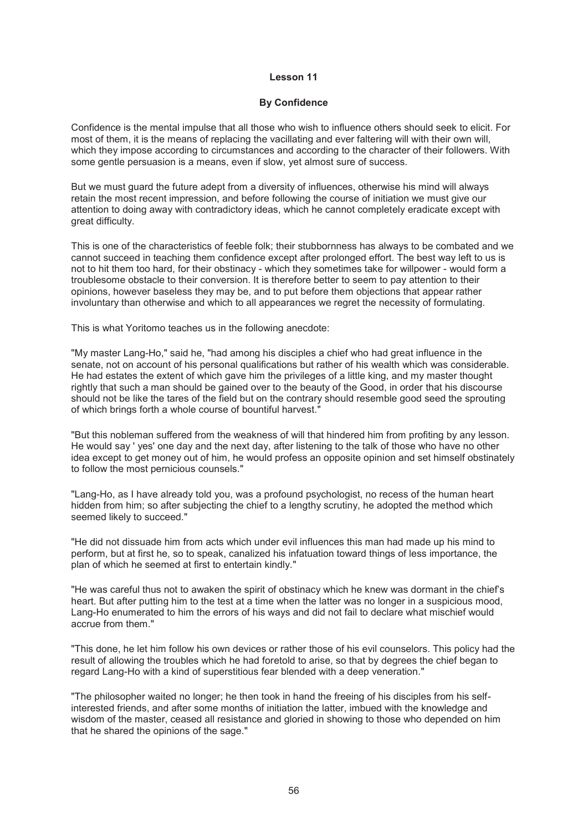## **Lesson 11**

#### **By Confidence**

Confidence is the mental impulse that all those who wish to influence others should seek to elicit. For most of them, it is the means of replacing the vacillating and ever faltering will with their own will, which they impose according to circumstances and according to the character of their followers. With some gentle persuasion is a means, even if slow, yet almost sure of success.

But we must guard the future adept from a diversity of influences, otherwise his mind will always retain the most recent impression, and before following the course of initiation we must give our attention to doing away with contradictory ideas, which he cannot completely eradicate except with great difficulty.

This is one of the characteristics of feeble folk; their stubbornness has always to be combated and we cannot succeed in teaching them confidence except after prolonged effort. The best way left to us is not to hit them too hard, for their obstinacy - which they sometimes take for willpower - would form a troublesome obstacle to their conversion. It is therefore better to seem to pay attention to their opinions, however baseless they may be, and to put before them objections that appear rather involuntary than otherwise and which to all appearances we regret the necessity of formulating.

This is what Yoritomo teaches us in the following anecdote:

"My master Lang-Ho," said he, "had among his disciples a chief who had great influence in the senate, not on account of his personal qualifications but rather of his wealth which was considerable. He had estates the extent of which gave him the privileges of a little king, and my master thought rightly that such a man should be gained over to the beauty of the Good, in order that his discourse should not be like the tares of the field but on the contrary should resemble good seed the sprouting of which brings forth a whole course of bountiful harvest."

"But this nobleman suffered from the weakness of will that hindered him from profiting by any lesson. He would say ' yes' one day and the next day, after listening to the talk of those who have no other idea except to get money out of him, he would profess an opposite opinion and set himself obstinately to follow the most pernicious counsels."

"Lang-Ho, as I have already told you, was a profound psychologist, no recess of the human heart hidden from him; so after subjecting the chief to a lengthy scrutiny, he adopted the method which seemed likely to succeed."

"He did not dissuade him from acts which under evil influences this man had made up his mind to perform, but at first he, so to speak, canalized his infatuation toward things of less importance, the plan of which he seemed at first to entertain kindly."

"He was careful thus not to awaken the spirit of obstinacy which he knew was dormant in the chief's heart. But after putting him to the test at a time when the latter was no longer in a suspicious mood, Lang-Ho enumerated to him the errors of his ways and did not fail to declare what mischief would accrue from them."

"This done, he let him follow his own devices or rather those of his evil counselors. This policy had the result of allowing the troubles which he had foretold to arise, so that by degrees the chief began to regard Lang-Ho with a kind of superstitious fear blended with a deep veneration."

"The philosopher waited no longer; he then took in hand the freeing of his disciples from his selfinterested friends, and after some months of initiation the latter, imbued with the knowledge and wisdom of the master, ceased all resistance and gloried in showing to those who depended on him that he shared the opinions of the sage."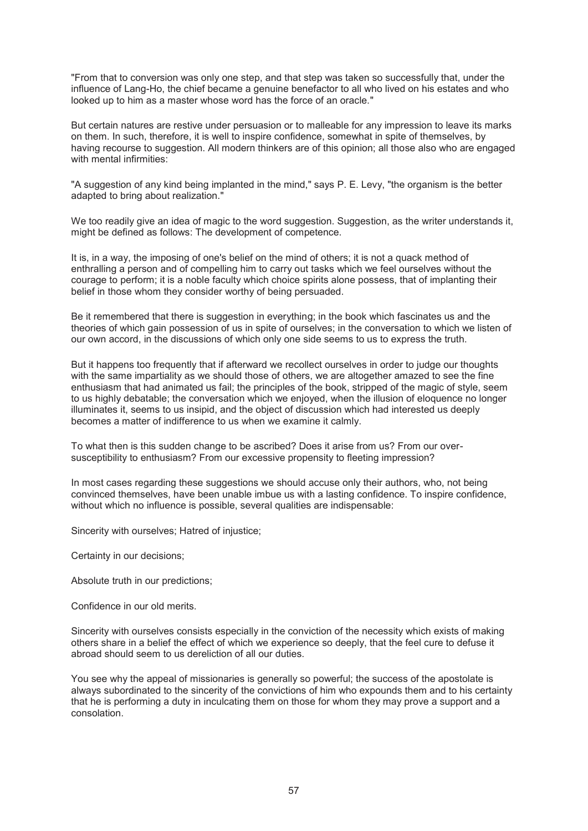"From that to conversion was only one step, and that step was taken so successfully that, under the influence of Lang-Ho, the chief became a genuine benefactor to all who lived on his estates and who looked up to him as a master whose word has the force of an oracle."

But certain natures are restive under persuasion or to malleable for any impression to leave its marks on them. In such, therefore, it is well to inspire confidence, somewhat in spite of themselves, by having recourse to suggestion. All modern thinkers are of this opinion; all those also who are engaged with mental infirmities:

"A suggestion of any kind being implanted in the mind," says P. E. Levy, "the organism is the better adapted to bring about realization."

We too readily give an idea of magic to the word suggestion. Suggestion, as the writer understands it, might be defined as follows: The development of competence.

It is, in a way, the imposing of one's belief on the mind of others; it is not a quack method of enthralling a person and of compelling him to carry out tasks which we feel ourselves without the courage to perform; it is a noble faculty which choice spirits alone possess, that of implanting their belief in those whom they consider worthy of being persuaded.

Be it remembered that there is suggestion in everything; in the book which fascinates us and the theories of which gain possession of us in spite of ourselves; in the conversation to which we listen of our own accord, in the discussions of which only one side seems to us to express the truth.

But it happens too frequently that if afterward we recollect ourselves in order to judge our thoughts with the same impartiality as we should those of others, we are altogether amazed to see the fine enthusiasm that had animated us fail; the principles of the book, stripped of the magic of style, seem to us highly debatable; the conversation which we enjoyed, when the illusion of eloquence no longer illuminates it, seems to us insipid, and the object of discussion which had interested us deeply becomes a matter of indifference to us when we examine it calmly.

To what then is this sudden change to be ascribed? Does it arise from us? From our oversusceptibility to enthusiasm? From our excessive propensity to fleeting impression?

In most cases regarding these suggestions we should accuse only their authors, who, not being convinced themselves, have been unable imbue us with a lasting confidence. To inspire confidence, without which no influence is possible, several qualities are indispensable:

Sincerity with ourselves; Hatred of injustice;

Certainty in our decisions;

Absolute truth in our predictions;

Confidence in our old merits.

Sincerity with ourselves consists especially in the conviction of the necessity which exists of making others share in a belief the effect of which we experience so deeply, that the feel cure to defuse it abroad should seem to us dereliction of all our duties.

You see why the appeal of missionaries is generally so powerful; the success of the apostolate is always subordinated to the sincerity of the convictions of him who expounds them and to his certainty that he is performing a duty in inculcating them on those for whom they may prove a support and a consolation.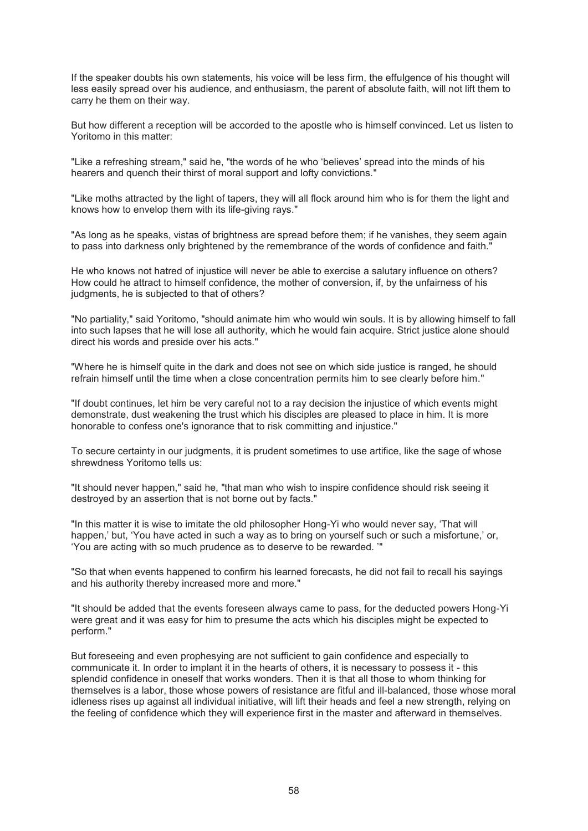If the speaker doubts his own statements, his voice will be less firm, the effulgence of his thought will less easily spread over his audience, and enthusiasm, the parent of absolute faith, will not lift them to carry he them on their way.

But how different a reception will be accorded to the apostle who is himself convinced. Let us listen to Yoritomo in this matter:

"Like a refreshing stream," said he, "the words of he who 'believes' spread into the minds of his hearers and quench their thirst of moral support and lofty convictions."

"Like moths attracted by the light of tapers, they will all flock around him who is for them the light and knows how to envelop them with its life-giving rays."

"As long as he speaks, vistas of brightness are spread before them; if he vanishes, they seem again to pass into darkness only brightened by the remembrance of the words of confidence and faith."

He who knows not hatred of injustice will never be able to exercise a salutary influence on others? How could he attract to himself confidence, the mother of conversion, if, by the unfairness of his judgments, he is subjected to that of others?

"No partiality," said Yoritomo, "should animate him who would win souls. It is by allowing himself to fall into such lapses that he will lose all authority, which he would fain acquire. Strict justice alone should direct his words and preside over his acts."

"Where he is himself quite in the dark and does not see on which side justice is ranged, he should refrain himself until the time when a close concentration permits him to see clearly before him."

"If doubt continues, let him be very careful not to a ray decision the injustice of which events might demonstrate, dust weakening the trust which his disciples are pleased to place in him. It is more honorable to confess one's ignorance that to risk committing and injustice."

To secure certainty in our judgments, it is prudent sometimes to use artifice, like the sage of whose shrewdness Yoritomo tells us:

"It should never happen," said he, "that man who wish to inspire confidence should risk seeing it destroyed by an assertion that is not borne out by facts."

"In this matter it is wise to imitate the old philosopher Hong-Yi who would never say, 'That will happen,' but, 'You have acted in such a way as to bring on yourself such or such a misfortune,' or, 'You are acting with so much prudence as to deserve to be rewarded. '"

"So that when events happened to confirm his learned forecasts, he did not fail to recall his sayings and his authority thereby increased more and more."

"It should be added that the events foreseen always came to pass, for the deducted powers Hong-Yi were great and it was easy for him to presume the acts which his disciples might be expected to perform."

But foreseeing and even prophesying are not sufficient to gain confidence and especially to communicate it. In order to implant it in the hearts of others, it is necessary to possess it - this splendid confidence in oneself that works wonders. Then it is that all those to whom thinking for themselves is a labor, those whose powers of resistance are fitful and ill-balanced, those whose moral idleness rises up against all individual initiative, will lift their heads and feel a new strength, relying on the feeling of confidence which they will experience first in the master and afterward in themselves.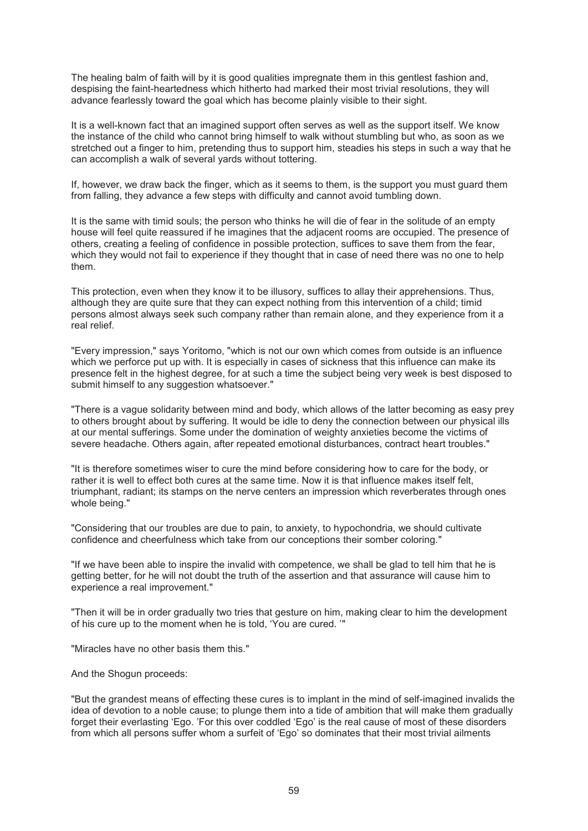The healing balm of faith will by it is good qualities impregnate them in this gentlest fashion and, despising the faint-heartedness which hitherto had marked their most trivial resolutions, they will advance fearlessly toward the goal which has become plainly visible to their sight.

It is a well-known fact that an imagined support often serves as well as the support itself. We know the instance of the child who cannot bring himself to walk without stumbling but who, as soon as we stretched out a finger to him, pretending thus to support him, steadies his steps in such a way that he can accomplish a walk of several yards without tottering.

If, however, we draw back the finger, which as it seems to them, is the support you must guard them from falling, they advance a few steps with difficulty and cannot avoid tumbling down.

It is the same with timid souls; the person who thinks he will die of fear in the solitude of an empty house will feel quite reassured if he imagines that the adjacent rooms are occupied. The presence of others, creating a feeling of confidence in possible protection, suffices to save them from the fear, which they would not fail to experience if they thought that in case of need there was no one to help them.

This protection, even when they know it to be illusory, suffices to allay their apprehensions. Thus, although they are quite sure that they can expect nothing from this intervention of a child; timid persons almost always seek such company rather than remain alone, and they experience from it a real relief.

"Every impression," says Yoritomo, "which is not our own which comes from outside is an influence which we perforce put up with. It is especially in cases of sickness that this influence can make its presence felt in the highest degree, for at such a time the subject being very week is best disposed to submit himself to any suggestion whatsoever."

"There is a vague solidarity between mind and body, which allows of the latter becoming as easy prey to others brought about by suffering. It would be idle to deny the connection between our physical ills at our mental sufferings. Some under the domination of weighty anxieties become the victims of severe headache. Others again, after repeated emotional disturbances, contract heart troubles."

"It is therefore sometimes wiser to cure the mind before considering how to care for the body, or rather it is well to effect both cures at the same time. Now it is that influence makes itself felt, triumphant, radiant; its stamps on the nerve centers an impression which reverberates through ones whole being."

"Considering that our troubles are due to pain, to anxiety, to hypochondria, we should cultivate confidence and cheerfulness which take from our conceptions their somber coloring."

"If we have been able to inspire the invalid with competence, we shall be glad to tell him that he is getting better, for he will not doubt the truth of the assertion and that assurance will cause him to experience a real improvement."

"Then it will be in order gradually two tries that gesture on him, making clear to him the development of his cure up to the moment when he is told, 'You are cured. '"

"Miracles have no other basis them this."

And the Shogun proceeds:

"But the grandest means of effecting these cures is to implant in the mind of self-imagined invalids the idea of devotion to a noble cause; to plunge them into a tide of ambition that will make them gradually forget their everlasting 'Ego. 'For this over coddled 'Ego' is the real cause of most of these disorders from which all persons suffer whom a surfeit of 'Ego' so dominates that their most trivial ailments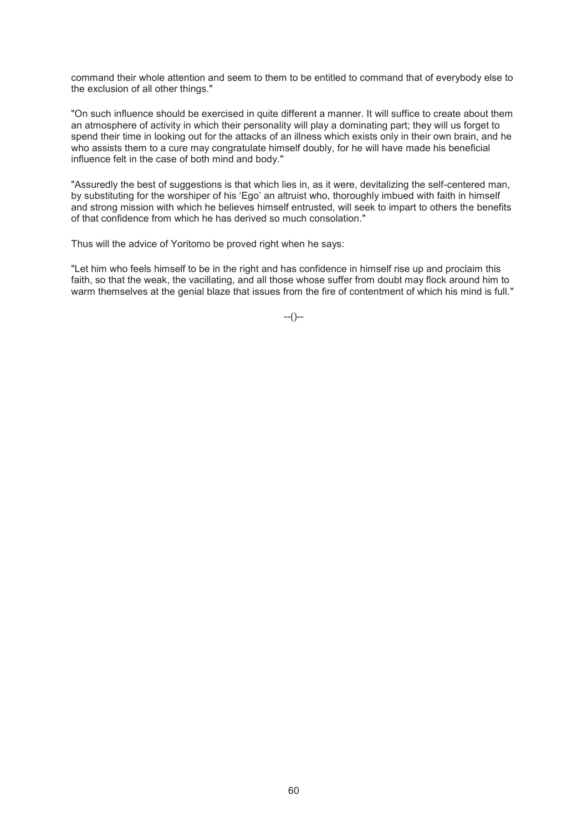command their whole attention and seem to them to be entitled to command that of everybody else to the exclusion of all other things."

"On such influence should be exercised in quite different a manner. It will suffice to create about them an atmosphere of activity in which their personality will play a dominating part; they will us forget to spend their time in looking out for the attacks of an illness which exists only in their own brain, and he who assists them to a cure may congratulate himself doubly, for he will have made his beneficial influence felt in the case of both mind and body."

"Assuredly the best of suggestions is that which lies in, as it were, devitalizing the self-centered man, by substituting for the worshiper of his 'Ego' an altruist who, thoroughly imbued with faith in himself and strong mission with which he believes himself entrusted, will seek to impart to others the benefits of that confidence from which he has derived so much consolation."

Thus will the advice of Yoritomo be proved right when he says:

"Let him who feels himself to be in the right and has confidence in himself rise up and proclaim this faith, so that the weak, the vacillating, and all those whose suffer from doubt may flock around him to warm themselves at the genial blaze that issues from the fire of contentment of which his mind is full."

--()--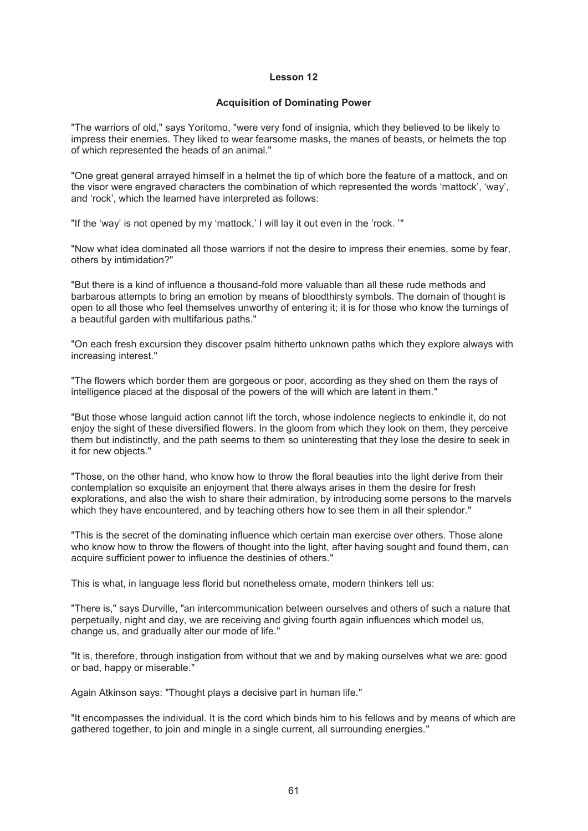## **Lesson 12**

#### **Acquisition of Dominating Power**

"The warriors of old," says Yoritomo, "were very fond of insignia, which they believed to be likely to impress their enemies. They liked to wear fearsome masks, the manes of beasts, or helmets the top of which represented the heads of an animal."

"One great general arrayed himself in a helmet the tip of which bore the feature of a mattock, and on the visor were engraved characters the combination of which represented the words 'mattock', 'way', and 'rock', which the learned have interpreted as follows:

"If the 'way' is not opened by my 'mattock,' I will lay it out even in the 'rock. '"

"Now what idea dominated all those warriors if not the desire to impress their enemies, some by fear, others by intimidation?"

"But there is a kind of influence a thousand-fold more valuable than all these rude methods and barbarous attempts to bring an emotion by means of bloodthirsty symbols. The domain of thought is open to all those who feel themselves unworthy of entering it; it is for those who know the turnings of a beautiful garden with multifarious paths."

"On each fresh excursion they discover psalm hitherto unknown paths which they explore always with increasing interest."

"The flowers which border them are gorgeous or poor, according as they shed on them the rays of intelligence placed at the disposal of the powers of the will which are latent in them."

"But those whose languid action cannot lift the torch, whose indolence neglects to enkindle it, do not enjoy the sight of these diversified flowers. In the gloom from which they look on them, they perceive them but indistinctly, and the path seems to them so uninteresting that they lose the desire to seek in it for new objects."

"Those, on the other hand, who know how to throw the floral beauties into the light derive from their contemplation so exquisite an enjoyment that there always arises in them the desire for fresh explorations, and also the wish to share their admiration, by introducing some persons to the marvels which they have encountered, and by teaching others how to see them in all their splendor."

"This is the secret of the dominating influence which certain man exercise over others. Those alone who know how to throw the flowers of thought into the light, after having sought and found them, can acquire sufficient power to influence the destinies of others."

This is what, in language less florid but nonetheless ornate, modern thinkers tell us:

"There is," says Durville, "an intercommunication between ourselves and others of such a nature that perpetually, night and day, we are receiving and giving fourth again influences which model us, change us, and gradually alter our mode of life."

"It is, therefore, through instigation from without that we and by making ourselves what we are: good or bad, happy or miserable."

Again Atkinson says: "Thought plays a decisive part in human life."

"It encompasses the individual. It is the cord which binds him to his fellows and by means of which are gathered together, to join and mingle in a single current, all surrounding energies."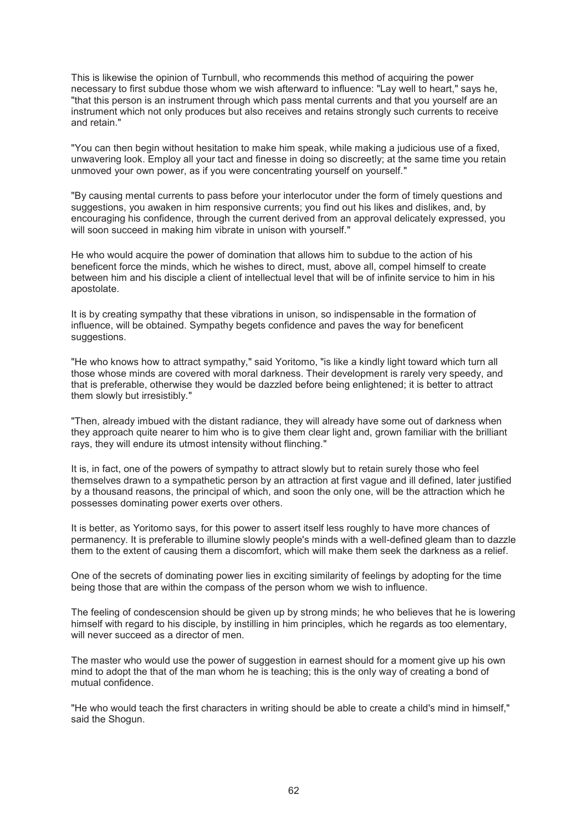This is likewise the opinion of Turnbull, who recommends this method of acquiring the power necessary to first subdue those whom we wish afterward to influence: "Lay well to heart," says he, "that this person is an instrument through which pass mental currents and that you yourself are an instrument which not only produces but also receives and retains strongly such currents to receive and retain."

"You can then begin without hesitation to make him speak, while making a judicious use of a fixed, unwavering look. Employ all your tact and finesse in doing so discreetly; at the same time you retain unmoved your own power, as if you were concentrating yourself on yourself."

"By causing mental currents to pass before your interlocutor under the form of timely questions and suggestions, you awaken in him responsive currents; you find out his likes and dislikes, and, by encouraging his confidence, through the current derived from an approval delicately expressed, you will soon succeed in making him vibrate in unison with yourself."

He who would acquire the power of domination that allows him to subdue to the action of his beneficent force the minds, which he wishes to direct, must, above all, compel himself to create between him and his disciple a client of intellectual level that will be of infinite service to him in his apostolate.

It is by creating sympathy that these vibrations in unison, so indispensable in the formation of influence, will be obtained. Sympathy begets confidence and paves the way for beneficent suggestions.

"He who knows how to attract sympathy," said Yoritomo, "is like a kindly light toward which turn all those whose minds are covered with moral darkness. Their development is rarely very speedy, and that is preferable, otherwise they would be dazzled before being enlightened; it is better to attract them slowly but irresistibly."

"Then, already imbued with the distant radiance, they will already have some out of darkness when they approach quite nearer to him who is to give them clear light and, grown familiar with the brilliant rays, they will endure its utmost intensity without flinching."

It is, in fact, one of the powers of sympathy to attract slowly but to retain surely those who feel themselves drawn to a sympathetic person by an attraction at first vague and ill defined, later justified by a thousand reasons, the principal of which, and soon the only one, will be the attraction which he possesses dominating power exerts over others.

It is better, as Yoritomo says, for this power to assert itself less roughly to have more chances of permanency. It is preferable to illumine slowly people's minds with a well-defined gleam than to dazzle them to the extent of causing them a discomfort, which will make them seek the darkness as a relief.

One of the secrets of dominating power lies in exciting similarity of feelings by adopting for the time being those that are within the compass of the person whom we wish to influence.

The feeling of condescension should be given up by strong minds; he who believes that he is lowering himself with regard to his disciple, by instilling in him principles, which he regards as too elementary, will never succeed as a director of men.

The master who would use the power of suggestion in earnest should for a moment give up his own mind to adopt the that of the man whom he is teaching; this is the only way of creating a bond of mutual confidence.

"He who would teach the first characters in writing should be able to create a child's mind in himself," said the Shogun.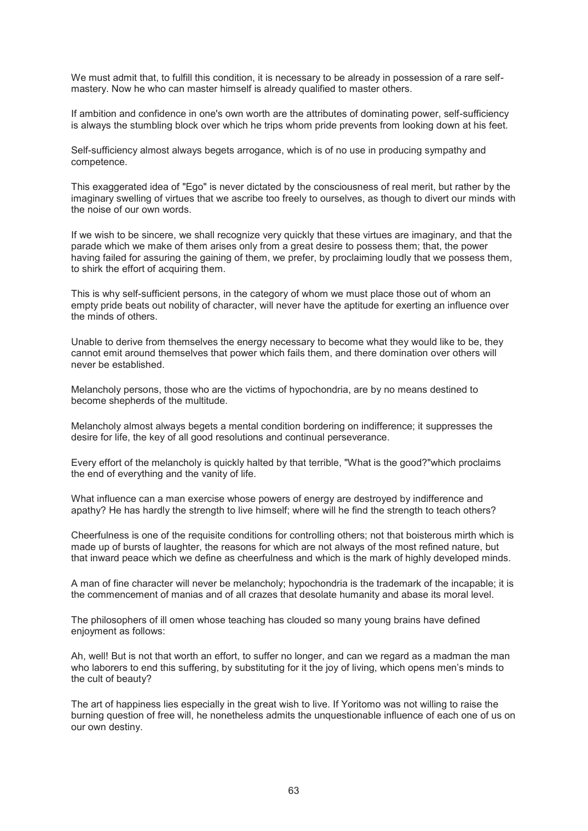We must admit that, to fulfill this condition, it is necessary to be already in possession of a rare selfmastery. Now he who can master himself is already qualified to master others.

If ambition and confidence in one's own worth are the attributes of dominating power, self-sufficiency is always the stumbling block over which he trips whom pride prevents from looking down at his feet.

Self-sufficiency almost always begets arrogance, which is of no use in producing sympathy and competence.

This exaggerated idea of "Ego" is never dictated by the consciousness of real merit, but rather by the imaginary swelling of virtues that we ascribe too freely to ourselves, as though to divert our minds with the noise of our own words.

If we wish to be sincere, we shall recognize very quickly that these virtues are imaginary, and that the parade which we make of them arises only from a great desire to possess them; that, the power having failed for assuring the gaining of them, we prefer, by proclaiming loudly that we possess them, to shirk the effort of acquiring them.

This is why self-sufficient persons, in the category of whom we must place those out of whom an empty pride beats out nobility of character, will never have the aptitude for exerting an influence over the minds of others.

Unable to derive from themselves the energy necessary to become what they would like to be, they cannot emit around themselves that power which fails them, and there domination over others will never be established.

Melancholy persons, those who are the victims of hypochondria, are by no means destined to become shepherds of the multitude.

Melancholy almost always begets a mental condition bordering on indifference; it suppresses the desire for life, the key of all good resolutions and continual perseverance.

Every effort of the melancholy is quickly halted by that terrible, "What is the good?"which proclaims the end of everything and the vanity of life.

What influence can a man exercise whose powers of energy are destroyed by indifference and apathy? He has hardly the strength to live himself; where will he find the strength to teach others?

Cheerfulness is one of the requisite conditions for controlling others; not that boisterous mirth which is made up of bursts of laughter, the reasons for which are not always of the most refined nature, but that inward peace which we define as cheerfulness and which is the mark of highly developed minds.

A man of fine character will never be melancholy; hypochondria is the trademark of the incapable; it is the commencement of manias and of all crazes that desolate humanity and abase its moral level.

The philosophers of ill omen whose teaching has clouded so many young brains have defined enjoyment as follows:

Ah, well! But is not that worth an effort, to suffer no longer, and can we regard as a madman the man who laborers to end this suffering, by substituting for it the joy of living, which opens men's minds to the cult of beauty?

The art of happiness lies especially in the great wish to live. If Yoritomo was not willing to raise the burning question of free will, he nonetheless admits the unquestionable influence of each one of us on our own destiny.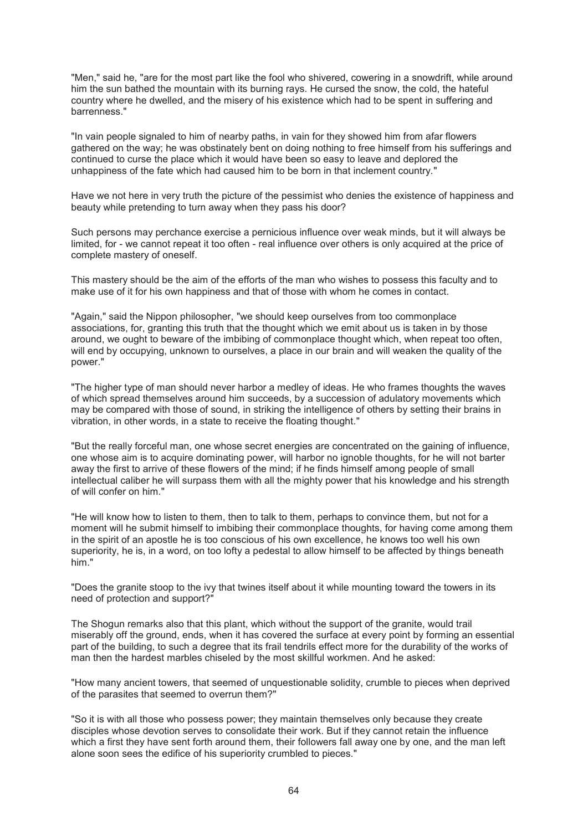"Men," said he, "are for the most part like the fool who shivered, cowering in a snowdrift, while around him the sun bathed the mountain with its burning rays. He cursed the snow, the cold, the hateful country where he dwelled, and the misery of his existence which had to be spent in suffering and barrenness."

"In vain people signaled to him of nearby paths, in vain for they showed him from afar flowers gathered on the way; he was obstinately bent on doing nothing to free himself from his sufferings and continued to curse the place which it would have been so easy to leave and deplored the unhappiness of the fate which had caused him to be born in that inclement country."

Have we not here in very truth the picture of the pessimist who denies the existence of happiness and beauty while pretending to turn away when they pass his door?

Such persons may perchance exercise a pernicious influence over weak minds, but it will always be limited, for - we cannot repeat it too often - real influence over others is only acquired at the price of complete mastery of oneself.

This mastery should be the aim of the efforts of the man who wishes to possess this faculty and to make use of it for his own happiness and that of those with whom he comes in contact.

"Again," said the Nippon philosopher, "we should keep ourselves from too commonplace associations, for, granting this truth that the thought which we emit about us is taken in by those around, we ought to beware of the imbibing of commonplace thought which, when repeat too often, will end by occupying, unknown to ourselves, a place in our brain and will weaken the quality of the power."

"The higher type of man should never harbor a medley of ideas. He who frames thoughts the waves of which spread themselves around him succeeds, by a succession of adulatory movements which may be compared with those of sound, in striking the intelligence of others by setting their brains in vibration, in other words, in a state to receive the floating thought."

"But the really forceful man, one whose secret energies are concentrated on the gaining of influence, one whose aim is to acquire dominating power, will harbor no ignoble thoughts, for he will not barter away the first to arrive of these flowers of the mind; if he finds himself among people of small intellectual caliber he will surpass them with all the mighty power that his knowledge and his strength of will confer on him."

"He will know how to listen to them, then to talk to them, perhaps to convince them, but not for a moment will he submit himself to imbibing their commonplace thoughts, for having come among them in the spirit of an apostle he is too conscious of his own excellence, he knows too well his own superiority, he is, in a word, on too lofty a pedestal to allow himself to be affected by things beneath him."

"Does the granite stoop to the ivy that twines itself about it while mounting toward the towers in its need of protection and support?"

The Shogun remarks also that this plant, which without the support of the granite, would trail miserably off the ground, ends, when it has covered the surface at every point by forming an essential part of the building, to such a degree that its frail tendrils effect more for the durability of the works of man then the hardest marbles chiseled by the most skillful workmen. And he asked:

"How many ancient towers, that seemed of unquestionable solidity, crumble to pieces when deprived of the parasites that seemed to overrun them?"

"So it is with all those who possess power; they maintain themselves only because they create disciples whose devotion serves to consolidate their work. But if they cannot retain the influence which a first they have sent forth around them, their followers fall away one by one, and the man left alone soon sees the edifice of his superiority crumbled to pieces."